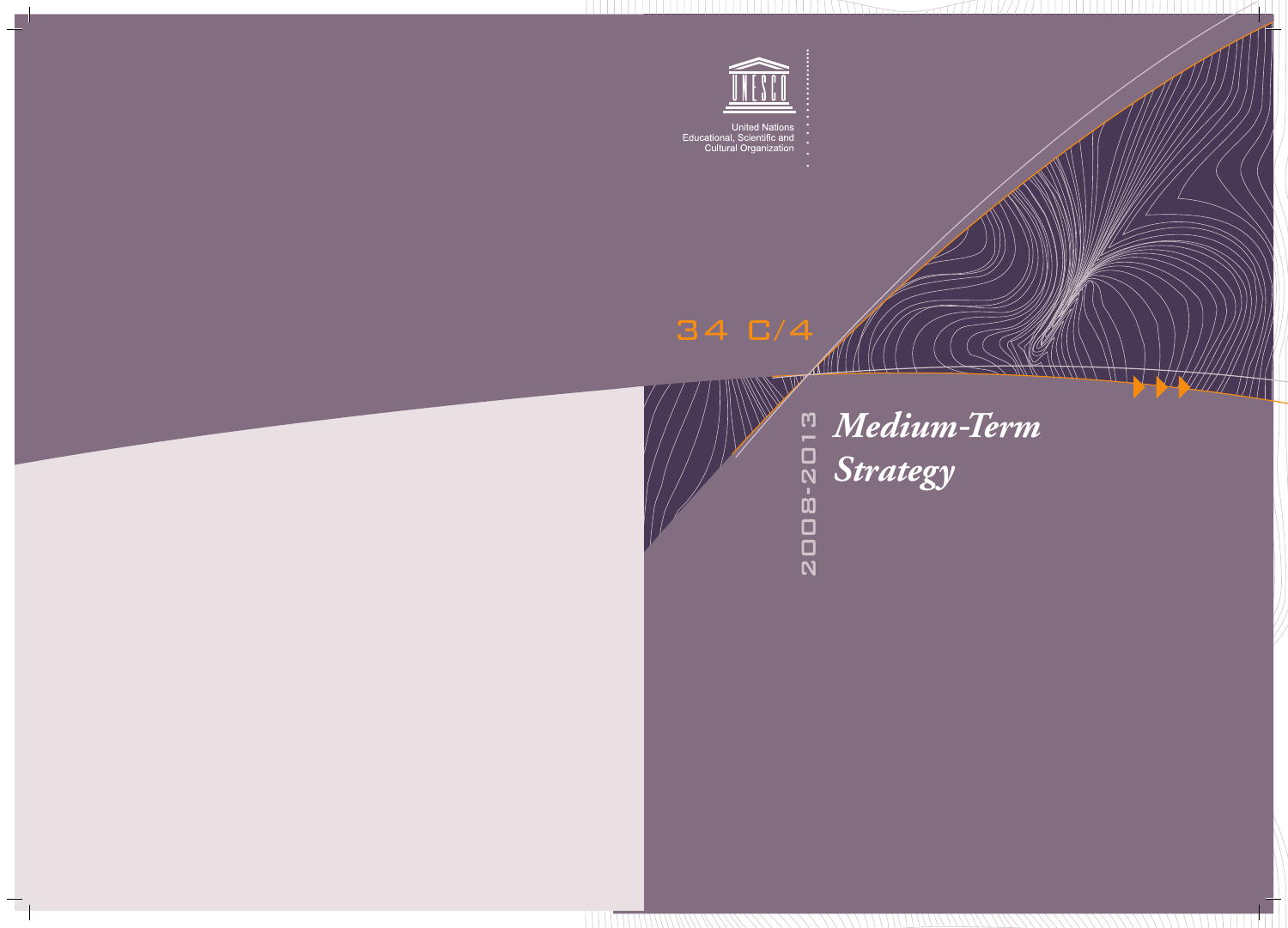

United Nations<br>Educational, Scientific and<br>Cultural Organization

34 C/4

2008-2013

**ZOOB-2013** 

 $\blacktriangle$ 

W

*Medium Term - Strategy*

 $\tilde{C}$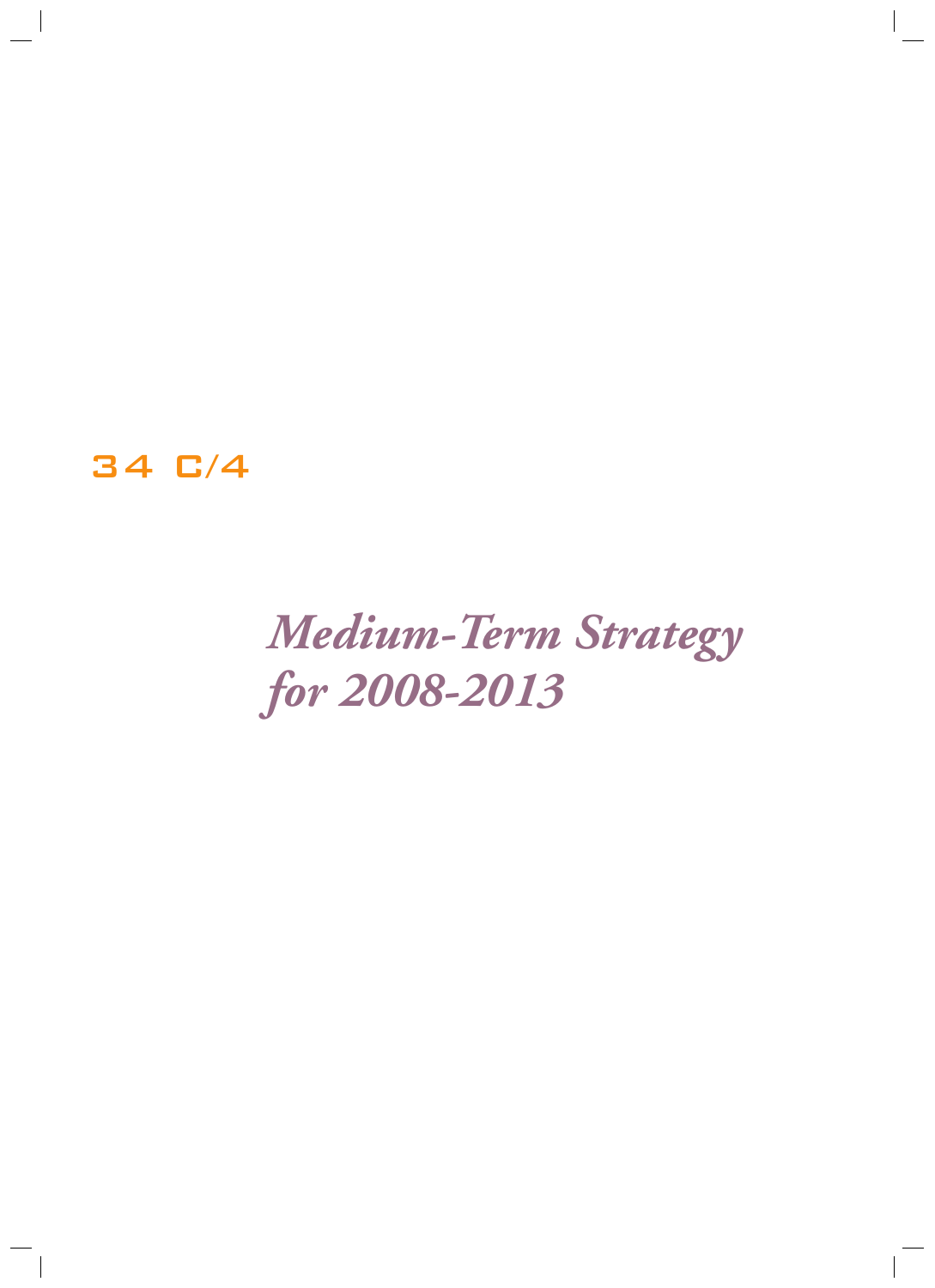34 C/4

## *Medium-Term Strategy for 2008-2013*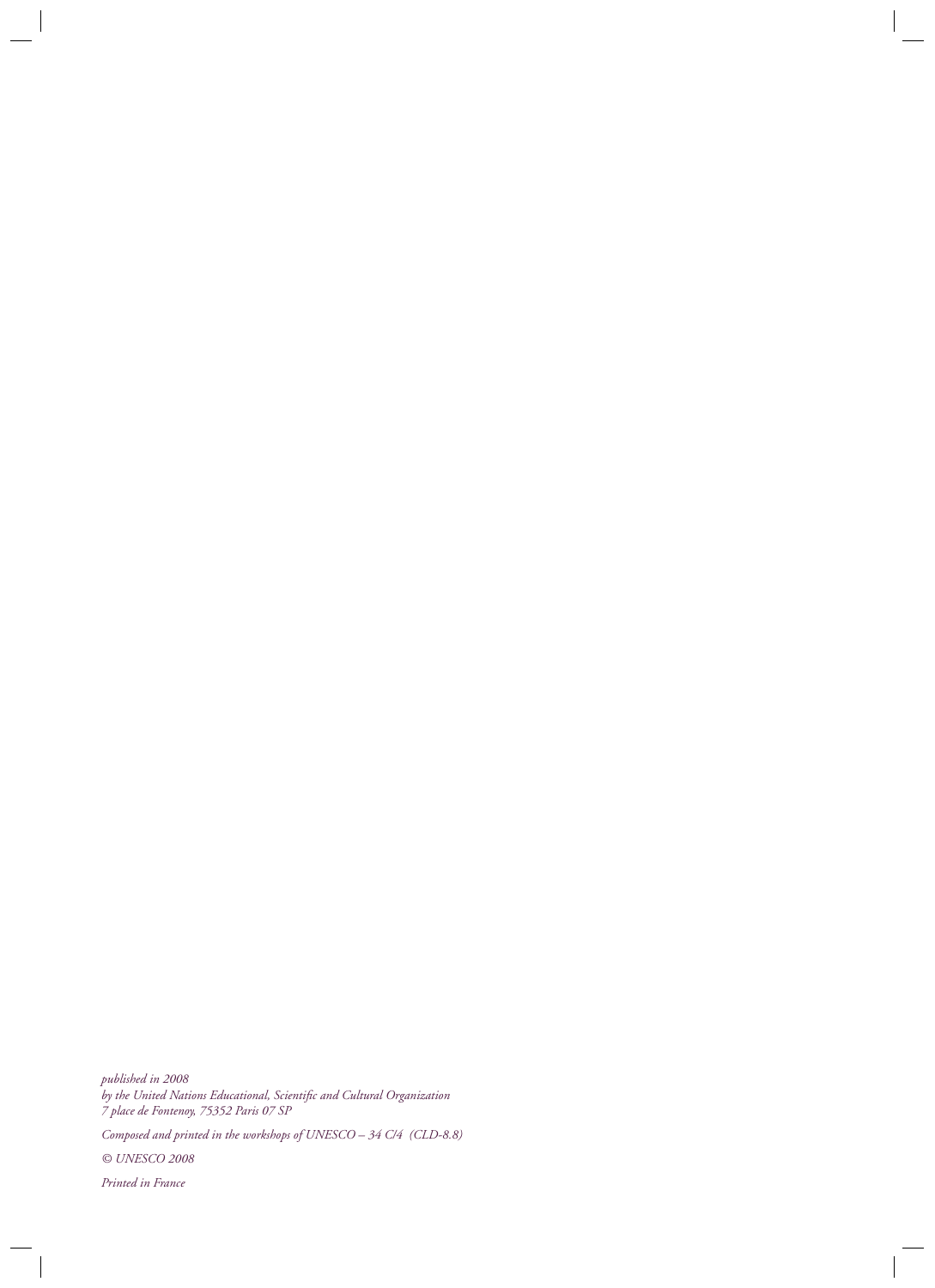*published in 2008 by the United Nations Educational, Scientific and Cultural Organization 7 place de Fontenoy, 75352 Paris 07 SP*

*Composed and printed in the workshops of UNESCO – 34 C/4 (CLD-8.8)*

*© UNESCO 2008*

*Printed in France*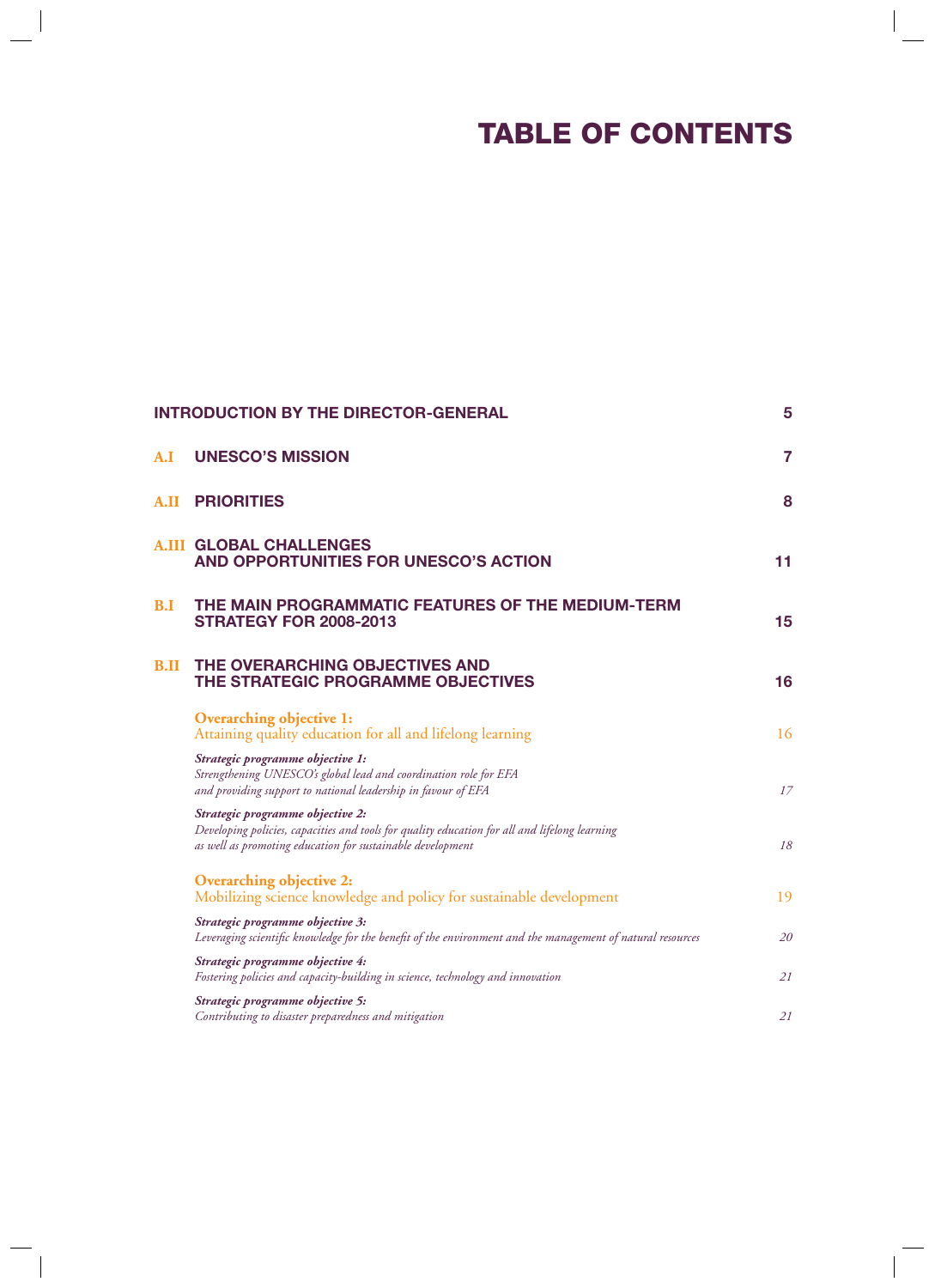## **TABLE OF CONTENTS**

| <b>INTRODUCTION BY THE DIRECTOR-GENERAL</b> |                                                                                                                                                                                                 |                |
|---------------------------------------------|-------------------------------------------------------------------------------------------------------------------------------------------------------------------------------------------------|----------------|
| A.I                                         | <b>UNESCO'S MISSION</b>                                                                                                                                                                         | $\overline{7}$ |
| A.II                                        | <b>PRIORITIES</b>                                                                                                                                                                               | 8              |
| A.III                                       | <b>GLOBAL CHALLENGES</b><br>AND OPPORTUNITIES FOR UNESCO'S ACTION                                                                                                                               | 11             |
| B.I                                         | THE MAIN PROGRAMMATIC FEATURES OF THE MEDIUM-TERM<br><b>STRATEGY FOR 2008-2013</b>                                                                                                              | 15             |
| <b>B.II</b>                                 | THE OVERARCHING OBJECTIVES AND<br>THE STRATEGIC PROGRAMME OBJECTIVES                                                                                                                            | 16             |
|                                             | <b>Overarching objective 1:</b><br>Attaining quality education for all and lifelong learning                                                                                                    | 16             |
|                                             | Strategic programme objective 1:<br>Strengthening UNESCO's global lead and coordination role for EFA<br>and providing support to national leadership in favour of EFA                           | 17             |
|                                             | Strategic programme objective 2:<br>Developing policies, capacities and tools for quality education for all and lifelong learning<br>as well as promoting education for sustainable development | 18             |
|                                             | <b>Overarching objective 2:</b><br>Mobilizing science knowledge and policy for sustainable development                                                                                          | 19             |
|                                             | Strategic programme objective 3:<br>Leveraging scientific knowledge for the benefit of the environment and the management of natural resources                                                  | 20             |
|                                             | Strategic programme objective 4:<br>Fostering policies and capacity-building in science, technology and innovation                                                                              | 21             |
|                                             | Strategic programme objective 5:<br>Contributing to disaster preparedness and mitigation                                                                                                        | 21             |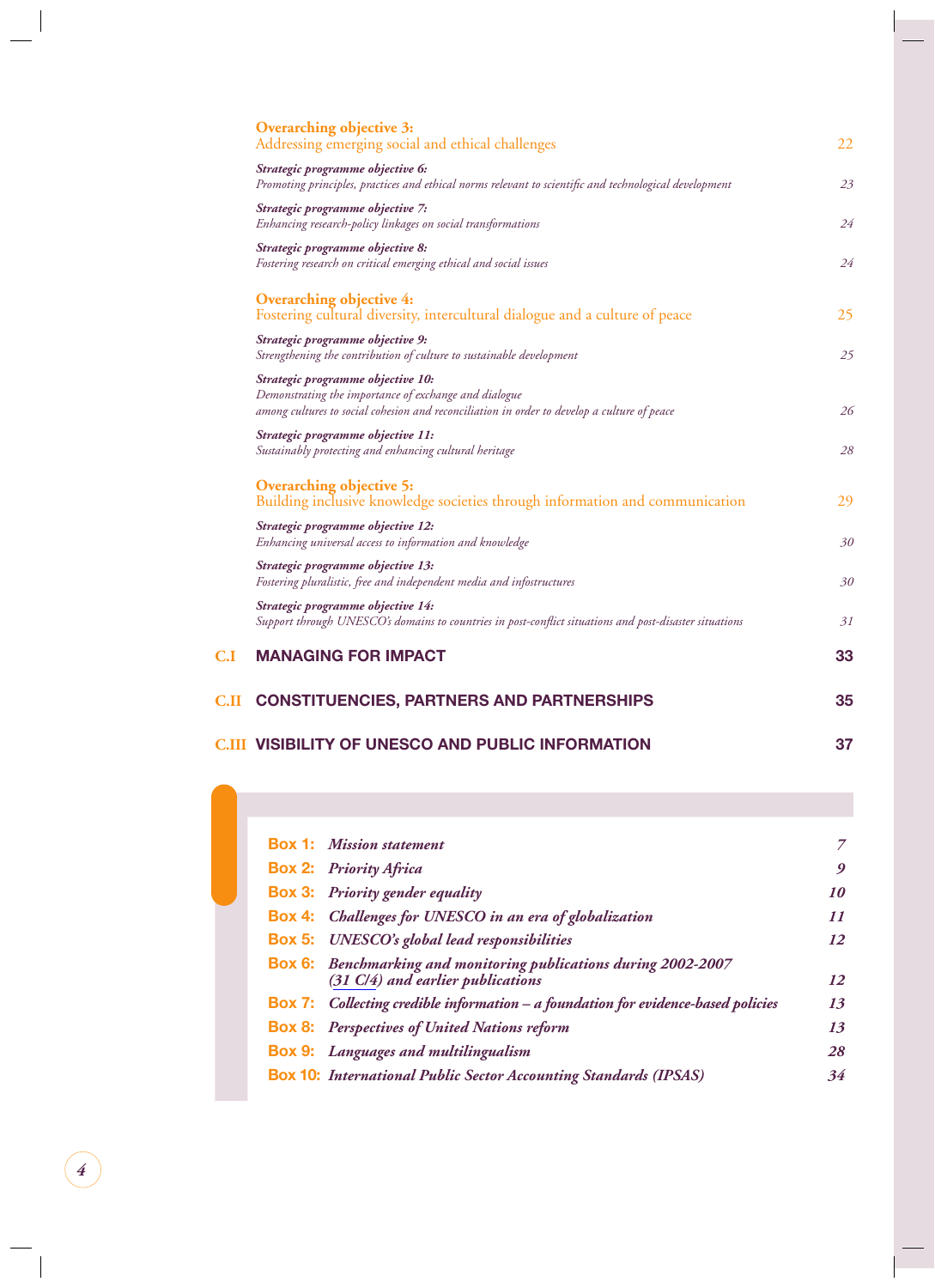|                         | <b>Overarching objective 3:</b><br>Addressing emerging social and ethical challenges                                                                                                      | 22 |
|-------------------------|-------------------------------------------------------------------------------------------------------------------------------------------------------------------------------------------|----|
|                         | Strategic programme objective 6:<br>Promoting principles, practices and ethical norms relevant to scientific and technological development                                                | 23 |
|                         | Strategic programme objective 7:<br>Enhancing research-policy linkages on social transformations                                                                                          | 24 |
|                         | Strategic programme objective 8:<br>Fostering research on critical emerging ethical and social issues                                                                                     | 24 |
|                         | <b>Overarching objective 4:</b><br>Fostering cultural diversity, intercultural dialogue and a culture of peace                                                                            | 25 |
|                         | Strategic programme objective 9:<br>Strengthening the contribution of culture to sustainable development                                                                                  | 25 |
|                         | Strategic programme objective 10:<br>Demonstrating the importance of exchange and dialogue<br>among cultures to social cohesion and reconciliation in order to develop a culture of peace | 26 |
|                         | Strategic programme objective 11:<br>Sustainably protecting and enhancing cultural heritage                                                                                               | 28 |
|                         | <b>Overarching objective 5:</b><br>Building inclusive knowledge societies through information and communication                                                                           | 29 |
|                         | Strategic programme objective 12:<br>Enhancing universal access to information and knowledge                                                                                              | 30 |
|                         | Strategic programme objective 13:<br>Fostering pluralistic, free and independent media and infostructures                                                                                 | 30 |
|                         | Strategic programme objective 14:<br>Support through UNESCO's domains to countries in post-conflict situations and post-disaster situations                                               | 31 |
| $\mathbf{C}.\mathbf{I}$ | <b>MANAGING FOR IMPACT</b>                                                                                                                                                                | 33 |
| C.II                    | <b>CONSTITUENCIES, PARTNERS AND PARTNERSHIPS</b>                                                                                                                                          | 35 |
|                         | <b>C.III VISIBILITY OF UNESCO AND PUBLIC INFORMATION</b>                                                                                                                                  | 37 |

|  | <b>Box 1:</b> Mission statement                                                                              | 7               |
|--|--------------------------------------------------------------------------------------------------------------|-----------------|
|  | <b>Box 2: Priority Africa</b>                                                                                | 9               |
|  | <b>Box 3:</b> Priority gender equality                                                                       | 10              |
|  | <b>Box 4:</b> Challenges for UNESCO in an era of globalization                                               | $\overline{11}$ |
|  | <b>Box 5:</b> UNESCO's global lead responsibilities                                                          | 12              |
|  | <b>Box 6:</b> Benchmarking and monitoring publications during 2002-2007<br>(31 C/4) and earlier publications | 12              |
|  | <b>Box 7:</b> Collecting credible information $-$ a foundation for evidence-based policies                   | 13              |
|  | <b>Box 8:</b> Perspectives of United Nations reform                                                          | 13              |
|  | <b>Box 9:</b> Languages and multilingualism                                                                  | 28              |
|  | <b>Box 10:</b> International Public Sector Accounting Standards (IPSAS)                                      | 34              |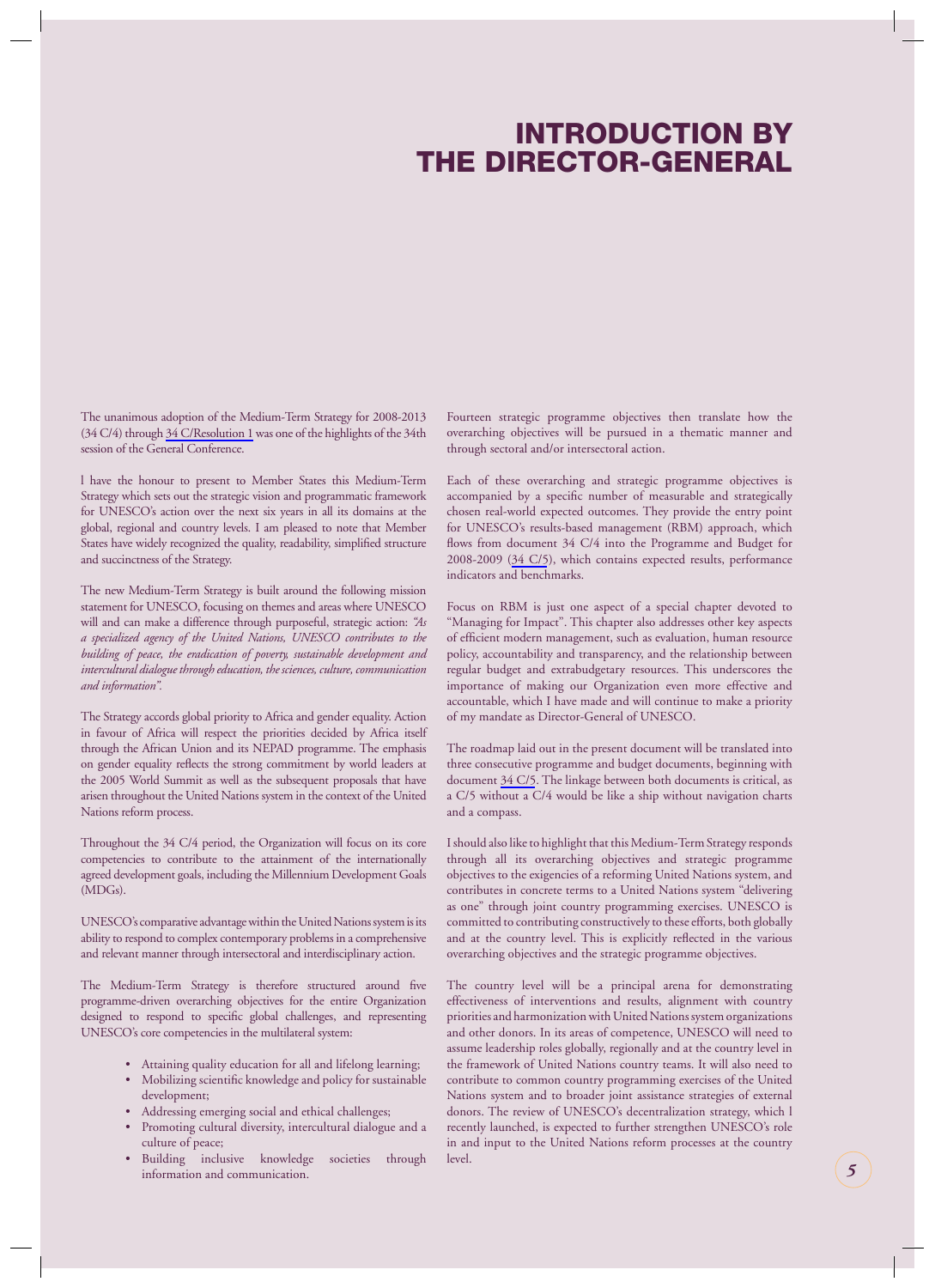## **INTRODUCTION BY THE DIRECTOR-GENERAL**

<span id="page-5-0"></span>The unanimous adoption of the Medium-Term Strategy for 2008-2013 (34 C/4) through 34 C/Resolution 1 was one of the highlights of the 34th session of the General Conference.

l have the honour to present to Member States this Medium-Term Strategy which sets out the strategic vision and programmatic framework for UNESCO's action over the next six years in all its domains at the global, regional and country levels. I am pleased to note that Member States have widely recognized the quality, readability, simplified structure and succinctness of the Strategy.

The new Medium-Term Strategy is built around the following mission statement for UNESCO, focusing on themes and areas where UNESCO will and can make a difference through purposeful, strategic action: *"As a specialized agency of the United Nations, UNESCO contributes to the building of peace, the eradication of poverty, sustainable development and intercultural dialogue through education, the sciences, culture, communication and information".*

The Strategy accords global priority to Africa and gender equality. Action in favour of Africa will respect the priorities decided by Africa itself through the African Union and its NEPAD programme. The emphasis on gender equality reflects the strong commitment by world leaders at the 2005 World Summit as well as the subsequent proposals that have arisen throughout the United Nations system in the context of the United Nations reform process.

Throughout the 34 C/4 period, the Organization will focus on its core competencies to contribute to the attainment of the internationally agreed development goals, including the Millennium Development Goals (MDGs).

UNESCO's comparative advantage within the United Nations system is its ability to respond to complex contemporary problems in a comprehensive and relevant manner through intersectoral and interdisciplinary action.

The Medium-Term Strategy is therefore structured around five programme-driven overarching objectives for the entire Organization designed to respond to specific global challenges, and representing UNESCO's core competencies in the multilateral system:

- Attaining quality education for all and lifelong learning;
- Mobilizing scientific knowledge and policy for sustainable development;
- Addressing emerging social and ethical challenges;
- Promoting cultural diversity, intercultural dialogue and a culture of peace;
- Building inclusive knowledge societies through information and communication.

Fourteen strategic programme objectives then translate how the overarching objectives will be pursued in a thematic manner and through sectoral and/or intersectoral action.

Each of these overarching and strategic programme objectives is accompanied by a specific number of measurable and strategically chosen real-world expected outcomes. They provide the entry point for UNESCO's results-based management (RBM) approach, which flows from document 34 C/4 into the Programme and Budget for 2008-2009 (34 C/5), which contains expected results, performance indicators and benchmarks.

Focus on RBM is just one aspect of a special chapter devoted to "Managing for Impact". This chapter also addresses other key aspects of efficient modern management, such as evaluation, human resource policy, accountability and transparency, and the relationship between regular budget and extrabudgetary resources. This underscores the importance of making our Organization even more effective and accountable, which I have made and will continue to make a priority of my mandate as Director-General of UNESCO.

The roadmap laid out in the present document will be translated into three consecutive programme and budget documents, beginning with document 34 C/5. The linkage between both documents is critical, as a C/5 without a C/4 would be like a ship without navigation charts and a compass.

I should also like to highlight that this Medium-Term Strategy responds through all its overarching objectives and strategic programme objectives to the exigencies of a reforming United Nations system, and contributes in concrete terms to a United Nations system "delivering as one" through joint country programming exercises. UNESCO is committed to contributing constructively to these efforts, both globally and at the country level. This is explicitly reflected in the various overarching objectives and the strategic programme objectives.

The country level will be a principal arena for demonstrating effectiveness of interventions and results, alignment with country priorities and harmonization with United Nations system organizations and other donors. In its areas of competence, UNESCO will need to assume leadership roles globally, regionally and at the country level in the framework of United Nations country teams. It will also need to contribute to common country programming exercises of the United Nations system and to broader joint assistance strategies of external donors. The review of UNESCO's decentralization strategy, which l recently launched, is expected to further strengthen UNESCO's role in and input to the United Nations reform processes at the country level.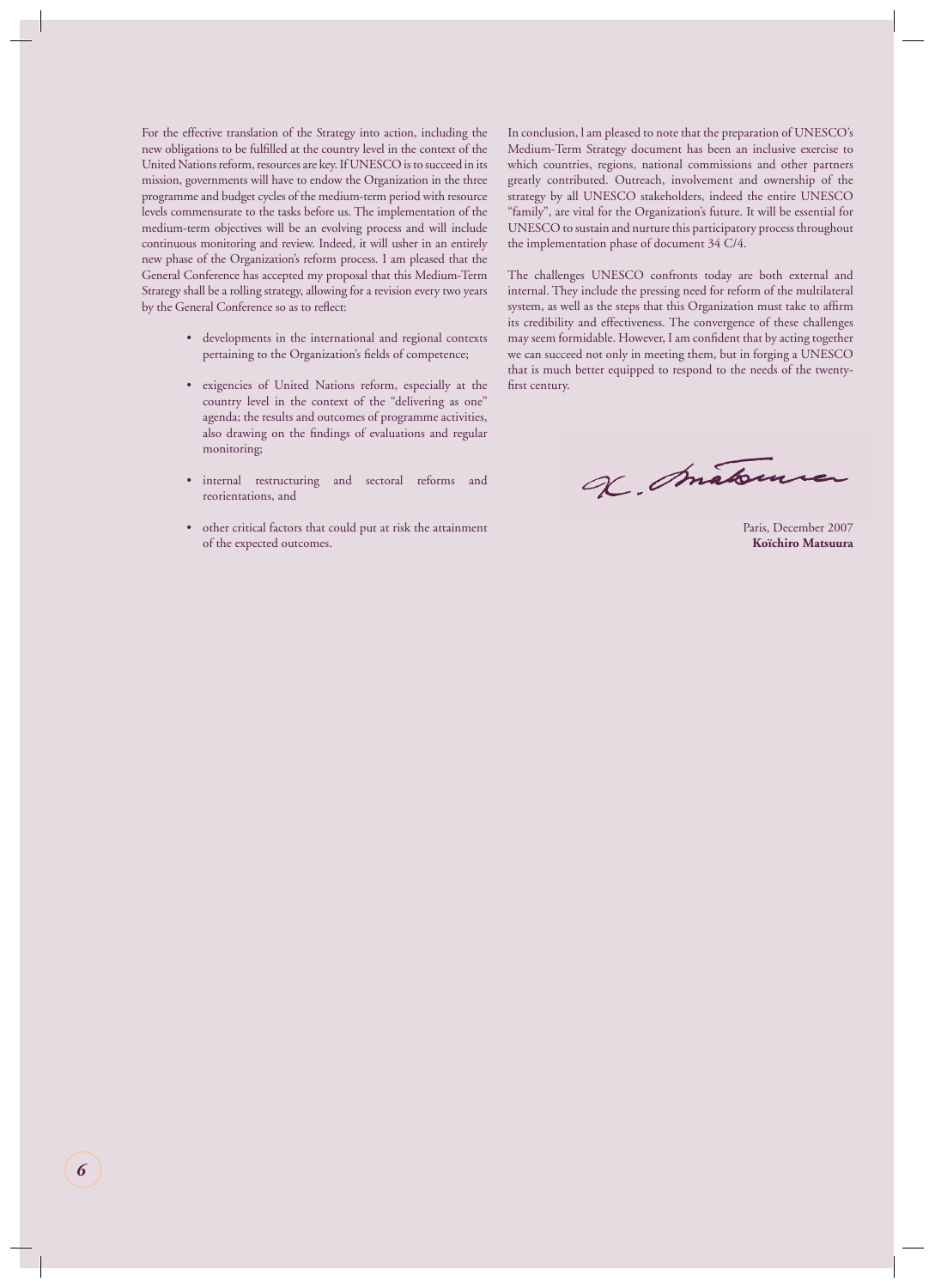For the effective translation of the Strategy into action, including the new obligations to be fulfilled at the country level in the context of the United Nations reform, resources are key. If UNESCO is to succeed in its mission, governments will have to endow the Organization in the three programme and budget cycles of the medium-term period with resource levels commensurate to the tasks before us. The implementation of the medium-term objectives will be an evolving process and will include continuous monitoring and review. Indeed, it will usher in an entirely new phase of the Organization's reform process. I am pleased that the General Conference has accepted my proposal that this Medium-Term Strategy shall be a rolling strategy, allowing for a revision every two years by the General Conference so as to reflect:

- developments in the international and regional contexts pertaining to the Organization's fields of competence;
- exigencies of United Nations reform, especially at the country level in the context of the "delivering as one" agenda; the results and outcomes of programme activities, also drawing on the findings of evaluations and regular monitoring;
- internal restructuring and sectoral reforms and reorientations, and
- other critical factors that could put at risk the attainment of the expected outcomes.

In conclusion, l am pleased to note that the preparation of UNESCO's Medium-Term Strategy document has been an inclusive exercise to which countries, regions, national commissions and other partners greatly contributed. Outreach, involvement and ownership of the strategy by all UNESCO stakeholders, indeed the entire UNESCO "family", are vital for the Organization's future. It will be essential for UNESCO to sustain and nurture this participatory process throughout the implementation phase of document 34 C/4.

The challenges UNESCO confronts today are both external and internal. They include the pressing need for reform of the multilateral system, as well as the steps that this Organization must take to affirm its credibility and effectiveness. The convergence of these challenges may seem formidable. However, I am confident that by acting together we can succeed not only in meeting them, but in forging a UNESCO that is much better equipped to respond to the needs of the twentyfirst century.

L. matom

Paris, December 2007 **Koïchiro Matsuura**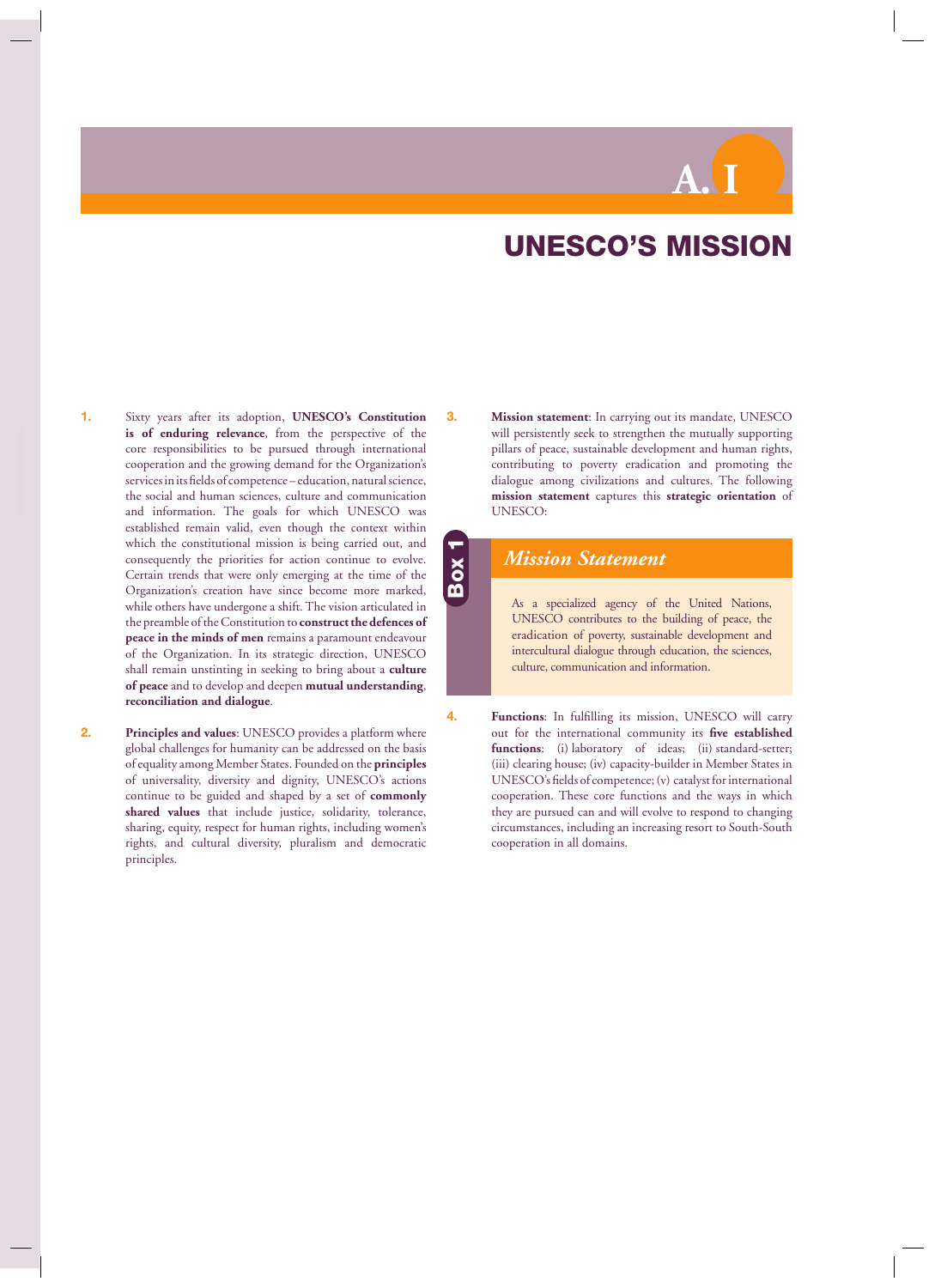# **A. I**

## **UNESCO'S MISSION**

- <span id="page-7-1"></span><span id="page-7-0"></span>**1.** Sixty years after its adoption, **UNESCO's Constitution is of enduring relevance**, from the perspective of the core responsibilities to be pursued through international cooperation and the growing demand for the Organization's services in its fields of competence – education, natural science, the social and human sciences, culture and communication and information. The goals for which UNESCO was established remain valid, even though the context within which the constitutional mission is being carried out, and consequently the priorities for action continue to evolve. Certain trends that were only emerging at the time of the Organization's creation have since become more marked, while others have undergone a shift. The vision articulated in the preamble of the Constitution to **construct the defences of peace in the minds of men** remains a paramount endeavour of the Organization. In its strategic direction, UNESCO shall remain unstinting in seeking to bring about a **culture of peace** and to develop and deepen **mutual understanding**, **reconciliation and dialogue**.
- **2. Principles and values**: UNESCO provides a platform where global challenges for humanity can be addressed on the basis of equality among Member States. Founded on the **principles**  of universality, diversity and dignity, UNESCO's actions continue to be guided and shaped by a set of **commonly shared values** that include justice, solidarity, tolerance, sharing, equity, respect for human rights, including women's rights, and cultural diversity, pluralism and democratic principles.

**3. Mission statement**: In carrying out its mandate, UNESCO will persistently seek to strengthen the mutually supporting pillars of peace, sustainable development and human rights, contributing to poverty eradication and promoting the dialogue among civilizations and cultures. The following **mission statement** captures this **strategic orientation** of UNESCO:

#### *Mission Statement*

**Box 1**

As a specialized agency of the United Nations, UNESCO contributes to the building of peace, the eradication of poverty, sustainable development and intercultural dialogue through education, the sciences, culture, communication and information.

**4. Functions:** In fulfilling its mission, UNESCO will carry out for the international community its five established **functions**: (i) laboratory of ideas; (ii) standard-setter; (iii) clearing house; (iv) capacity-builder in Member States in UNESCO's fields of competence; (v) catalyst for international cooperation. These core functions and the ways in which they are pursued can and will evolve to respond to changing circumstances, including an increasing resort to South-South cooperation in all domains.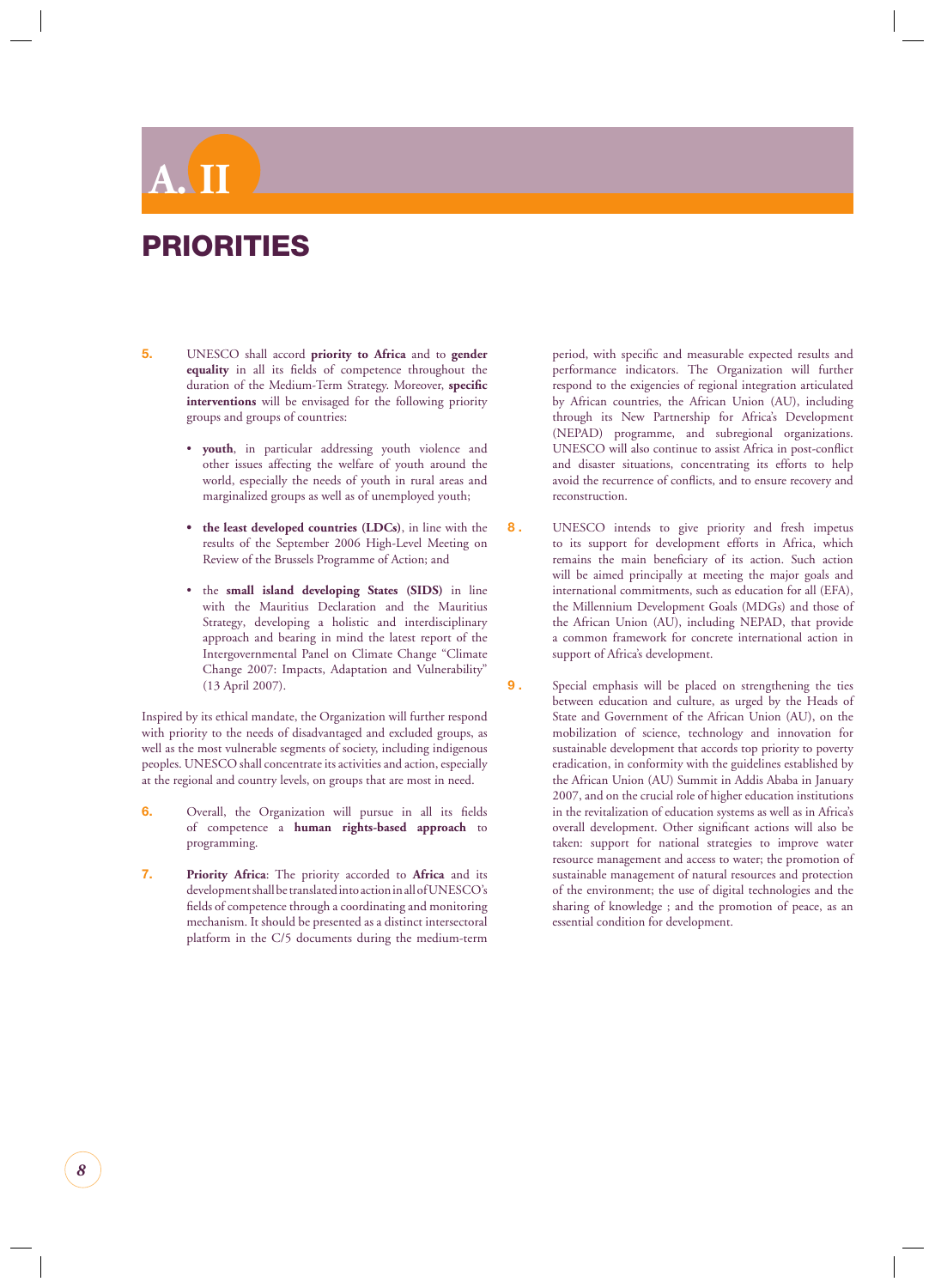## <span id="page-8-0"></span>**A. II**

## **PRIORITIES**

- **5.** UNESCO shall accord **priority to Africa** and to **gender**  equality in all its fields of competence throughout the duration of the Medium-Term Strategy. Moreover, specific **interventions** will be envisaged for the following priority groups and groups of countries:
	- **youth**, in particular addressing youth violence and other issues affecting the welfare of youth around the world, especially the needs of youth in rural areas and marginalized groups as well as of unemployed youth;
	- **the least developed countries (LDCs)**, in line with the results of the September 2006 High-Level Meeting on Review of the Brussels Programme of Action; and
	- the **small island developing States (SIDS)** in line with the Mauritius Declaration and the Mauritius Strategy, developing a holistic and interdisciplinary approach and bearing in mind the latest report of the Intergovernmental Panel on Climate Change "Climate Change 2007: Impacts, Adaptation and Vulnerability" (13 April 2007).

Inspired by its ethical mandate, the Organization will further respond with priority to the needs of disadvantaged and excluded groups, as well as the most vulnerable segments of society, including indigenous peoples. UNESCO shall concentrate its activities and action, especially at the regional and country levels, on groups that are most in need.

- **6.** Overall, the Organization will pursue in all its fields of competence a **human rights-based approach** to programming.
- **7. Priority Africa**: The priority accorded to **Africa** and its development shall be translated into action in all of UNESCO's fields of competence through a coordinating and monitoring mechanism. It should be presented as a distinct intersectoral platform in the C/5 documents during the medium-term

period, with specific and measurable expected results and performance indicators. The Organization will further respond to the exigencies of regional integration articulated by African countries, the African Union (AU), including through its New Partnership for Africa's Development (NEPAD) programme, and subregional organizations. UNESCO will also continue to assist Africa in post-conflict and disaster situations, concentrating its efforts to help avoid the recurrence of conflicts, and to ensure recovery and reconstruction.

- **8 .** UNESCO intends to give priority and fresh impetus to its support for development efforts in Africa, which remains the main beneficiary of its action. Such action will be aimed principally at meeting the major goals and international commitments, such as education for all (EFA), the Millennium Development Goals (MDGs) and those of the African Union (AU), including NEPAD, that provide a common framework for concrete international action in support of Africa's development.
- **9 .** Special emphasis will be placed on strengthening the ties between education and culture, as urged by the Heads of State and Government of the African Union (AU), on the mobilization of science, technology and innovation for sustainable development that accords top priority to poverty eradication, in conformity with the guidelines established by the African Union (AU) Summit in Addis Ababa in January 2007, and on the crucial role of higher education institutions in the revitalization of education systems as well as in Africa's overall development. Other significant actions will also be taken: support for national strategies to improve water resource management and access to water; the promotion of sustainable management of natural resources and protection of the environment; the use of digital technologies and the sharing of knowledge ; and the promotion of peace, as an essential condition for development.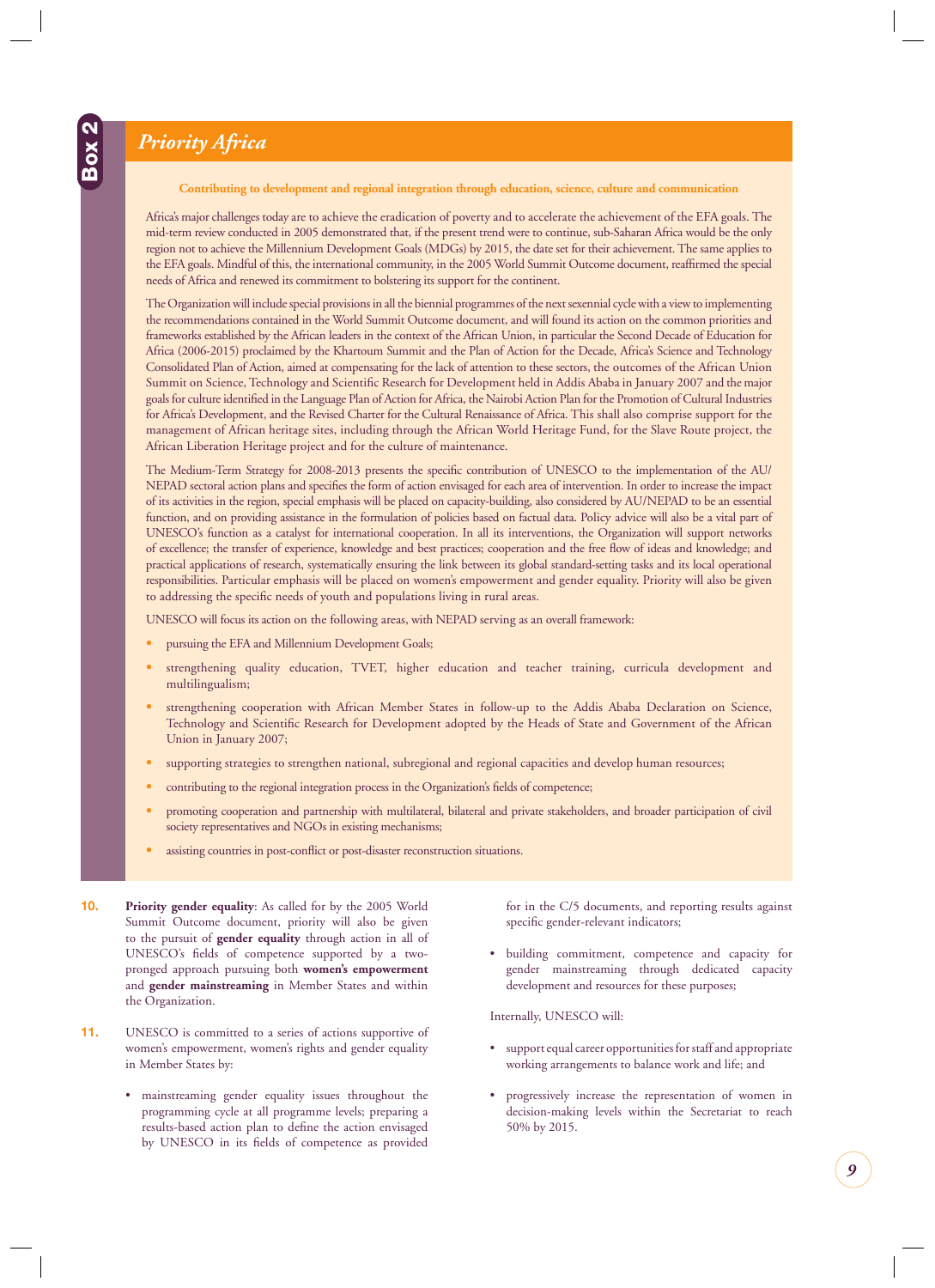## <span id="page-9-0"></span>*Priority Africa*

**Contributing to development and regional integration through education, science, culture and communication**

Africa's major challenges today are to achieve the eradication of poverty and to accelerate the achievement of the EFA goals. The mid-term review conducted in 2005 demonstrated that, if the present trend were to continue, sub-Saharan Africa would be the only region not to achieve the Millennium Development Goals (MDGs) by 2015, the date set for their achievement. The same applies to the EFA goals. Mindful of this, the international community, in the 2005 World Summit Outcome document, reaffirmed the special needs of Africa and renewed its commitment to bolstering its support for the continent.

The Organization will include special provisions in all the biennial programmes of the next sexennial cycle with a view to implementing the recommendations contained in the World Summit Outcome document, and will found its action on the common priorities and frameworks established by the African leaders in the context of the African Union, in particular the Second Decade of Education for Africa (2006-2015) proclaimed by the Khartoum Summit and the Plan of Action for the Decade, Africa's Science and Technology Consolidated Plan of Action, aimed at compensating for the lack of attention to these sectors, the outcomes of the African Union Summit on Science, Technology and Scientific Research for Development held in Addis Ababa in January 2007 and the major goals for culture identified in the Language Plan of Action for Africa, the Nairobi Action Plan for the Promotion of Cultural Industries for Africa's Development, and the Revised Charter for the Cultural Renaissance of Africa. This shall also comprise support for the management of African heritage sites, including through the African World Heritage Fund, for the Slave Route project, the African Liberation Heritage project and for the culture of maintenance.

The Medium-Term Strategy for 2008-2013 presents the specifi c contribution of UNESCO to the implementation of the AU/ NEPAD sectoral action plans and specifies the form of action envisaged for each area of intervention. In order to increase the impact of its activities in the region, special emphasis will be placed on capacity-building, also considered by AU/NEPAD to be an essential function, and on providing assistance in the formulation of policies based on factual data. Policy advice will also be a vital part of UNESCO's function as a catalyst for international cooperation. In all its interventions, the Organization will support networks of excellence; the transfer of experience, knowledge and best practices; cooperation and the free flow of ideas and knowledge; and practical applications of research, systematically ensuring the link between its global standard-setting tasks and its local operational responsibilities. Particular emphasis will be placed on women's empowerment and gender equality. Priority will also be given to addressing the specific needs of youth and populations living in rural areas.

UNESCO will focus its action on the following areas, with NEPAD serving as an overall framework:

- **•** pursuing the EFA and Millennium Development Goals;
- **•** strengthening quality education, TVET, higher education and teacher training, curricula development and multilingualism;
- **•** strengthening cooperation with African Member States in follow-up to the Addis Ababa Declaration on Science, Technology and Scientific Research for Development adopted by the Heads of State and Government of the African Union in January 2007;
- **•** supporting strategies to strengthen national, subregional and regional capacities and develop human resources;
- contributing to the regional integration process in the Organization's fields of competence;
- **•** promoting cooperation and partnership with multilateral, bilateral and private stakeholders, and broader participation of civil society representatives and NGOs in existing mechanisms;
- assisting countries in post-conflict or post-disaster reconstruction situations.
- **10. Priority gender equality**: As called for by the 2005 World Summit Outcome document, priority will also be given to the pursuit of **gender equality** through action in all of UNESCO's fields of competence supported by a twopronged approach pursuing both **women's empowerment**  and **gender mainstreaming** in Member States and within the Organization.
- **11.** UNESCO is committed to a series of actions supportive of women's empowerment, women's rights and gender equality in Member States by:
	- mainstreaming gender equality issues throughout the programming cycle at all programme levels; preparing a results-based action plan to define the action envisaged by UNESCO in its fields of competence as provided

for in the C/5 documents, and reporting results against specific gender-relevant indicators;

• building commitment, competence and capacity for gender mainstreaming through dedicated capacity development and resources for these purposes;

Internally, UNESCO will:

- supportequal career opportunities for staff and appropriate working arrangements to balance work and life; and
- progressively increase the representation of women in decision-making levels within the Secretariat to reach 50% by 2015.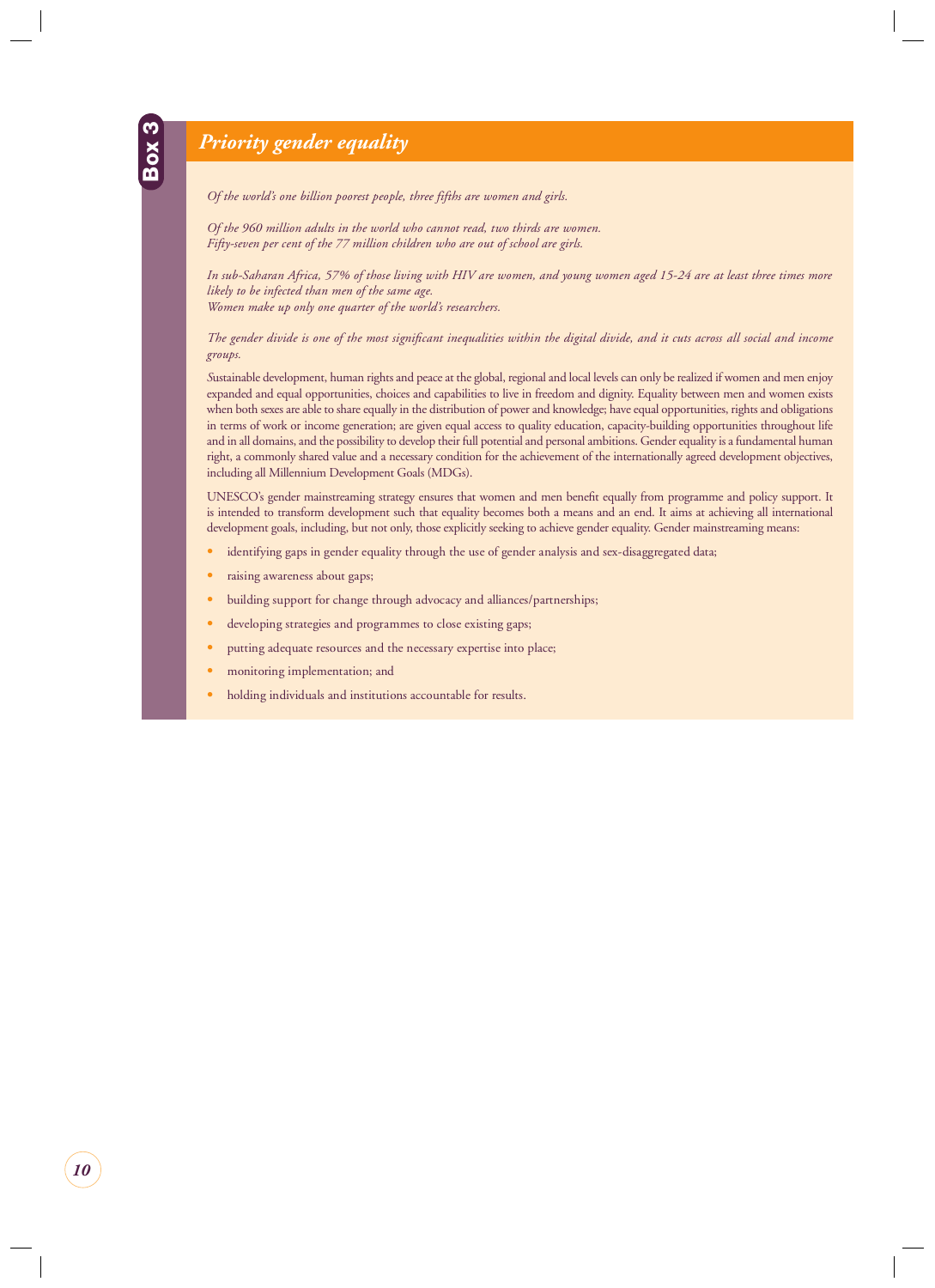### <span id="page-10-0"></span>*Priority gender equality*

*Of the world's one billion poorest people, three fifths are women and girls.*

*Of the 960 million adults in the world who cannot read, two thirds are women. Fifty-seven per cent of the 77 million children who are out of school are girls.*

In sub-Saharan Africa, 57% of those living with HIV are women, and young women aged 15-24 are at least three times more *likely to be infected than men of the same age. Women make up only one quarter of the world's researchers.*

The gender divide is one of the most significant inequalities within the digital divide, and it cuts across all social and income *groups.*

*S*ustainable development, human rights and peace at the global, regional and local levels can only be realized if women and men enjoy expanded and equal opportunities, choices and capabilities to live in freedom and dignity. Equality between men and women exists when both sexes are able to share equally in the distribution of power and knowledge; have equal opportunities, rights and obligations in terms of work or income generation; are given equal access to quality education, capacity-building opportunities throughout life and in all domains, and the possibility to develop their full potential and personal ambitions. Gender equality is a fundamental human right, a commonly shared value and a necessary condition for the achievement of the internationally agreed development objectives, including all Millennium Development Goals (MDGs).

UNESCO's gender mainstreaming strategy ensures that women and men benefi t equally from programme and policy support. It is intended to transform development such that equality becomes both a means and an end. It aims at achieving all international development goals, including, but not only, those explicitly seeking to achieve gender equality. Gender mainstreaming means:

- **•** identifying gaps in gender equality through the use of gender analysis and sex-disaggregated data;
- **•** raising awareness about gaps;
- **•** building support for change through advocacy and alliances/partnerships;
- **•** developing strategies and programmes to close existing gaps;
- **•** putting adequate resources and the necessary expertise into place;
- **•** monitoring implementation; and
- **•** holding individuals and institutions accountable for results.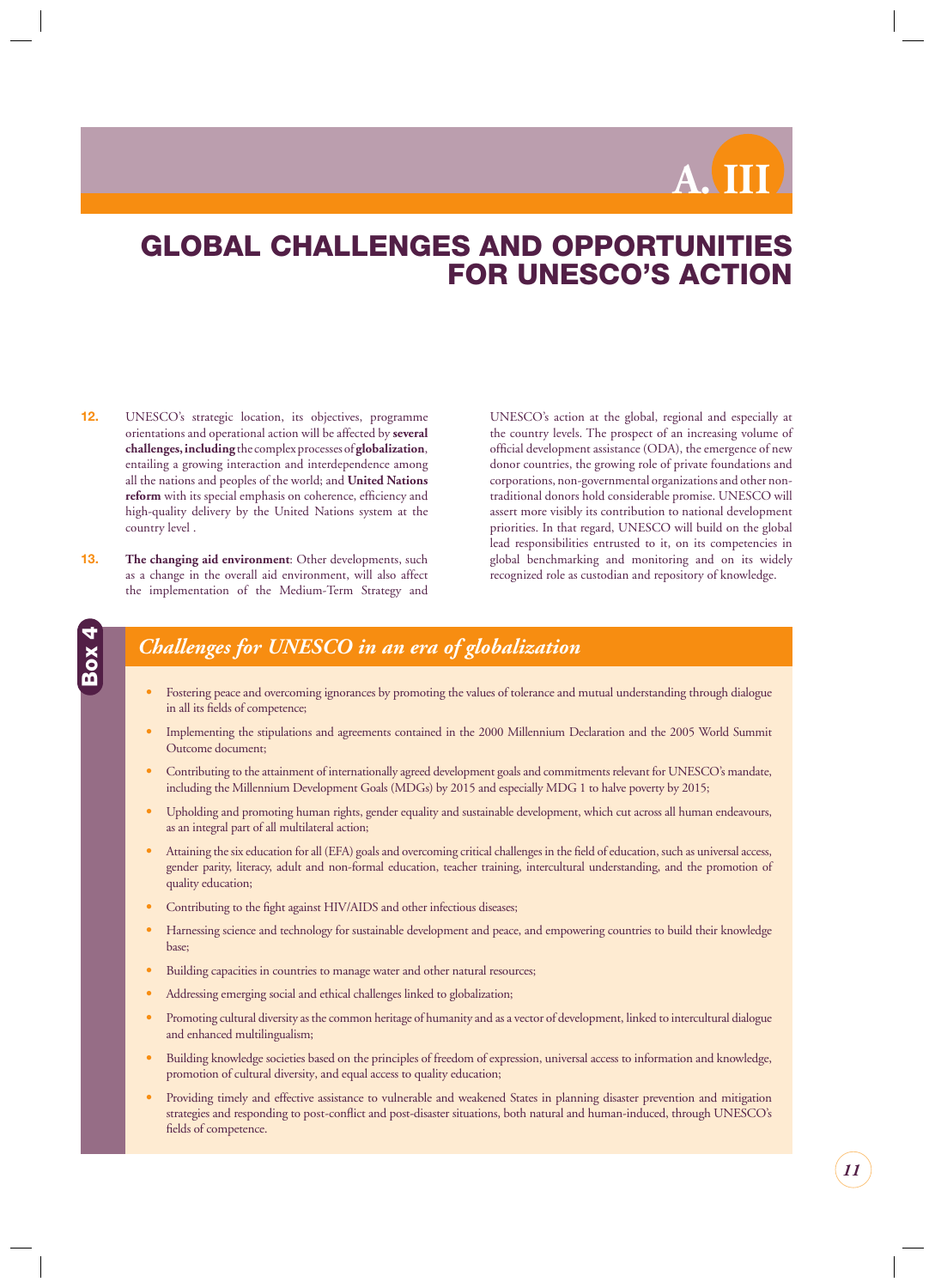**A. III**

## <span id="page-11-0"></span>**GLOBAL CHALLENGES AND OPPORTUNITIES FOR UNESCO'S ACTION**

- **12.** UNESCO's strategic location, its objectives, programme orientations and operational action will be affected by **several challenges, including** the complex processes of **globalization**, entailing a growing interaction and interdependence among all the nations and peoples of the world; and **United Nations**  reform with its special emphasis on coherence, efficiency and high-quality delivery by the United Nations system at the country level .
- **13. The changing aid environment**: Other developments, such as a change in the overall aid environment, will also affect the implementation of the Medium-Term Strategy and

**Box 4**

UNESCO's action at the global, regional and especially at the country levels. The prospect of an increasing volume of official development assistance (ODA), the emergence of new donor countries, the growing role of private foundations and corporations, non-governmental organizations and other nontraditional donors hold considerable promise. UNESCO will assert more visibly its contribution to national development priorities. In that regard, UNESCO will build on the global lead responsibilities entrusted to it, on its competencies in global benchmarking and monitoring and on its widely recognized role as custodian and repository of knowledge.

### *Challenges for UNESCO in an era of globalization*

- **•** Fostering peace and overcoming ignorances by promoting the values of tolerance and mutual understanding through dialogue in all its fields of competence;
- **•** Implementing the stipulations and agreements contained in the 2000 Millennium Declaration and the 2005 World Summit Outcome document;
- **•** Contributing to the attainment of internationally agreed development goals and commitments relevant for UNESCO's mandate, including the Millennium Development Goals (MDGs) by 2015 and especially MDG 1 to halve poverty by 2015;
- **•** Upholding and promoting human rights, gender equality and sustainable development, which cut across all human endeavours, as an integral part of all multilateral action;
- Attaining the six education for all (EFA) goals and overcoming critical challenges in the field of education, such as universal access, gender parity, literacy, adult and non-formal education, teacher training, intercultural understanding, and the promotion of quality education;
- Contributing to the fight against HIV/AIDS and other infectious diseases;
- **•** Harnessing science and technology for sustainable development and peace, and empowering countries to build their knowledge base;
- **•** Building capacities in countries to manage water and other natural resources;
- **•** Addressing emerging social and ethical challenges linked to globalization;
- **•** Promoting cultural diversity as the common heritage of humanity and as a vector of development, linked to intercultural dialogue and enhanced multilingualism;
- **•** Building knowledge societies based on the principles of freedom of expression, universal access to information and knowledge, promotion of cultural diversity, and equal access to quality education;
- **•** Providing timely and effective assistance to vulnerable and weakened States in planning disaster prevention and mitigation strategies and responding to post-conflict and post-disaster situations, both natural and human-induced, through UNESCO's fields of competence.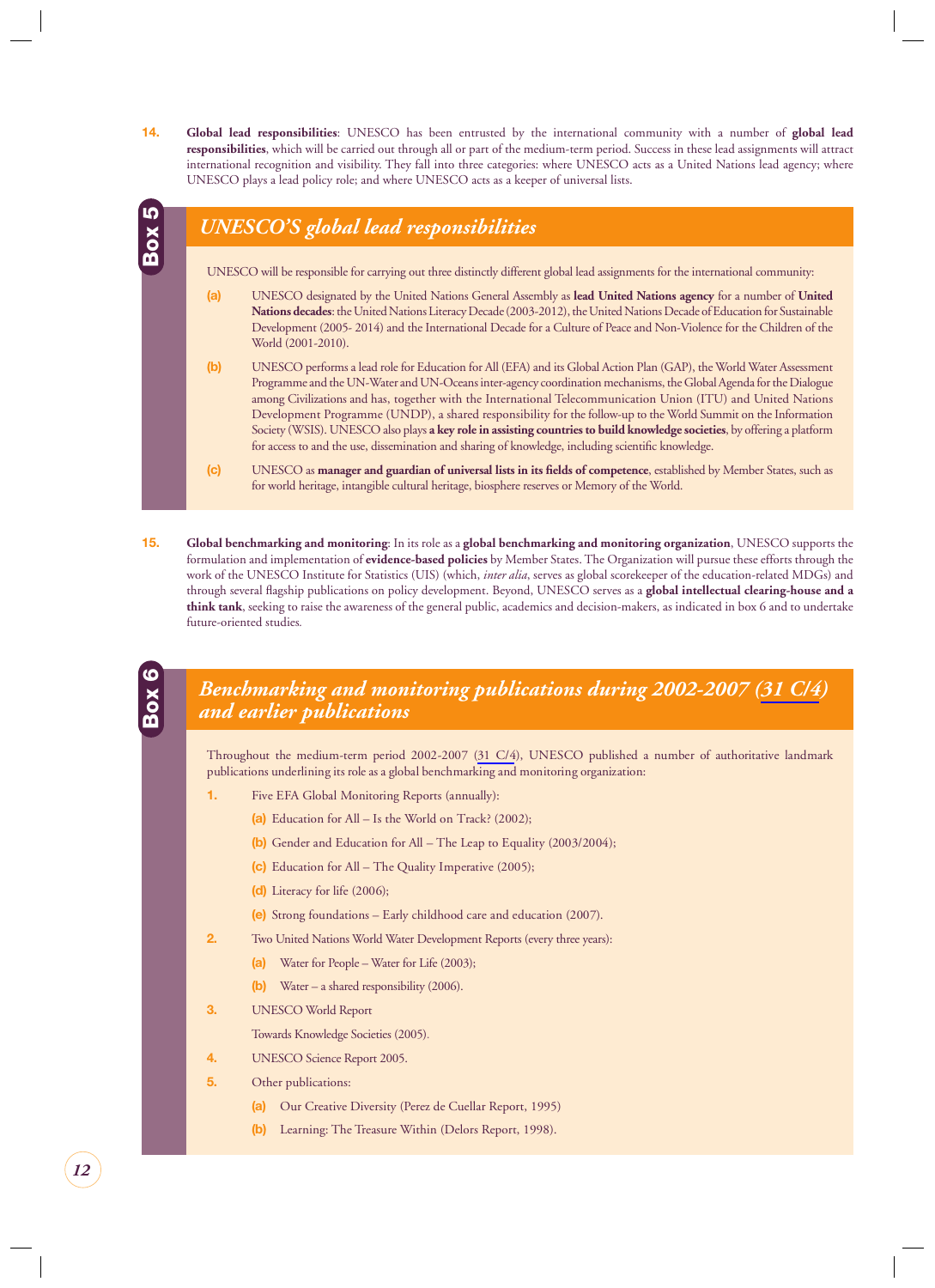<span id="page-12-0"></span>**14. Global lead responsibilities**: UNESCO has been entrusted by the international community with a number of **global lead responsibilities**, which will be carried out through all or part of the medium-term period. Success in these lead assignments will attract international recognition and visibility. They fall into three categories: where UNESCO acts as a United Nations lead agency; where UNESCO plays a lead policy role; and where UNESCO acts as a keeper of universal lists.



**15. Global benchmarking and monitoring**: In its role as a **global benchmarking and monitoring organization**, UNESCO supports the formulation and implementation of **evidence-based policies** by Member States. The Organization will pursue these efforts through the work of the UNESCO Institute for Statistics (UIS) (which, *inter alia*, serves as global scorekeeper of the education-related MDGs) and through several flagship publications on policy development. Beyond, UNESCO serves as a **global intellectual clearing-house and a think tank**, seeking to raise the awareness of the general public, academics and decision-makers, as indicated in box 6 and to undertake future-oriented studies*.*

#### *Benchmarking and monitoring publications during 2002-2007 (31 C/4) and earlier publications*

Throughout the medium-term period 2002-2007 (31 C/4), UNESCO published a number of authoritative landmark publications underlining its role as a global benchmarking and monitoring organization:

- **1.** Five EFA Global Monitoring Reports (annually):
	- **(a)** Education for All Is the World on Track? (2002);
	- **(b)** Gender and Education for All The Leap to Equality (2003/2004);
	- **(c)** Education for All The Quality Imperative (2005);
	- **(d)** Literacy for life (2006);
	- **(e)** Strong foundations Early childhood care and education (2007).
- **2.** Two United Nations World Water Development Reports (every three years):
	- **(a)** Water for People Water for Life (2003);
	- **(b)** Water a shared responsibility (2006).
- **3.** UNESCO World Report

Towards Knowledge Societies (2005).

- **4.** UNESCO Science Report 2005.
- **5.** Other publications:
	- **(a)** Our Creative Diversity (Perez de Cuellar Report, 1995)
	- **(b)** Learning: The Treasure Within (Delors Report, 1998).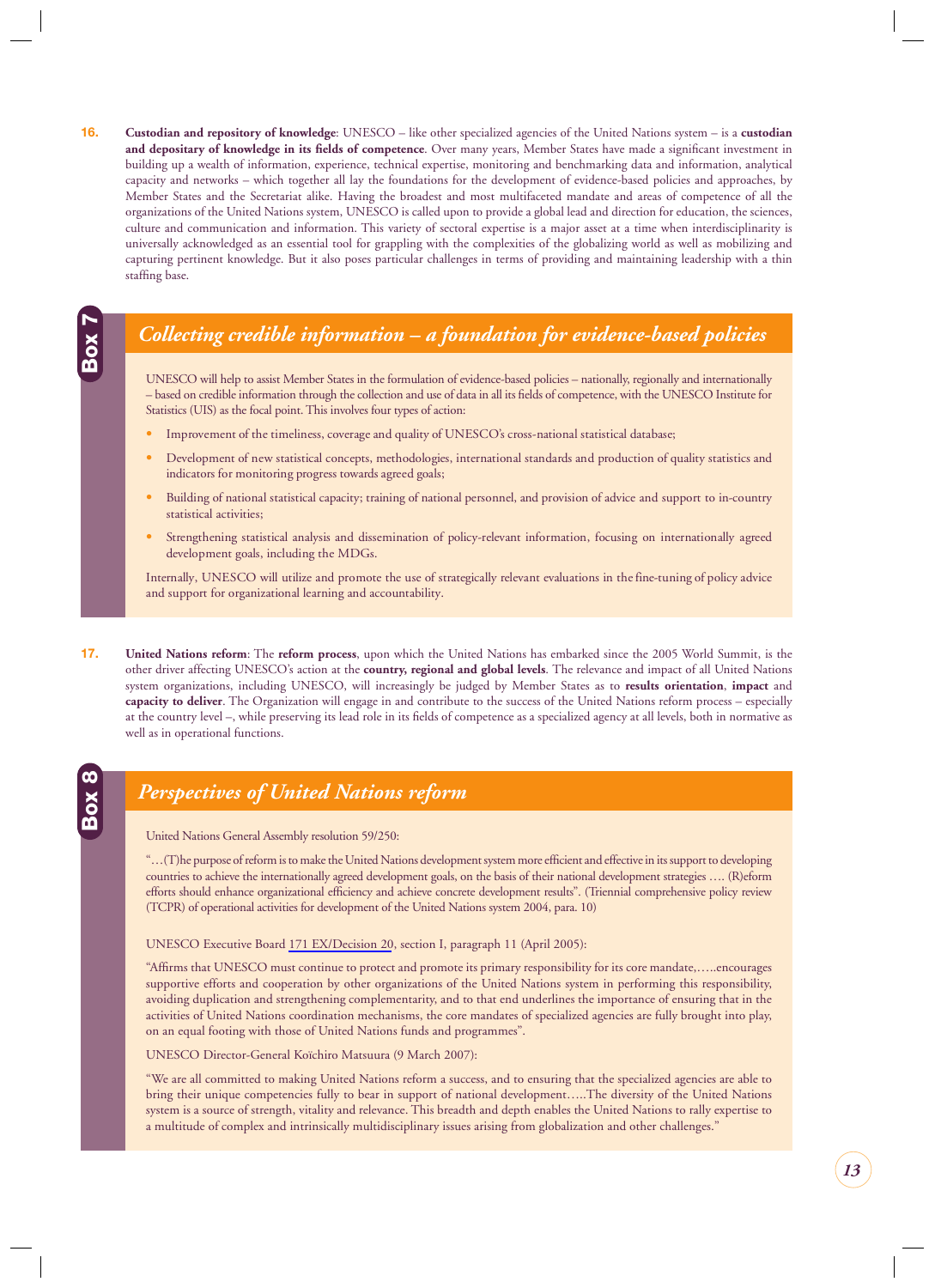<span id="page-13-0"></span>**16. Custodian and repository of knowledge**: UNESCO – like other specialized agencies of the United Nations system – is a **custodian and depositary of knowledge in its fields of competence**. Over many years, Member States have made a significant investment in building up a wealth of information, experience, technical expertise, monitoring and benchmarking data and information, analytical capacity and networks – which together all lay the foundations for the development of evidence-based policies and approaches, by Member States and the Secretariat alike. Having the broadest and most multifaceted mandate and areas of competence of all the organizations of the United Nations system, UNESCO is called upon to provide a global lead and direction for education, the sciences, culture and communication and information. This variety of sectoral expertise is a major asset at a time when interdisciplinarity is universally acknowledged as an essential tool for grappling with the complexities of the globalizing world as well as mobilizing and capturing pertinent knowledge. But it also poses particular challenges in terms of providing and maintaining leadership with a thin staffing base.

### *Collecting credible information – a foundation for evidence-based policies*

UNESCO will help to assist Member States in the formulation of evidence-based policies – nationally, regionally and internationally – based on credible information through the collection and use of data in all its fields of competence, with the UNESCO Institute for Statistics (UIS) as the focal point. This involves four types of action:

- **•** Improvement of the timeliness, coverage and quality of UNESCO's cross-national statistical database;
- **•** Development of new statistical concepts, methodologies, international standards and production of quality statistics and indicators for monitoring progress towards agreed goals;
- **•** Building of national statistical capacity; training of national personnel, and provision of advice and support to in-country statistical activities;
- **•** Strengthening statistical analysis and dissemination of policy-relevant information, focusing on internationally agreed development goals, including the MDGs.

Internally, UNESCO will utilize and promote the use of strategically relevant evaluations in the fine-tuning of policy advice and support for organizational learning and accountability.

**17. United Nations reform**: The **reform process**, upon which the United Nations has embarked since the 2005 World Summit, is the other driver affecting UNESCO's action at the **country, regional and global levels**. The relevance and impact of all United Nations system organizations, including UNESCO, will increasingly be judged by Member States as to **results orientation**, **impact** and **capacity to deliver**. The Organization will engage in and contribute to the success of the United Nations reform process – especially at the country level –, while preserving its lead role in its fields of competence as a specialized agency at all levels, both in normative as well as in operational functions.

### *Perspectives of United Nations reform*

United Nations General Assembly resolution 59/250:

**Box 7**

**Box 8**

"...(T)he purpose of reform is to make the United Nations development system more efficient and effective in its support to developing countries to achieve the internationally agreed development goals, on the basis of their national development strategies …. (R)eform efforts should enhance organizational efficiency and achieve concrete development results". (Triennial comprehensive policy review (TCPR) of operational activities for development of the United Nations system 2004, para. 10)

UNESCO Executive Board 171 EX/Decision 20, section I, paragraph 11 (April 2005):

"Affirms that UNESCO must continue to protect and promote its primary responsibility for its core mandate,.....encourages supportive efforts and cooperation by other organizations of the United Nations system in performing this responsibility, avoiding duplication and strengthening complementarity, and to that end underlines the importance of ensuring that in the activities of United Nations coordination mechanisms, the core mandates of specialized agencies are fully brought into play, on an equal footing with those of United Nations funds and programmes".

UNESCO Director-General Koïchiro Matsuura (9 March 2007):

"We are all committed to making United Nations reform a success, and to ensuring that the specialized agencies are able to bring their unique competencies fully to bear in support of national development…..The diversity of the United Nations system is a source of strength, vitality and relevance. This breadth and depth enables the United Nations to rally expertise to a multitude of complex and intrinsically multidisciplinary issues arising from globalization and other challenges."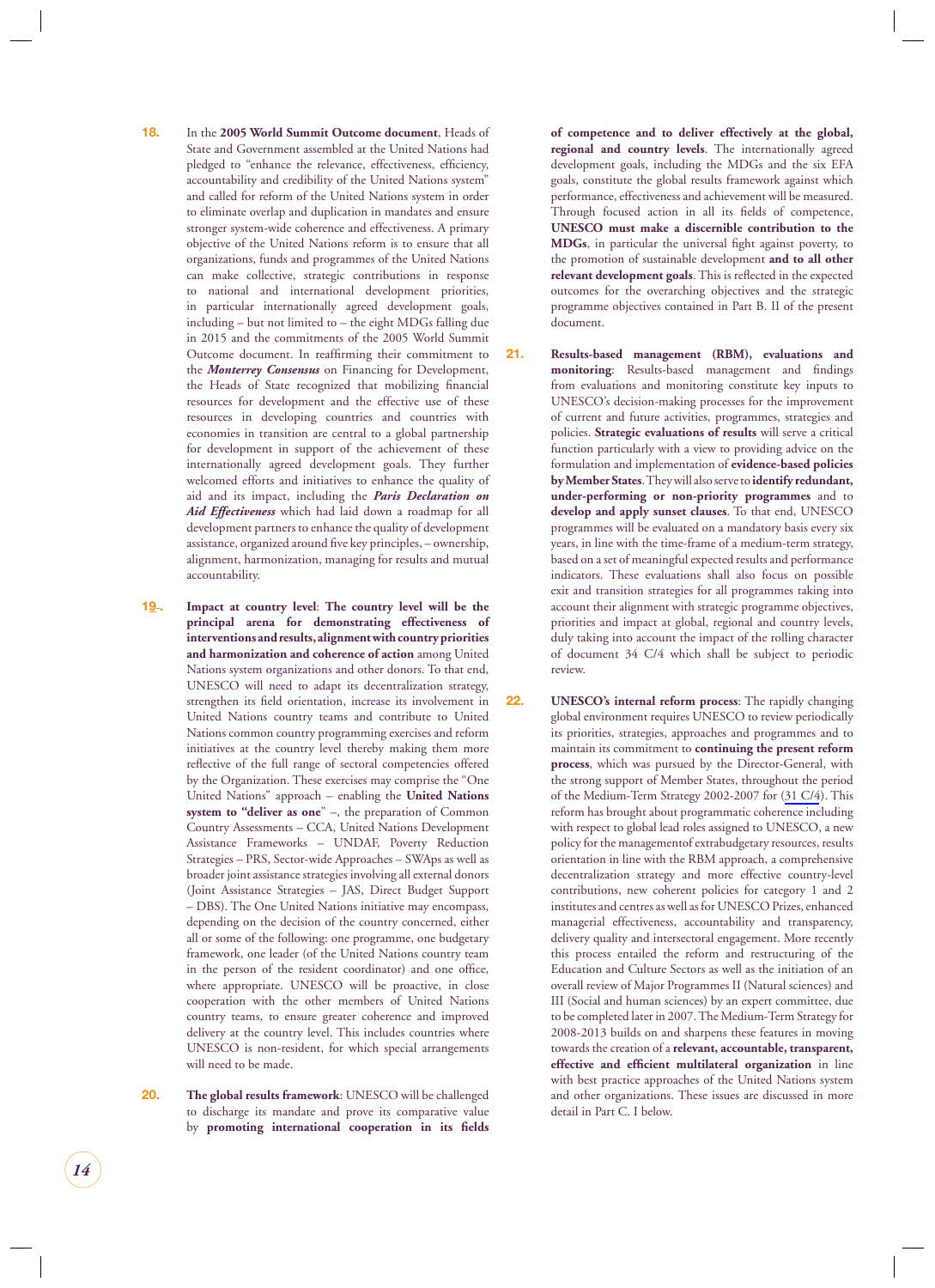- **18.** In the **2005 World Summit Outcome document**, Heads of State and Government assembled at the United Nations had pledged to "enhance the relevance, effectiveness, efficiency, accountability and credibility of the United Nations system" and called for reform of the United Nations system in order to eliminate overlap and duplication in mandates and ensure stronger system-wide coherence and effectiveness. A primary objective of the United Nations reform is to ensure that all organizations, funds and programmes of the United Nations can make collective, strategic contributions in response to national and international development priorities, in particular internationally agreed development goals, including – but not limited to – the eight MDGs falling due in 2015 and the commitments of the 2005 World Summit Outcome document. In reaffirming their commitment to the *Monterrey Consensus* on Financing for Development, the Heads of State recognized that mobilizing financial resources for development and the effective use of these resources in developing countries and countries with economies in transition are central to a global partnership for development in support of the achievement of these internationally agreed development goals. They further welcomed efforts and initiatives to enhance the quality of aid and its impact, including the *Paris Declaration on Aid Effectiveness* which had laid down a roadmap for all development partners to enhance the quality of development assistance, organized around five key principles, – ownership, alignment, harmonization, managing for results and mutual accountability.
- **19 . Impact at country level**: **The country level will be the principal arena for demonstrating effectiveness of interventions and results, alignment with country priorities and harmonization and coherence of action** among United Nations system organizations and other donors. To that end, UNESCO will need to adapt its decentralization strategy, strengthen its field orientation, increase its involvement in United Nations country teams and contribute to United Nations common country programming exercises and reform initiatives at the country level thereby making them more reflective of the full range of sectoral competencies offered by the Organization. These exercises may comprise the "One United Nations" approach – enabling the **United Nations system to "deliver as one**" –, the preparation of Common Country Assessments – CCA, United Nations Development Assistance Frameworks – UNDAF, Poverty Reduction Strategies – PRS, Sector-wide Approaches – SWAps as well as broader joint assistance strategies involving all external donors (Joint Assistance Strategies – JAS, Direct Budget Support – DBS). The One United Nations initiative may encompass, depending on the decision of the country concerned, either all or some of the following: one programme, one budgetary framework, one leader (of the United Nations country team in the person of the resident coordinator) and one office, where appropriate. UNESCO will be proactive, in close cooperation with the other members of United Nations country teams, to ensure greater coherence and improved delivery at the country level. This includes countries where UNESCO is non-resident, for which special arrangements will need to be made.
- **20. The global results framework**: UNESCO will be challenged to discharge its mandate and prove its comparative value by **promoting international cooperation in its fields**

**of competence and to deliver effectively at the global, regional and country levels**. The internationally agreed development goals, including the MDGs and the six EFA goals, constitute the global results framework against which performance, effectiveness and achievement will be measured. Through focused action in all its fields of competence, **UNESCO must make a discernible contribution to the**  MDGs, in particular the universal fight against poverty, to the promotion of sustainable development **and to all other**  relevant development goals. This is reflected in the expected outcomes for the overarching objectives and the strategic programme objectives contained in Part B. II of the present document.

- **21. Results-based management (RBM), evaluations and monitoring**: Results-based management and findings from evaluations and monitoring constitute key inputs to UNESCO's decision-making processes for the improvement of current and future activities, programmes, strategies and policies. **Strategic evaluations of results** will serve a critical function particularly with a view to providing advice on the formulation and implementation of **evidence-based policies by Member States**. They will also serve to **identify redundant, under-performing or non-priority programmes** and to **develop and apply sunset clauses**. To that end, UNESCO programmes will be evaluated on a mandatory basis every six years, in line with the time-frame of a medium-term strategy, based on a set of meaningful expected results and performance indicators. These evaluations shall also focus on possible exit and transition strategies for all programmes taking into account their alignment with strategic programme objectives, priorities and impact at global, regional and country levels, duly taking into account the impact of the rolling character of document 34 C/4 which shall be subject to periodic review.
- **22. UNESCO's internal reform process**: The rapidly changing global environment requires UNESCO to review periodically its priorities, strategies, approaches and programmes and to maintain its commitment to **continuing the present reform process**, which was pursued by the Director-General, with the strong support of Member States, throughout the period of the Medium-Term Strategy 2002-2007 for (31 C/4). This reform has brought about programmatic coherence including with respect to global lead roles assigned to UNESCO, a new policy for the managementof extrabudgetary resources, results orientation in line with the RBM approach, a comprehensive decentralization strategy and more effective country-level contributions, new coherent policies for category 1 and 2 institutes and centres as well as for UNESCO Prizes, enhanced managerial effectiveness, accountability and transparency, delivery quality and intersectoral engagement. More recently this process entailed the reform and restructuring of the Education and Culture Sectors as well as the initiation of an overall review of Major Programmes II (Natural sciences) and III (Social and human sciences) by an expert committee, due to be completed later in 2007. The Medium-Term Strategy for 2008-2013 builds on and sharpens these features in moving towards the creation of a **relevant, accountable, transparent, effective and efficient multilateral organization** in line with best practice approaches of the United Nations system and other organizations. These issues are discussed in more detail in Part C. I below.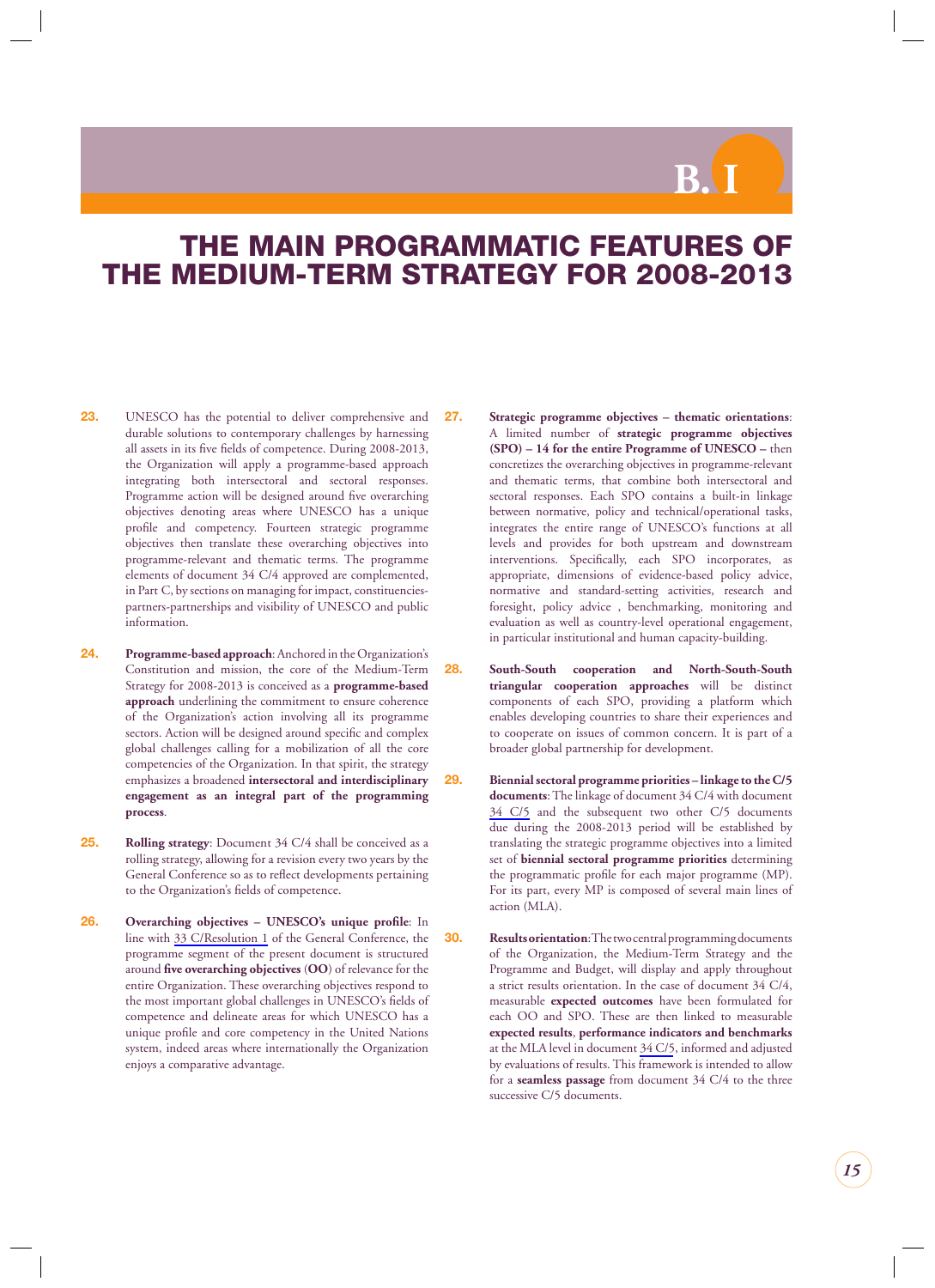**B. I**

## <span id="page-15-0"></span>**THE MAIN PROGRAMMATIC FEATURES OF THE MEDIUM-TERM STRATEGY FOR 2008-2013**

- **23.** UNESCO has the potential to deliver comprehensive and durable solutions to contemporary challenges by harnessing all assets in its five fields of competence. During 2008-2013, the Organization will apply a programme-based approach integrating both intersectoral and sectoral responses. Programme action will be designed around five overarching objectives denoting areas where UNESCO has a unique profile and competency. Fourteen strategic programme objectives then translate these overarching objectives into programme-relevant and thematic terms. The programme elements of document 34 C/4 approved are complemented, in Part C, by sections on managing for impact, constituenciespartners-partnerships and visibility of UNESCO and public information.
- **24. Programme-based approach**: Anchored in the Organization's Constitution and mission, the core of the Medium-Term Strategy for 2008-2013 is conceived as a **programme-based approach** underlining the commitment to ensure coherence of the Organization's action involving all its programme sectors. Action will be designed around specific and complex global challenges calling for a mobilization of all the core competencies of the Organization. In that spirit, the strategy emphasizes a broadened **intersectoral and interdisciplinary engagement as an integral part of the programming process**.
- **25. Rolling strategy**: Document 34 C/4 shall be conceived as a rolling strategy, allowing for a revision every two years by the General Conference so as to reflect developments pertaining to the Organization's fields of competence.
- **26. Overarching objectives UNESCO's unique profile**: In line with 33 C/Resolution 1 of the General Conference, the programme segment of the present document is structured around five overarching objectives (OO) of relevance for the entire Organization. These overarching objectives respond to the most important global challenges in UNESCO's fields of competence and delineate areas for which UNESCO has a unique profile and core competency in the United Nations system, indeed areas where internationally the Organization enjoys a comparative advantage.
- **27. Strategic programme objectives thematic orientations**: A limited number of **strategic programme objectives (SPO) – 14 for the entire Programme of UNESCO –** then concretizes the overarching objectives in programme-relevant and thematic terms, that combine both intersectoral and sectoral responses. Each SPO contains a built-in linkage between normative, policy and technical/operational tasks, integrates the entire range of UNESCO's functions at all levels and provides for both upstream and downstream interventions. Specifically, each SPO incorporates, as appropriate, dimensions of evidence-based policy advice, normative and standard-setting activities, research and foresight, policy advice , benchmarking, monitoring and evaluation as well as country-level operational engagement, in particular institutional and human capacity-building.
- **28. South-South cooperation and North-South-South triangular cooperation approaches** will be distinct components of each SPO, providing a platform which enables developing countries to share their experiences and to cooperate on issues of common concern. It is part of a broader global partnership for development.
- **29. Biennial sectoral programme priorities linkage to the C/5 documents**: The linkage of document 34 C/4 with document 34 C/5 and the subsequent two other C/5 documents due during the 2008-2013 period will be established by translating the strategic programme objectives into a limited set of **biennial sectoral programme priorities** determining the programmatic profile for each major programme (MP). For its part, every MP is composed of several main lines of action (MLA).
- **30. Results orientation**: The two central programming documents of the Organization, the Medium-Term Strategy and the Programme and Budget, will display and apply throughout a strict results orientation. In the case of document 34 C/4, measurable **expected outcomes** have been formulated for each OO and SPO. These are then linked to measurable **expected results**, **performance indicators and benchmarks**  at the MLA level in document 34 C/5, informed and adjusted by evaluations of results. This framework is intended to allow for a **seamless passage** from document 34 C/4 to the three successive C/5 documents.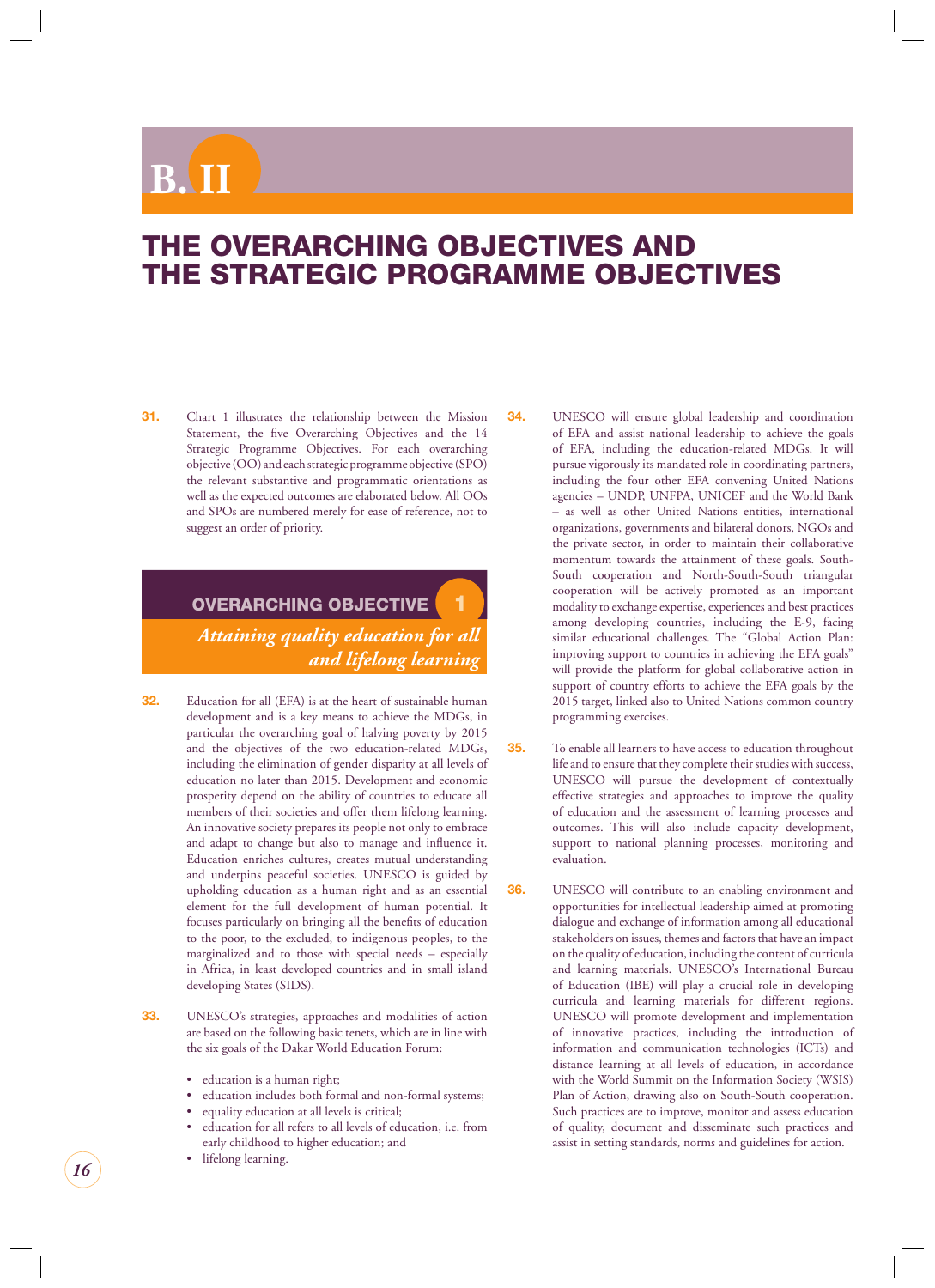## <span id="page-16-0"></span> $\mathbf{B}$

## **THE OVERARCHING OBJECTIVES AND THE STRATEGIC PROGRAMME OBJECTIVES**

**31.** Chart 1 illustrates the relationship between the Mission Statement, the five Overarching Objectives and the 14 Strategic Programme Objectives. For each overarching objective (OO) and each strategic programme objective (SPO) the relevant substantive and programmatic orientations as well as the expected outcomes are elaborated below. All OOs and SPOs are numbered merely for ease of reference, not to suggest an order of priority.

### **OVERARCHING OBJECTIVE 1** *Attaining quality education for all and lifelong learning*

- **32.** Education for all (EFA) is at the heart of sustainable human development and is a key means to achieve the MDGs, in particular the overarching goal of halving poverty by 2015 and the objectives of the two education-related MDGs, including the elimination of gender disparity at all levels of education no later than 2015. Development and economic prosperity depend on the ability of countries to educate all members of their societies and offer them lifelong learning. An innovative society prepares its people not only to embrace and adapt to change but also to manage and influence it. Education enriches cultures, creates mutual understanding and underpins peaceful societies. UNESCO is guided by upholding education as a human right and as an essential element for the full development of human potential. It focuses particularly on bringing all the benefits of education to the poor, to the excluded, to indigenous peoples, to the marginalized and to those with special needs – especially in Africa, in least developed countries and in small island developing States (SIDS).
- **33.** UNESCO's strategies, approaches and modalities of action are based on the following basic tenets, which are in line with the six goals of the Dakar World Education Forum:
	- education is a human right;
	- education includes both formal and non-formal systems;
	- equality education at all levels is critical;
	- education for all refers to all levels of education, i.e. from early childhood to higher education; and
	- lifelong learning.

**34.** UNESCO will ensure global leadership and coordination of EFA and assist national leadership to achieve the goals of EFA, including the education-related MDGs. It will pursue vigorously its mandated role in coordinating partners, including the four other EFA convening United Nations agencies – UNDP, UNFPA, UNICEF and the World Bank – as well as other United Nations entities, international organizations, governments and bilateral donors, NGOs and the private sector, in order to maintain their collaborative momentum towards the attainment of these goals. South-South cooperation and North-South-South triangular cooperation will be actively promoted as an important modality to exchange expertise, experiences and best practices among developing countries, including the E-9, facing similar educational challenges. The "Global Action Plan: improving support to countries in achieving the EFA goals" will provide the platform for global collaborative action in support of country efforts to achieve the EFA goals by the 2015 target, linked also to United Nations common country programming exercises.

- **35.** To enable all learners to have access to education throughout life and to ensure that they complete their studies with success, UNESCO will pursue the development of contextually effective strategies and approaches to improve the quality of education and the assessment of learning processes and outcomes. This will also include capacity development, support to national planning processes, monitoring and evaluation.
- **36.** UNESCO will contribute to an enabling environment and opportunities for intellectual leadership aimed at promoting dialogue and exchange of information among all educational stakeholders on issues, themes and factors that have an impact on the quality of education, including the content of curricula and learning materials. UNESCO's International Bureau of Education (IBE) will play a crucial role in developing curricula and learning materials for different regions. UNESCO will promote development and implementation of innovative practices, including the introduction of information and communication technologies (ICTs) and distance learning at all levels of education, in accordance with the World Summit on the Information Society (WSIS) Plan of Action, drawing also on South-South cooperation. Such practices are to improve, monitor and assess education of quality, document and disseminate such practices and assist in setting standards, norms and guidelines for action.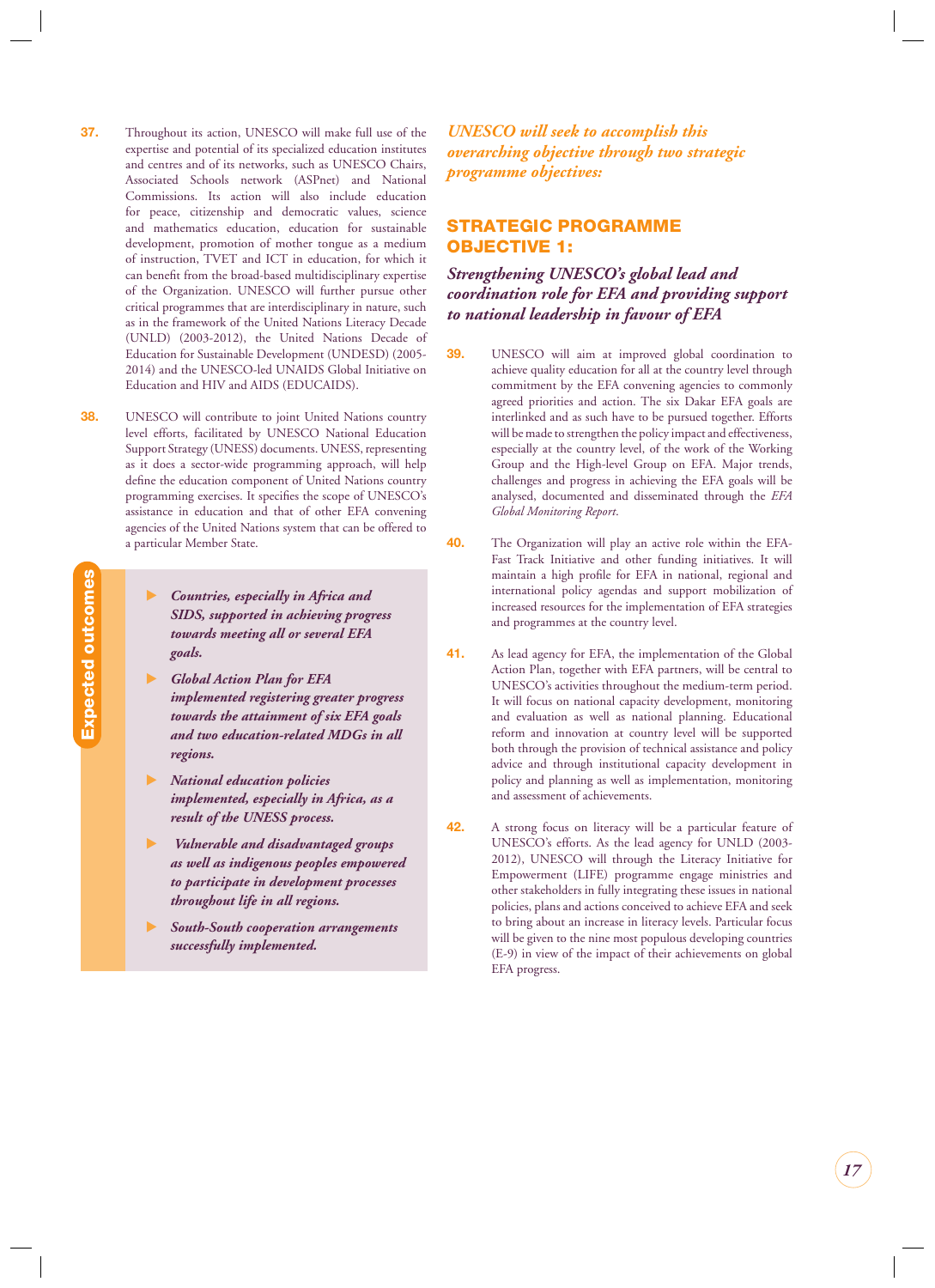- <span id="page-17-0"></span>**37.** Throughout its action, UNESCO will make full use of the expertise and potential of its specialized education institutes and centres and of its networks, such as UNESCO Chairs, Associated Schools network (ASPnet) and National Commissions. Its action will also include education for peace, citizenship and democratic values, science and mathematics education, education for sustainable development, promotion of mother tongue as a medium of instruction, TVET and ICT in education, for which it can benefit from the broad-based multidisciplinary expertise of the Organization. UNESCO will further pursue other critical programmes that are interdisciplinary in nature, such as in the framework of the United Nations Literacy Decade (UNLD) (2003-2012), the United Nations Decade of Education for Sustainable Development (UNDESD) (2005- 2014) and the UNESCO-led UNAIDS Global Initiative on Education and HIV and AIDS (EDUCAIDS).
- **38.** UNESCO will contribute to joint United Nations country level efforts, facilitated by UNESCO National Education Support Strategy (UNESS) documents. UNESS, representing as it does a sector-wide programming approach, will help define the education component of United Nations country programming exercises. It specifies the scope of UNESCO's assistance in education and that of other EFA convening agencies of the United Nations system that can be offered to a particular Member State.
	- - *Countries, especially in Africa and SIDS, supported in achieving progress towards meeting all or several EFA goals.*
	- $\blacktriangleright$  *Global Action Plan for EFA implemented registering greater progress towards the attainment of six EFA goals and two education-related MDGs in all regions.*
	- - *National education policies implemented, especially in Africa, as a result of the UNESS process.*
	- - *Vulnerable and disadvantaged groups as well as indigenous peoples empowered to participate in development processes throughout life in all regions.*
	- - *South-South cooperation arrangements successfully implemented.*

*UNESCO will seek to accomplish this overarching objective through two strategic programme objectives:*

#### **STRATEGIC PROGRAMME OBJECTIVE 1:**

*Strengthening UNESCO's global lead and coordination role for EFA and providing support to national leadership in favour of EFA*

- **39.** UNESCO will aim at improved global coordination to achieve quality education for all at the country level through commitment by the EFA convening agencies to commonly agreed priorities and action. The six Dakar EFA goals are interlinked and as such have to be pursued together. Efforts will be made to strengthen the policy impact and effectiveness, especially at the country level, of the work of the Working Group and the High-level Group on EFA. Major trends, challenges and progress in achieving the EFA goals will be analysed, documented and disseminated through the *EFA Global Monitoring Report*.
- **40.** The Organization will play an active role within the EFA-Fast Track Initiative and other funding initiatives. It will maintain a high profile for EFA in national, regional and international policy agendas and support mobilization of increased resources for the implementation of EFA strategies and programmes at the country level.
- **41.** As lead agency for EFA, the implementation of the Global Action Plan, together with EFA partners, will be central to UNESCO's activities throughout the medium-term period. It will focus on national capacity development, monitoring and evaluation as well as national planning. Educational reform and innovation at country level will be supported both through the provision of technical assistance and policy advice and through institutional capacity development in policy and planning as well as implementation, monitoring and assessment of achievements.
- **42.** A strong focus on literacy will be a particular feature of UNESCO's efforts. As the lead agency for UNLD (2003- 2012), UNESCO will through the Literacy Initiative for Empowerment (LIFE) programme engage ministries and other stakeholders in fully integrating these issues in national policies, plans and actions conceived to achieve EFA and seek to bring about an increase in literacy levels. Particular focus will be given to the nine most populous developing countries (E-9) in view of the impact of their achievements on global EFA progress.

Expected outcomes **Expected outcomes**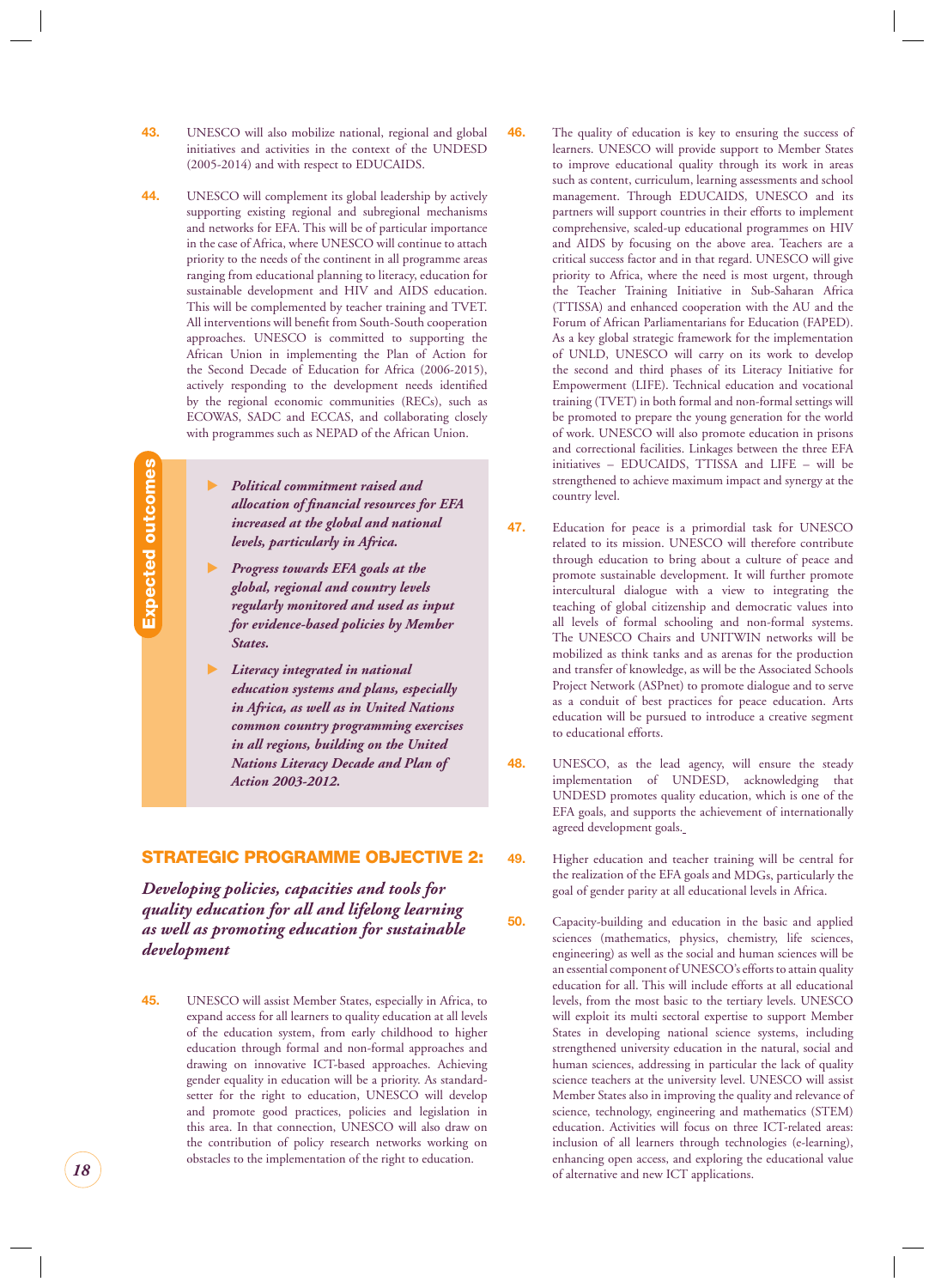- <span id="page-18-0"></span>**43.** UNESCO will also mobilize national, regional and global initiatives and activities in the context of the UNDESD (2005-2014) and with respect to EDUCAIDS.
- **44.** UNESCO will complement its global leadership by actively supporting existing regional and subregional mechanisms and networks for EFA. This will be of particular importance in the case of Africa, where UNESCO will continue to attach priority to the needs of the continent in all programme areas ranging from educational planning to literacy, education for sustainable development and HIV and AIDS education. This will be complemented by teacher training and TVET. All interventions will benefit from South-South cooperation approaches. UNESCO is committed to supporting the African Union in implementing the Plan of Action for the Second Decade of Education for Africa (2006-2015), actively responding to the development needs identified by the regional economic communities (RECs), such as ECOWAS, SADC and ECCAS, and collaborating closely with programmes such as NEPAD of the African Union.

Expected outcomes **Expected outcomes**

- $\blacktriangleright$  *Political commitment raised and allocation of fi nancial resources for EFA increased at the global and national levels, particularly in Africa.*
- $\blacktriangleright$  *Progress towards EFA goals at the global, regional and country levels regularly monitored and used as input for evidence-based policies by Member States.*
- $\blacktriangleright$  *Literacy integrated in national education systems and plans, especially in Africa, as well as in United Nations common country programming exercises in all regions, building on the United Nations Literacy Decade and Plan of Action 2003-2012.*

#### **STRATEGIC PROGRAMME OBJECTIVE 2:**

*Developing policies, capacities and tools for quality education for all and lifelong learning as well as promoting education for sustainable development*

**45.** UNESCO will assist Member States, especially in Africa, to expand access for all learners to quality education at all levels of the education system, from early childhood to higher education through formal and non-formal approaches and drawing on innovative ICT-based approaches. Achieving gender equality in education will be a priority. As standardsetter for the right to education, UNESCO will develop and promote good practices, policies and legislation in this area. In that connection, UNESCO will also draw on the contribution of policy research networks working on obstacles to the implementation of the right to education.

- **46.** The quality of education is key to ensuring the success of learners. UNESCO will provide support to Member States to improve educational quality through its work in areas such as content, curriculum, learning assessments and school management. Through EDUCAIDS, UNESCO and its partners will support countries in their efforts to implement comprehensive, scaled-up educational programmes on HIV and AIDS by focusing on the above area. Teachers are a critical success factor and in that regard. UNESCO will give priority to Africa, where the need is most urgent, through the Teacher Training Initiative in Sub-Saharan Africa (TTISSA) and enhanced cooperation with the AU and the Forum of African Parliamentarians for Education (FAPED). As a key global strategic framework for the implementation of UNLD, UNESCO will carry on its work to develop the second and third phases of its Literacy Initiative for Empowerment (LIFE). Technical education and vocational training (TVET) in both formal and non-formal settings will be promoted to prepare the young generation for the world of work. UNESCO will also promote education in prisons and correctional facilities. Linkages between the three EFA initiatives – EDUCAIDS, TTISSA and LIFE – will be strengthened to achieve maximum impact and synergy at the country level.
- **47.** Education for peace is a primordial task for UNESCO related to its mission. UNESCO will therefore contribute through education to bring about a culture of peace and promote sustainable development. It will further promote intercultural dialogue with a view to integrating the teaching of global citizenship and democratic values into all levels of formal schooling and non-formal systems. The UNESCO Chairs and UNITWIN networks will be mobilized as think tanks and as arenas for the production and transfer of knowledge, as will be the Associated Schools Project Network (ASPnet) to promote dialogue and to serve as a conduit of best practices for peace education. Arts education will be pursued to introduce a creative segment to educational efforts.
- **48.** UNESCO, as the lead agency, will ensure the steady implementation of UNDESD, acknowledging that UNDESD promotes quality education, which is one of the EFA goals, and supports the achievement of internationally agreed development goals.
- **49.** Higher education and teacher training will be central for the realization of the EFA goals and MDGs, particularly the goal of gender parity at all educational levels in Africa.
- **50.** Capacity-building and education in the basic and applied sciences (mathematics, physics, chemistry, life sciences, engineering) as well as the social and human sciences will be an essential component of UNESCO's efforts to attain quality education for all. This will include efforts at all educational levels, from the most basic to the tertiary levels. UNESCO will exploit its multi sectoral expertise to support Member States in developing national science systems, including strengthened university education in the natural, social and human sciences, addressing in particular the lack of quality science teachers at the university level. UNESCO will assist Member States also in improving the quality and relevance of science, technology, engineering and mathematics (STEM) education. Activities will focus on three ICT-related areas: inclusion of all learners through technologies (e-learning), enhancing open access, and exploring the educational value of alternative and new ICT applications.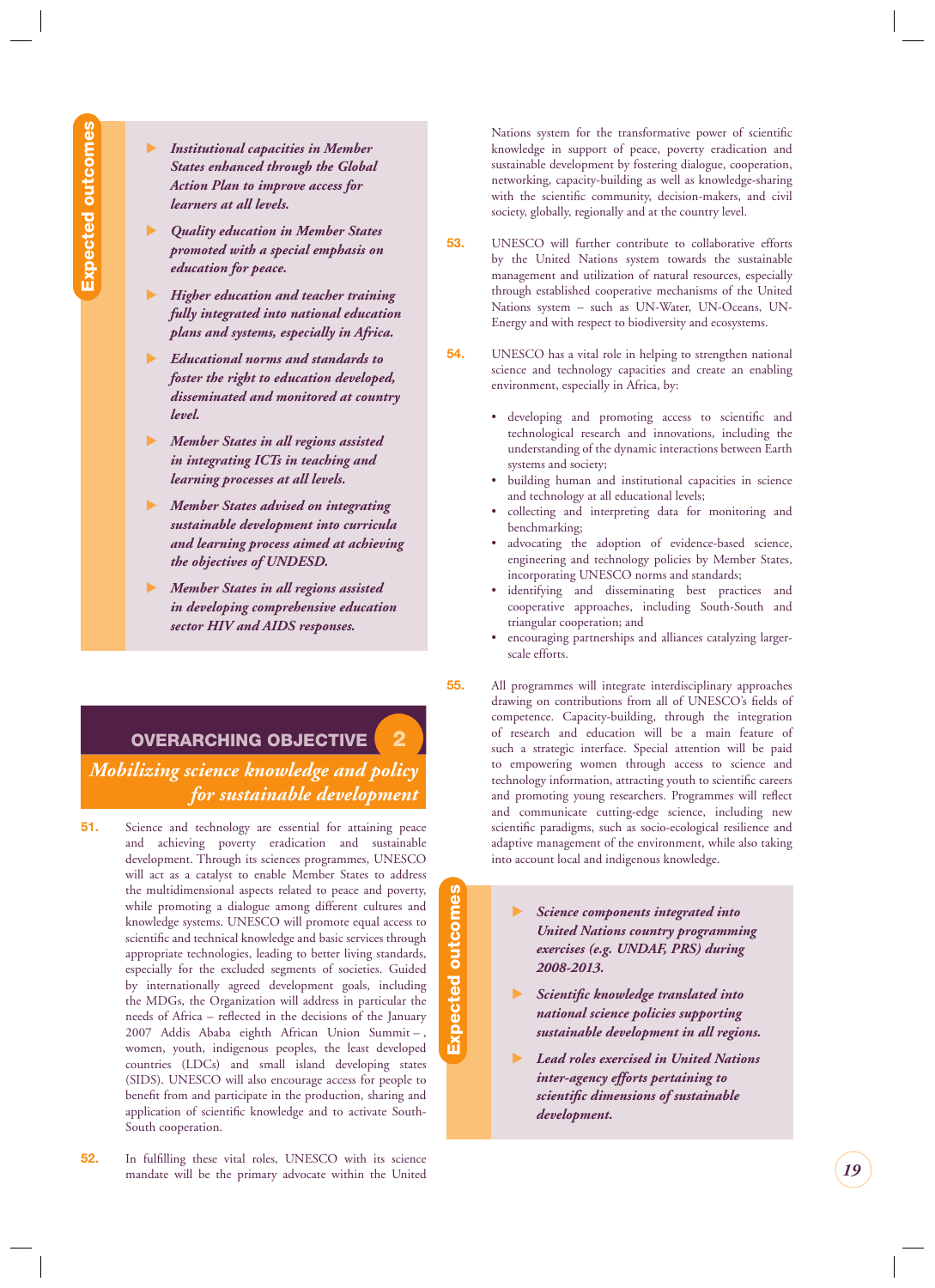- <span id="page-19-0"></span> $\blacktriangleright$  *Institutional capacities in Member States enhanced through the Global Action Plan to improve access for learners at all levels.*
- $\blacktriangleright$  *Quality education in Member States promoted with a special emphasis on education for peace.*
- $\blacktriangleright$  *Higher education and teacher training fully integrated into national education plans and systems, especially in Africa.*
- - *Educational norms and standards to foster the right to education developed, disseminated and monitored at country level.*
- $\blacktriangleright$  *Member States in all regions assisted in integrating ICTs in teaching and learning processes at all levels.*
- - *Member States advised on integrating sustainable development into curricula and learning process aimed at achieving the objectives of UNDESD.*
- $\blacktriangleright$  *Member States in all regions assisted in developing comprehensive education sector HIV and AIDS responses.*

**OVERARCHING OBJECTIVE 2**

*Mobilizing science knowledge and policy for sustainable development*

- **51.** Science and technology are essential for attaining peace and achieving poverty eradication and sustainable development. Through its sciences programmes, UNESCO will act as a catalyst to enable Member States to address the multidimensional aspects related to peace and poverty, while promoting a dialogue among different cultures and knowledge systems. UNESCO will promote equal access to scientific and technical knowledge and basic services through appropriate technologies, leading to better living standards, especially for the excluded segments of societies. Guided by internationally agreed development goals, including the MDGs, the Organization will address in particular the needs of Africa – reflected in the decisions of the January 2007 Addis Ababa eighth African Union Summit – , women, youth, indigenous peoples, the least developed countries (LDCs) and small island developing states (SIDS). UNESCO will also encourage access for people to benefit from and participate in the production, sharing and application of scientific knowledge and to activate South-South cooperation.
- **52.** In fulfilling these vital roles, UNESCO with its science mandate will be the primary advocate within the United

Nations system for the transformative power of scientific knowledge in support of peace, poverty eradication and sustainable development by fostering dialogue, cooperation, networking, capacity-building as well as knowledge-sharing with the scientific community, decision-makers, and civil society, globally, regionally and at the country level.

- **53.** UNESCO will further contribute to collaborative efforts by the United Nations system towards the sustainable management and utilization of natural resources, especially through established cooperative mechanisms of the United Nations system – such as UN-Water, UN-Oceans, UN-Energy and with respect to biodiversity and ecosystems.
- **54.** UNESCO has a vital role in helping to strengthen national science and technology capacities and create an enabling environment, especially in Africa, by:
	- developing and promoting access to scientific and technological research and innovations, including the understanding of the dynamic interactions between Earth systems and society;
	- building human and institutional capacities in science and technology at all educational levels;
	- collecting and interpreting data for monitoring and benchmarking;
	- advocating the adoption of evidence-based science, engineering and technology policies by Member States, incorporating UNESCO norms and standards;
	- identifying and disseminating best practices and cooperative approaches, including South-South and triangular cooperation; and
	- encouraging partnerships and alliances catalyzing largerscale efforts.
- **55.** All programmes will integrate interdisciplinary approaches drawing on contributions from all of UNESCO's fields of competence. Capacity-building, through the integration of research and education will be a main feature of such a strategic interface. Special attention will be paid to empowering women through access to science and technology information, attracting youth to scientific careers and promoting young researchers. Programmes will reflect and communicate cutting-edge science, including new scientific paradigms, such as socio-ecological resilience and adaptive management of the environment, while also taking into account local and indigenous knowledge.
	- $\blacktriangleright$  *Science components integrated into United Nations country programming exercises (e.g. UNDAF, PRS) during 2008-2013.*

**Expected outcomes**

pected outcomes

- $\blacktriangleright$  *Scientifi c knowledge translated into national science policies supporting sustainable development in all regions.*
- $\blacktriangleright$  *Lead roles exercised in United Nations inter-agency efforts pertaining to scientifi c dimensions of sustainable development.*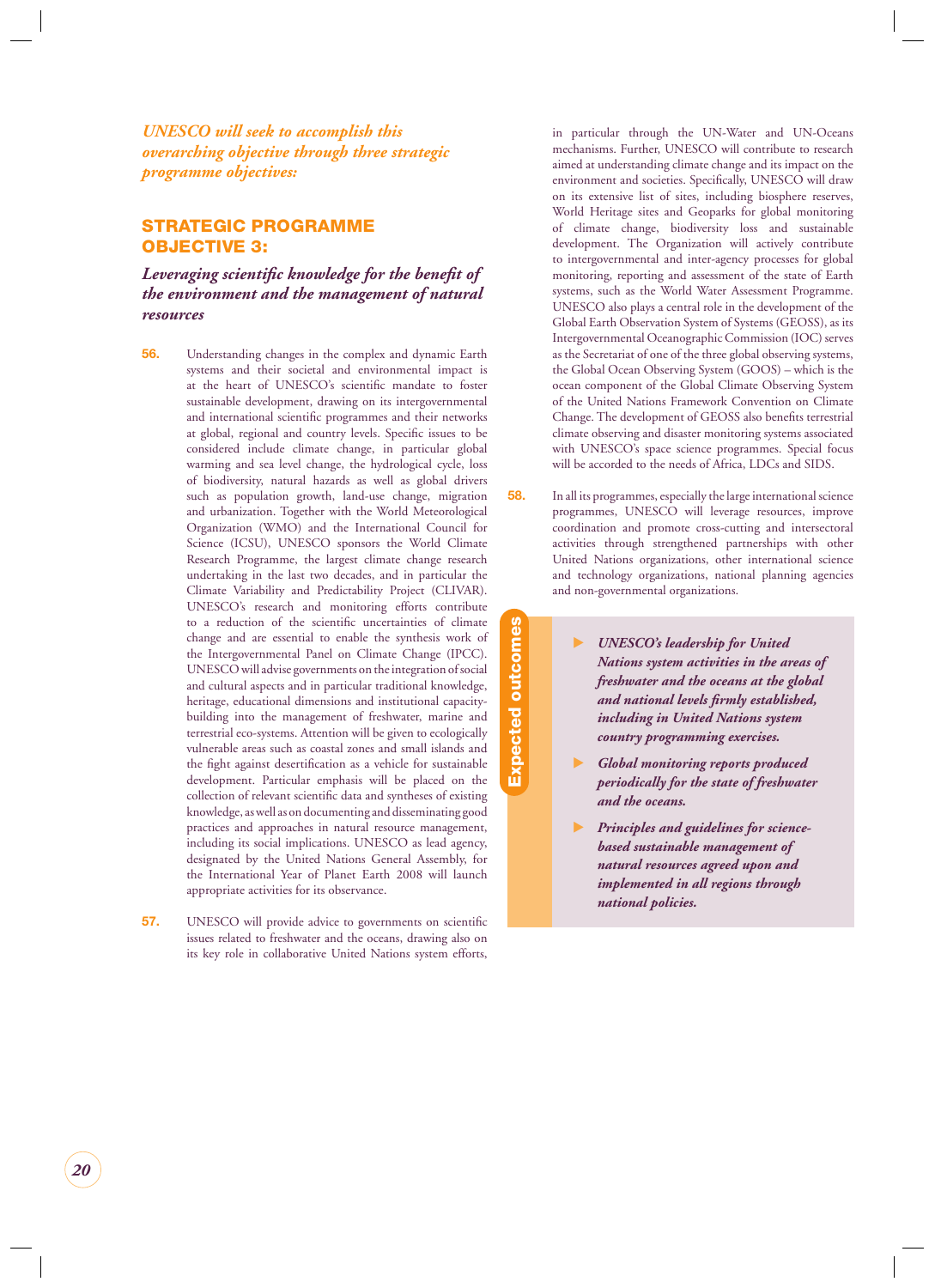<span id="page-20-0"></span>*UNESCO will seek to accomplish this overarching objective through three strategic programme objectives:*

#### **STRATEGIC PROGRAMME OBJECTIVE 3:**

Leveraging scientific knowledge for the benefit of *the environment and the management of natural resources*

- **56.** Understanding changes in the complex and dynamic Earth systems and their societal and environmental impact is at the heart of UNESCO's scientific mandate to foster sustainable development, drawing on its intergovernmental and international scientific programmes and their networks at global, regional and country levels. Specific issues to be considered include climate change, in particular global warming and sea level change, the hydrological cycle, loss of biodiversity, natural hazards as well as global drivers such as population growth, land-use change, migration and urbanization. Together with the World Meteorological Organization (WMO) and the International Council for Science (ICSU), UNESCO sponsors the World Climate Research Programme, the largest climate change research undertaking in the last two decades, and in particular the Climate Variability and Predictability Project (CLIVAR). UNESCO's research and monitoring efforts contribute to a reduction of the scientific uncertainties of climate change and are essential to enable the synthesis work of the Intergovernmental Panel on Climate Change (IPCC). UNESCO will advise governments on the integration of social and cultural aspects and in particular traditional knowledge, heritage, educational dimensions and institutional capacitybuilding into the management of freshwater, marine and terrestrial eco-systems. Attention will be given to ecologically vulnerable areas such as coastal zones and small islands and the fight against desertification as a vehicle for sustainable development. Particular emphasis will be placed on the collection of relevant scientific data and syntheses of existing knowledge, as well as on documenting and disseminating good practices and approaches in natural resource management, including its social implications. UNESCO as lead agency, designated by the United Nations General Assembly, for the International Year of Planet Earth 2008 will launch appropriate activities for its observance.
- **57.** UNESCO will provide advice to governments on scientific issues related to freshwater and the oceans, drawing also on its key role in collaborative United Nations system efforts,

in particular through the UN-Water and UN-Oceans mechanisms. Further, UNESCO will contribute to research aimed at understanding climate change and its impact on the environment and societies. Specifically, UNESCO will draw on its extensive list of sites, including biosphere reserves, World Heritage sites and Geoparks for global monitoring of climate change, biodiversity loss and sustainable development. The Organization will actively contribute to intergovernmental and inter-agency processes for global monitoring, reporting and assessment of the state of Earth systems, such as the World Water Assessment Programme. UNESCO also plays a central role in the development of the Global Earth Observation System of Systems (GEOSS), as its Intergovernmental Oceanographic Commission (IOC) serves as the Secretariat of one of the three global observing systems, the Global Ocean Observing System (GOOS) – which is the ocean component of the Global Climate Observing System of the United Nations Framework Convention on Climate Change. The development of GEOSS also benefits terrestrial climate observing and disaster monitoring systems associated with UNESCO's space science programmes. Special focus will be accorded to the needs of Africa, LDCs and SIDS.

**58.** In all its programmes, especially the large international science programmes, UNESCO will leverage resources, improve coordination and promote cross-cutting and intersectoral activities through strengthened partnerships with other United Nations organizations, other international science and technology organizations, national planning agencies and non-governmental organizations.

> - *UNESCO's leadership for United Nations system activities in the areas of freshwater and the oceans at the global and national levels fi rmly established, including in United Nations system country programming exercises.*

**Expected outcomes**

**Expected outcomes** 

- - *Global monitoring reports produced periodically for the state of freshwater and the oceans.*
- - *Principles and guidelines for sciencebased sustainable management of natural resources agreed upon and implemented in all regions through national policies.*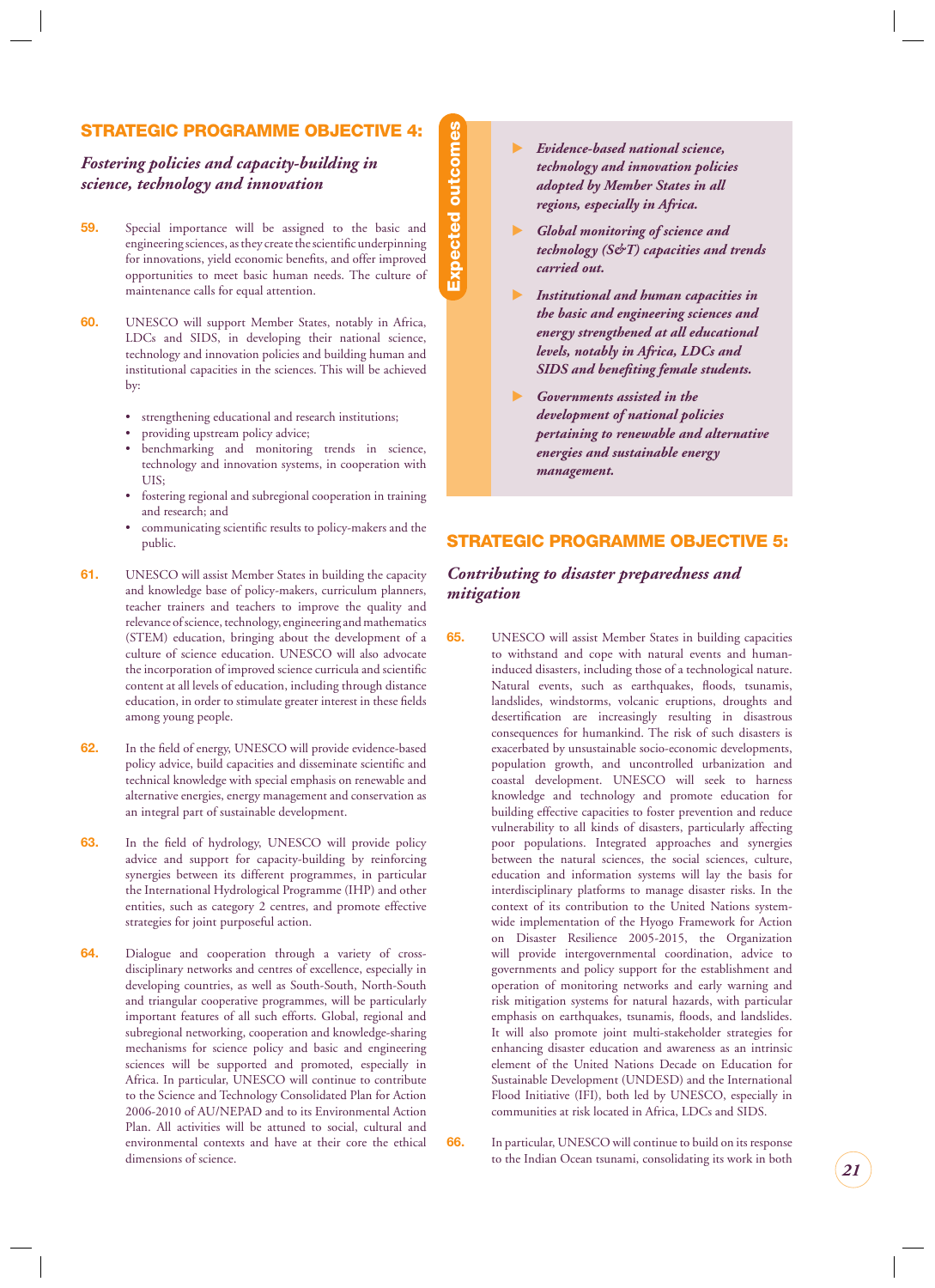#### <span id="page-21-0"></span>**STRATEGIC PROGRAMME OBJECTIVE 4:**

#### *Fostering policies and capacity-building in science, technology and innovation*

**Expected outcomes Expected outcomes**

- **59.** Special importance will be assigned to the basic and engineering sciences, as they create the scientific underpinning for innovations, yield economic benefits, and offer improved opportunities to meet basic human needs. The culture of maintenance calls for equal attention.
- **60.** UNESCO will support Member States, notably in Africa, LDCs and SIDS, in developing their national science, technology and innovation policies and building human and institutional capacities in the sciences. This will be achieved by:
	- strengthening educational and research institutions;
	- providing upstream policy advice;
	- benchmarking and monitoring trends in science, technology and innovation systems, in cooperation with UIS;
	- fostering regional and subregional cooperation in training and research; and
	- communicating scientific results to policy-makers and the public.
- **61.** UNESCO will assist Member States in building the capacity and knowledge base of policy-makers, curriculum planners, teacher trainers and teachers to improve the quality and relevance of science, technology, engineering and mathematics (STEM) education, bringing about the development of a culture of science education. UNESCO will also advocate the incorporation of improved science curricula and scientific content at all levels of education, including through distance education, in order to stimulate greater interest in these fields among young people.
- **62.** In the field of energy, UNESCO will provide evidence-based policy advice, build capacities and disseminate scientific and technical knowledge with special emphasis on renewable and alternative energies, energy management and conservation as an integral part of sustainable development.
- 63. In the field of hydrology, UNESCO will provide policy advice and support for capacity-building by reinforcing synergies between its different programmes, in particular the International Hydrological Programme (IHP) and other entities, such as category 2 centres, and promote effective strategies for joint purposeful action.
- **64.** Dialogue and cooperation through a variety of crossdisciplinary networks and centres of excellence, especially in developing countries, as well as South-South, North-South and triangular cooperative programmes, will be particularly important features of all such efforts. Global, regional and subregional networking, cooperation and knowledge-sharing mechanisms for science policy and basic and engineering sciences will be supported and promoted, especially in Africa. In particular, UNESCO will continue to contribute to the Science and Technology Consolidated Plan for Action 2006-2010 of AU/NEPAD and to its Environmental Action Plan. All activities will be attuned to social, cultural and environmental contexts and have at their core the ethical dimensions of science.
- $\blacktriangleright$  *Evidence-based national science, technology and innovation policies adopted by Member States in all regions, especially in Africa.*
- $\blacktriangleright$  *Global monitoring of science and technology (S&T) capacities and trends carried out.*
- $\blacktriangleright$  *Institutional and human capacities in the basic and engineering sciences and energy strengthened at all educational levels, notably in Africa, LDCs and*  **SIDS** and benefiting female students.
- - *Governments assisted in the development of national policies pertaining to renewable and alternative energies and sustainable energy management.*

#### **STRATEGIC PROGRAMME OBJECTIVE 5:**

#### *Contributing to disaster preparedness and mitigation*

**65.** UNESCO will assist Member States in building capacities to withstand and cope with natural events and humaninduced disasters, including those of a technological nature. Natural events, such as earthquakes, floods, tsunamis, landslides, windstorms, volcanic eruptions, droughts and desertification are increasingly resulting in disastrous consequences for humankind. The risk of such disasters is exacerbated by unsustainable socio-economic developments, population growth, and uncontrolled urbanization and coastal development. UNESCO will seek to harness knowledge and technology and promote education for building effective capacities to foster prevention and reduce vulnerability to all kinds of disasters, particularly affecting poor populations. Integrated approaches and synergies between the natural sciences, the social sciences, culture, education and information systems will lay the basis for interdisciplinary platforms to manage disaster risks. In the context of its contribution to the United Nations systemwide implementation of the Hyogo Framework for Action on Disaster Resilience 2005-2015, the Organization will provide intergovernmental coordination, advice to governments and policy support for the establishment and operation of monitoring networks and early warning and risk mitigation systems for natural hazards, with particular emphasis on earthquakes, tsunamis, floods, and landslides. It will also promote joint multi-stakeholder strategies for enhancing disaster education and awareness as an intrinsic element of the United Nations Decade on Education for Sustainable Development (UNDESD) and the International Flood Initiative (IFI), both led by UNESCO, especially in communities at risk located in Africa, LDCs and SIDS.

**66.** In particular, UNESCO will continue to build on its response to the Indian Ocean tsunami, consolidating its work in both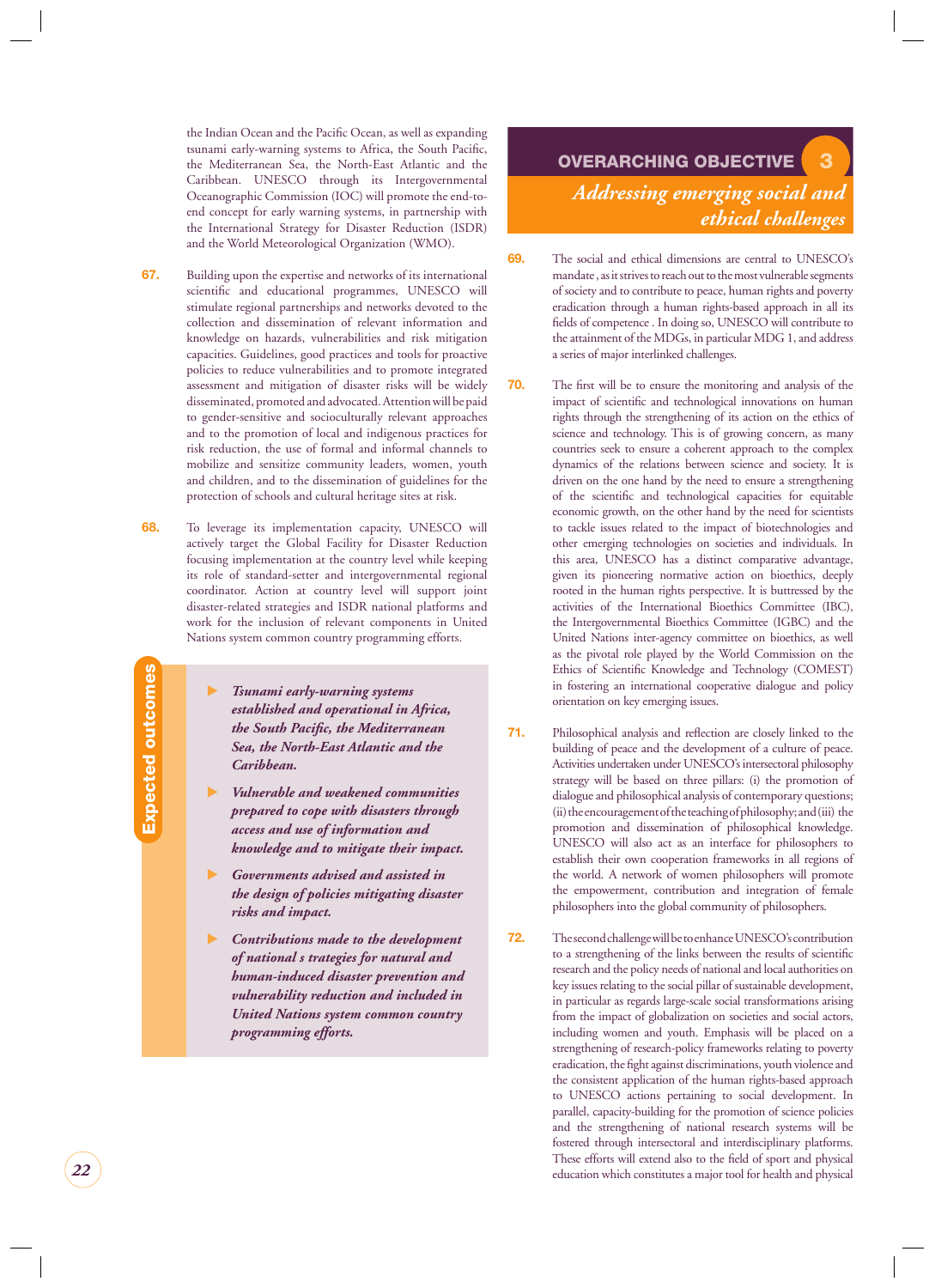<span id="page-22-0"></span>the Indian Ocean and the Pacific Ocean, as well as expanding tsunami early-warning systems to Africa, the South Pacific, the Mediterranean Sea, the North-East Atlantic and the Caribbean. UNESCO through its Intergovernmental Oceanographic Commission (IOC) will promote the end-toend concept for early warning systems, in partnership with the International Strategy for Disaster Reduction (ISDR) and the World Meteorological Organization (WMO).

- **67.** Building upon the expertise and networks of its international scientific and educational programmes, UNESCO will stimulate regional partnerships and networks devoted to the collection and dissemination of relevant information and knowledge on hazards, vulnerabilities and risk mitigation capacities. Guidelines, good practices and tools for proactive policies to reduce vulnerabilities and to promote integrated assessment and mitigation of disaster risks will be widely disseminated, promoted and advocated. Attention will be paid to gender-sensitive and socioculturally relevant approaches and to the promotion of local and indigenous practices for risk reduction, the use of formal and informal channels to mobilize and sensitize community leaders, women, youth and children, and to the dissemination of guidelines for the protection of schools and cultural heritage sites at risk.
- **68.** To leverage its implementation capacity, UNESCO will actively target the Global Facility for Disaster Reduction focusing implementation at the country level while keeping its role of standard-setter and intergovernmental regional coordinator. Action at country level will support joint disaster-related strategies and ISDR national platforms and work for the inclusion of relevant components in United Nations system common country programming efforts.
	- $\blacktriangleright$  *Tsunami early-warning systems established and operational in Africa, the South Pacific, the Mediterranean Sea, the North-East Atlantic and the Caribbean.*
	- $\blacksquare$  *Vulnerable and weakened communities prepared to cope with disasters through access and use of information and knowledge and to mitigate their impact.*
	- $\blacktriangleright$  *Governments advised and assisted in the design of policies mitigating disaster risks and impact.*
	- $\blacktriangleright$  *Contributions made to the development of national s trategies for natural and human-induced disaster prevention and vulnerability reduction and included in United Nations system common country programming efforts.*

## **OVERARCHING OBJECTIVE 3** *Addressing emerging social and ethical challenges*

- **69.** The social and ethical dimensions are central to UNESCO's mandate, as it strives to reach out to the most vulnerable segments of society and to contribute to peace, human rights and poverty eradication through a human rights-based approach in all its fields of competence . In doing so, UNESCO will contribute to the attainment of the MDGs, in particular MDG 1, and address a series of major interlinked challenges.
- **70.** The first will be to ensure the monitoring and analysis of the impact of scientific and technological innovations on human rights through the strengthening of its action on the ethics of science and technology. This is of growing concern, as many countries seek to ensure a coherent approach to the complex dynamics of the relations between science and society. It is driven on the one hand by the need to ensure a strengthening of the scientific and technological capacities for equitable economic growth, on the other hand by the need for scientists to tackle issues related to the impact of biotechnologies and other emerging technologies on societies and individuals. In this area, UNESCO has a distinct comparative advantage, given its pioneering normative action on bioethics, deeply rooted in the human rights perspective. It is buttressed by the activities of the International Bioethics Committee (IBC), the Intergovernmental Bioethics Committee (IGBC) and the United Nations inter-agency committee on bioethics, as well as the pivotal role played by the World Commission on the Ethics of Scientific Knowledge and Technology (COMEST) in fostering an international cooperative dialogue and policy orientation on key emerging issues.
- **71.** Philosophical analysis and reflection are closely linked to the building of peace and the development of a culture of peace. Activities undertaken under UNESCO's intersectoral philosophy strategy will be based on three pillars: (i) the promotion of dialogue and philosophical analysis of contemporary questions; (ii) the encouragement of the teaching of philosophy; and (iii) the promotion and dissemination of philosophical knowledge. UNESCO will also act as an interface for philosophers to establish their own cooperation frameworks in all regions of the world. A network of women philosophers will promote the empowerment, contribution and integration of female philosophers into the global community of philosophers.
- **72.** The second challenge will be to enhance UNESCO's contribution to a strengthening of the links between the results of scientific research and the policy needs of national and local authorities on key issues relating to the social pillar of sustainable development, in particular as regards large-scale social transformations arising from the impact of globalization on societies and social actors, including women and youth. Emphasis will be placed on a strengthening of research-policy frameworks relating to poverty eradication, the fight against discriminations, youth violence and the consistent application of the human rights-based approach to UNESCO actions pertaining to social development. In parallel, capacity-building for the promotion of science policies and the strengthening of national research systems will be fostered through intersectoral and interdisciplinary platforms. These efforts will extend also to the field of sport and physical education which constitutes a major tool for health and physical

**Expected outcomes**

**Expected outcomes** 

*22*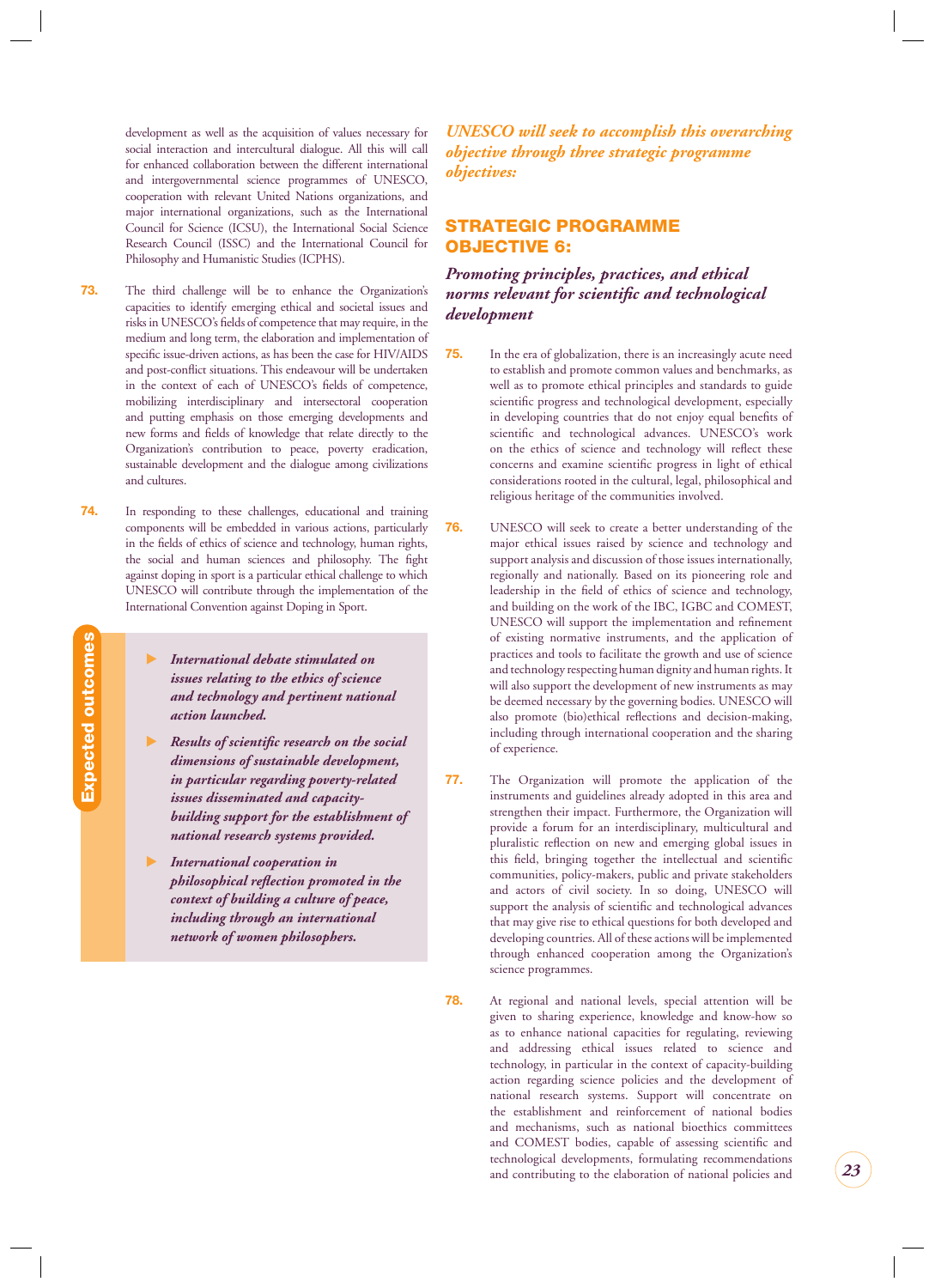<span id="page-23-0"></span>development as well as the acquisition of values necessary for social interaction and intercultural dialogue. All this will call for enhanced collaboration between the different international and intergovernmental science programmes of UNESCO, cooperation with relevant United Nations organizations, and major international organizations, such as the International Council for Science (ICSU), the International Social Science Research Council (ISSC) and the International Council for Philosophy and Humanistic Studies (ICPHS).

- **73.** The third challenge will be to enhance the Organization's capacities to identify emerging ethical and societal issues and risks in UNESCO's fields of competence that may require, in the medium and long term, the elaboration and implementation of specific issue-driven actions, as has been the case for HIV/AIDS and post-conflict situations. This endeavour will be undertaken in the context of each of UNESCO's fields of competence, mobilizing interdisciplinary and intersectoral cooperation and putting emphasis on those emerging developments and new forms and fields of knowledge that relate directly to the Organization's contribution to peace, poverty eradication, sustainable development and the dialogue among civilizations and cultures.
- **74.** In responding to these challenges, educational and training components will be embedded in various actions, particularly in the fields of ethics of science and technology, human rights, the social and human sciences and philosophy. The fight against doping in sport is a particular ethical challenge to which UNESCO will contribute through the implementation of the International Convention against Doping in Sport.
	- $\blacktriangleright$  *International debate stimulated on issues relating to the ethics of science and technology and pertinent national action launched.*

**Expected outcomes**

Expected outcomes

- -*Results of scientific research on the social dimensions of sustainable development, in particular regarding poverty-related issues disseminated and capacitybuilding support for the establishment of national research systems provided.*
- - *International cooperation in philosophical reflection promoted in the context of building a culture of peace, including through an international network of women philosophers.*

*UNESCO will seek to accomplish this overarching objective through three strategic programme objectives:*

#### **STRATEGIC PROGRAMME OBJECTIVE 6:**

#### *Promoting principles, practices, and ethical norms relevant for scientific and technological development*

- **75.** In the era of globalization, there is an increasingly acute need to establish and promote common values and benchmarks, as well as to promote ethical principles and standards to guide scientific progress and technological development, especially in developing countries that do not enjoy equal benefits of scientific and technological advances. UNESCO's work on the ethics of science and technology will reflect these concerns and examine scientific progress in light of ethical considerations rooted in the cultural, legal, philosophical and religious heritage of the communities involved.
- **76.** UNESCO will seek to create a better understanding of the major ethical issues raised by science and technology and support analysis and discussion of those issues internationally, regionally and nationally. Based on its pioneering role and leadership in the field of ethics of science and technology, and building on the work of the IBC, IGBC and COMEST, UNESCO will support the implementation and refinement of existing normative instruments, and the application of practices and tools to facilitate the growth and use of science and technology respecting human dignity and human rights. It will also support the development of new instruments as may be deemed necessary by the governing bodies. UNESCO will also promote (bio)ethical reflections and decision-making, including through international cooperation and the sharing of experience.
- **77.** The Organization will promote the application of the instruments and guidelines already adopted in this area and strengthen their impact. Furthermore, the Organization will provide a forum for an interdisciplinary, multicultural and pluralistic reflection on new and emerging global issues in this field, bringing together the intellectual and scientific communities, policy-makers, public and private stakeholders and actors of civil society. In so doing, UNESCO will support the analysis of scientific and technological advances that may give rise to ethical questions for both developed and developing countries. All of these actions will be implemented through enhanced cooperation among the Organization's science programmes.
- **78.** At regional and national levels, special attention will be given to sharing experience, knowledge and know-how so as to enhance national capacities for regulating, reviewing and addressing ethical issues related to science and technology, in particular in the context of capacity-building action regarding science policies and the development of national research systems. Support will concentrate on the establishment and reinforcement of national bodies and mechanisms, such as national bioethics committees and COMEST bodies, capable of assessing scientific and technological developments, formulating recommendations and contributing to the elaboration of national policies and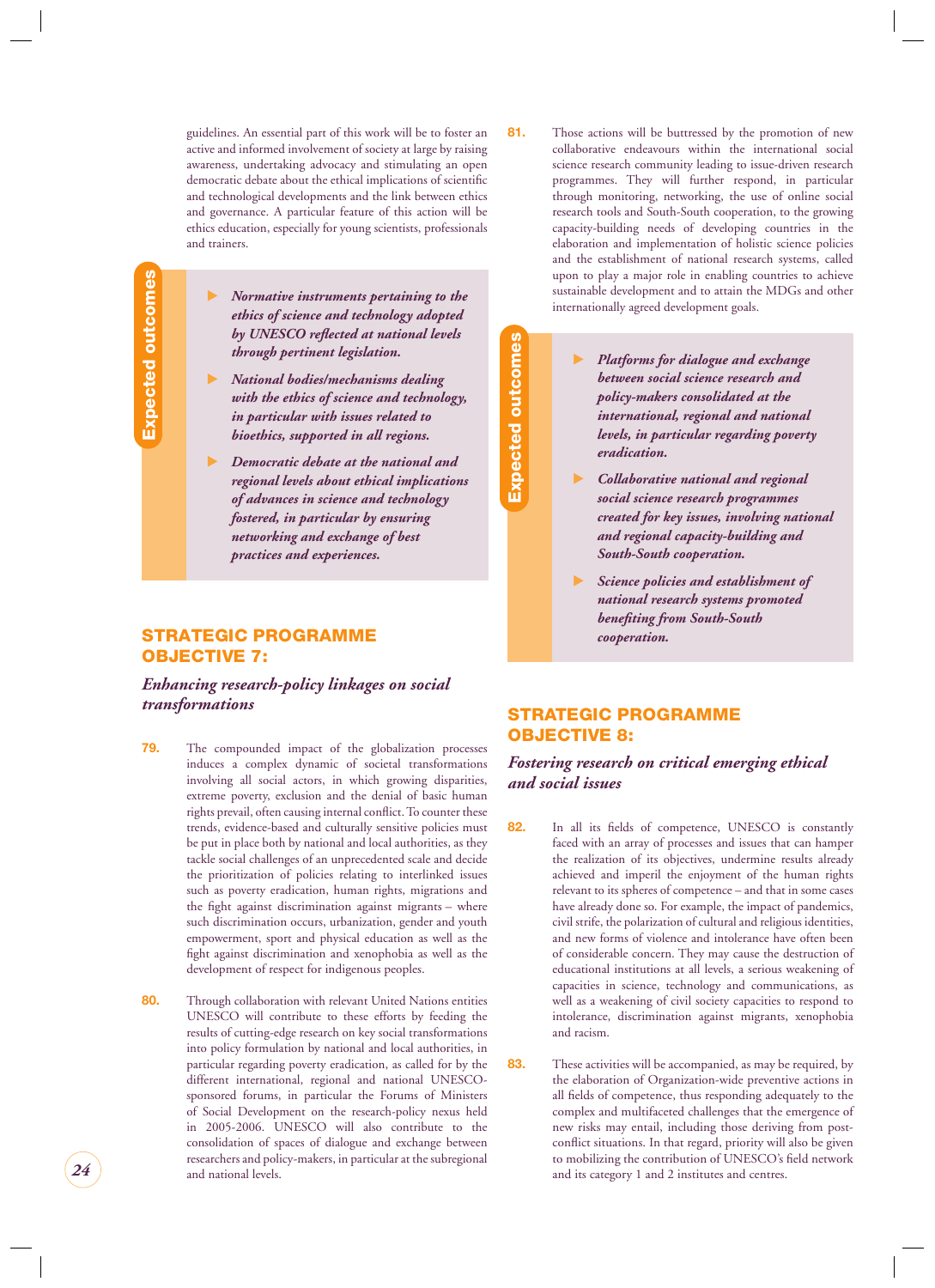<span id="page-24-0"></span>guidelines. An essential part of this work will be to foster an active and informed involvement of society at large by raising awareness, undertaking advocacy and stimulating an open democratic debate about the ethical implications of scientific and technological developments and the link between ethics and governance. A particular feature of this action will be ethics education, especially for young scientists, professionals and trainers.

- *Normative instruments pertaining to the ethics of science and technology adopted*  by UNESCO reflected at national levels *through pertinent legislation.*

- - *National bodies/mechanisms dealing with the ethics of science and technology, in particular with issues related to bioethics, supported in all regions.*
- $\blacktriangleright$  *Democratic debate at the national and regional levels about ethical implications of advances in science and technology fostered, in particular by ensuring networking and exchange of best practices and experiences.*

#### **STRATEGIC PROGRAMME OBJECTIVE 7:**

#### *Enhancing research-policy linkages on social transformations*

- **79.** The compounded impact of the globalization processes induces a complex dynamic of societal transformations involving all social actors, in which growing disparities, extreme poverty, exclusion and the denial of basic human rights prevail, often causing internal conflict. To counter these trends, evidence-based and culturally sensitive policies must be put in place both by national and local authorities, as they tackle social challenges of an unprecedented scale and decide the prioritization of policies relating to interlinked issues such as poverty eradication, human rights, migrations and the fight against discrimination against migrants – where such discrimination occurs, urbanization, gender and youth empowerment, sport and physical education as well as the fight against discrimination and xenophobia as well as the development of respect for indigenous peoples.
- **80.** Through collaboration with relevant United Nations entities UNESCO will contribute to these efforts by feeding the results of cutting-edge research on key social transformations into policy formulation by national and local authorities, in particular regarding poverty eradication, as called for by the different international, regional and national UNESCOsponsored forums, in particular the Forums of Ministers of Social Development on the research-policy nexus held in 2005-2006. UNESCO will also contribute to the consolidation of spaces of dialogue and exchange between researchers and policy-makers, in particular at the subregional and national levels.
- **81.** Those actions will be buttressed by the promotion of new collaborative endeavours within the international social science research community leading to issue-driven research programmes. They will further respond, in particular through monitoring, networking, the use of online social research tools and South-South cooperation, to the growing capacity-building needs of developing countries in the elaboration and implementation of holistic science policies and the establishment of national research systems, called upon to play a major role in enabling countries to achieve sustainable development and to attain the MDGs and other internationally agreed development goals.
	- $\blacktriangleright$  *Platforms for dialogue and exchange between social science research and policy-makers consolidated at the international, regional and national levels, in particular regarding poverty eradication.*
	- $\blacktriangleright$  *Collaborative national and regional social science research programmes created for key issues, involving national and regional capacity-building and South-South cooperation.*
	- - *Science policies and establishment of national research systems promoted benefi ting from South-South cooperation.*

#### **STRATEGIC PROGRAMME OBJECTIVE 8:**

**Expected outcomes**

**Expected outcomes** 

#### *Fostering research on critical emerging ethical and social issues*

- 82. In all its fields of competence, UNESCO is constantly faced with an array of processes and issues that can hamper the realization of its objectives, undermine results already achieved and imperil the enjoyment of the human rights relevant to its spheres of competence – and that in some cases have already done so. For example, the impact of pandemics, civil strife, the polarization of cultural and religious identities, and new forms of violence and intolerance have often been of considerable concern. They may cause the destruction of educational institutions at all levels, a serious weakening of capacities in science, technology and communications, as well as a weakening of civil society capacities to respond to intolerance, discrimination against migrants, xenophobia and racism.
- **83.** These activities will be accompanied, as may be required, by the elaboration of Organization-wide preventive actions in all fields of competence, thus responding adequately to the complex and multifaceted challenges that the emergence of new risks may entail, including those deriving from postconflict situations. In that regard, priority will also be given to mobilizing the contribution of UNESCO's field network and its category 1 and 2 institutes and centres.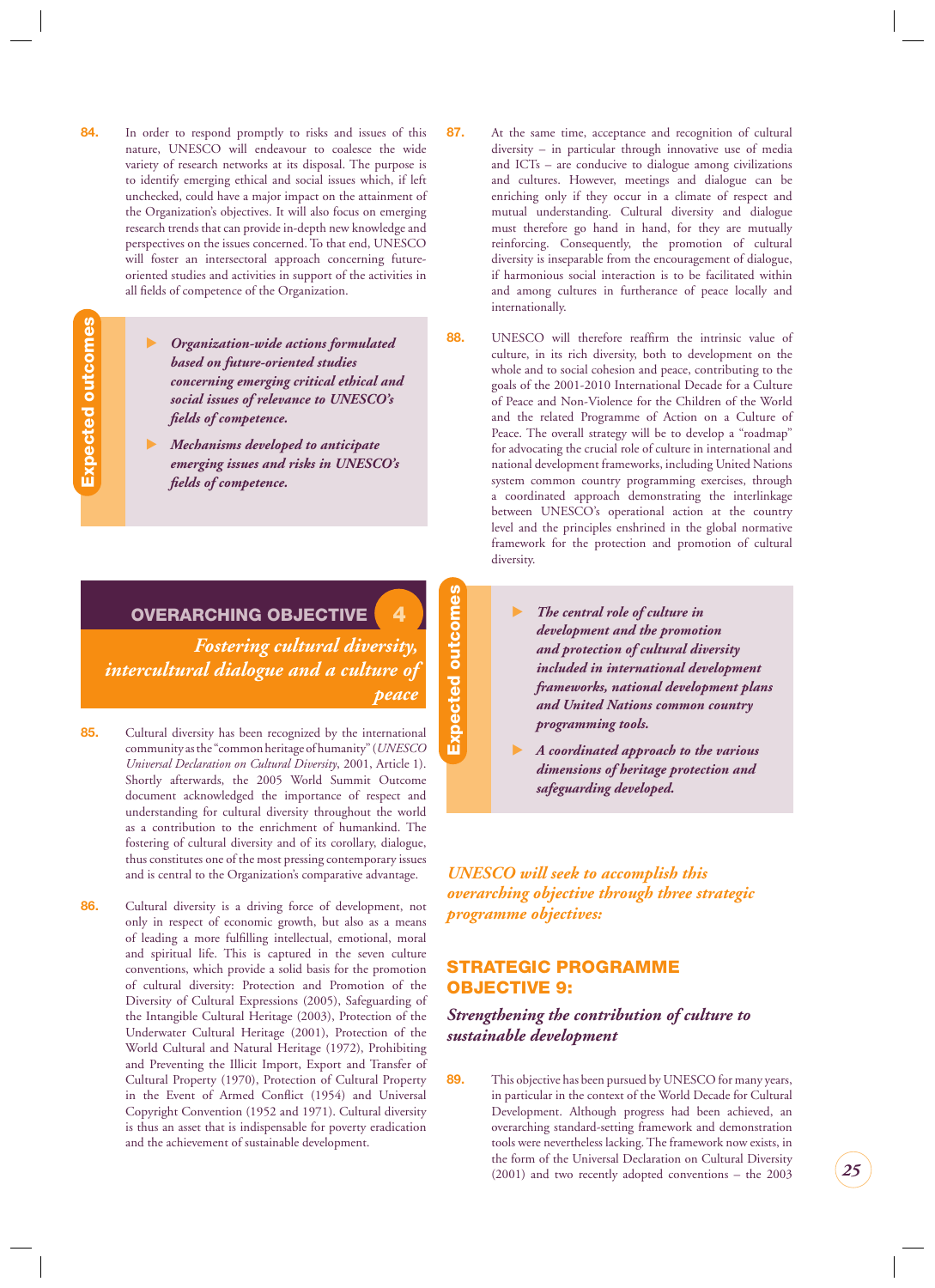- <span id="page-25-0"></span>**84.** In order to respond promptly to risks and issues of this nature, UNESCO will endeavour to coalesce the wide variety of research networks at its disposal. The purpose is to identify emerging ethical and social issues which, if left unchecked, could have a major impact on the attainment of the Organization's objectives. It will also focus on emerging research trends that can provide in-depth new knowledge and perspectives on the issues concerned. To that end, UNESCO will foster an intersectoral approach concerning futureoriented studies and activities in support of the activities in all fields of competence of the Organization.
- Expected outcomes **Expected outcomes**

- *Organization-wide actions formulated based on future-oriented studies concerning emerging critical ethical and social issues of relevance to UNESCO's fi elds of competence.*

- - *Mechanisms developed to anticipate emerging issues and risks in UNESCO's fi elds of competence.*
- **OVERARCHING OBJECTIVE 4**

*Fostering cultural diversity, intercultural dialogue and a culture of peace*

- **85.** Cultural diversity has been recognized by the international community as the "common heritage of humanity" (*UNESCO Universal Declaration on Cultural Diversity*, 2001, Article 1). Shortly afterwards, the 2005 World Summit Outcome document acknowledged the importance of respect and understanding for cultural diversity throughout the world as a contribution to the enrichment of humankind. The fostering of cultural diversity and of its corollary, dialogue, thus constitutes one of the most pressing contemporary issues and is central to the Organization's comparative advantage.
- **86.** Cultural diversity is a driving force of development, not only in respect of economic growth, but also as a means of leading a more fulfilling intellectual, emotional, moral and spiritual life. This is captured in the seven culture conventions, which provide a solid basis for the promotion of cultural diversity: Protection and Promotion of the Diversity of Cultural Expressions (2005), Safeguarding of the Intangible Cultural Heritage (2003), Protection of the Underwater Cultural Heritage (2001), Protection of the World Cultural and Natural Heritage (1972), Prohibiting and Preventing the Illicit Import, Export and Transfer of Cultural Property (1970), Protection of Cultural Property in the Event of Armed Conflict (1954) and Universal Copyright Convention (1952 and 1971). Cultural diversity is thus an asset that is indispensable for poverty eradication and the achievement of sustainable development.
- **87.** At the same time, acceptance and recognition of cultural diversity – in particular through innovative use of media and ICTs – are conducive to dialogue among civilizations and cultures. However, meetings and dialogue can be enriching only if they occur in a climate of respect and mutual understanding. Cultural diversity and dialogue must therefore go hand in hand, for they are mutually reinforcing. Consequently, the promotion of cultural diversity is inseparable from the encouragement of dialogue, if harmonious social interaction is to be facilitated within and among cultures in furtherance of peace locally and internationally.
- 88. UNESCO will therefore reaffirm the intrinsic value of culture, in its rich diversity, both to development on the whole and to social cohesion and peace, contributing to the goals of the 2001-2010 International Decade for a Culture of Peace and Non-Violence for the Children of the World and the related Programme of Action on a Culture of Peace. The overall strategy will be to develop a "roadmap" for advocating the crucial role of culture in international and national development frameworks, including United Nations system common country programming exercises, through a coordinated approach demonstrating the interlinkage between UNESCO's operational action at the country level and the principles enshrined in the global normative framework for the protection and promotion of cultural diversity.
	- - *The central role of culture in development and the promotion and protection of cultural diversity included in international development frameworks, national development plans and United Nations common country programming tools.*
	- - *A coordinated approach to the various dimensions of heritage protection and safeguarding developed.*

*UNESCO will seek to accomplish this overarching objective through three strategic programme objectives:*

#### **STRATEGIC PROGRAMME OBJECTIVE 9:**

#### *Strengthening the contribution of culture to sustainable development*

**89.** This objective has been pursued by UNESCO for many years, in particular in the context of the World Decade for Cultural Development. Although progress had been achieved, an overarching standard-setting framework and demonstration tools were nevertheless lacking. The framework now exists, in the form of the Universal Declaration on Cultural Diversity (2001) and two recently adopted conventions – the 2003

**Expected outcomes Expected outcomes**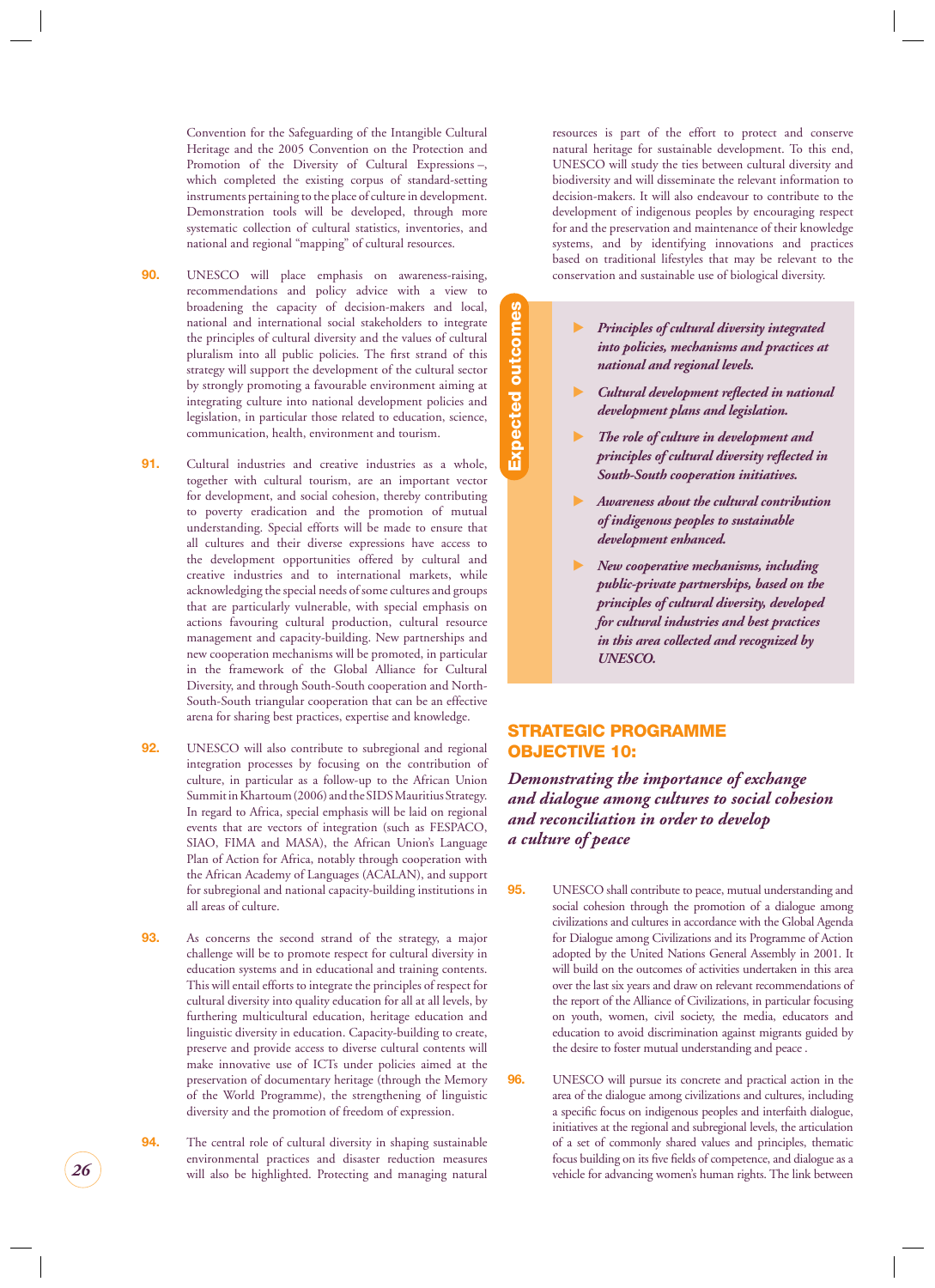<span id="page-26-0"></span>Convention for the Safeguarding of the Intangible Cultural Heritage and the 2005 Convention on the Protection and Promotion of the Diversity of Cultural Expressions –, which completed the existing corpus of standard-setting instruments pertaining to the place of culture in development. Demonstration tools will be developed, through more systematic collection of cultural statistics, inventories, and national and regional "mapping" of cultural resources.

- **90.** UNESCO will place emphasis on awareness-raising, recommendations and policy advice with a view to broadening the capacity of decision-makers and local, national and international social stakeholders to integrate the principles of cultural diversity and the values of cultural pluralism into all public policies. The first strand of this strategy will support the development of the cultural sector by strongly promoting a favourable environment aiming at integrating culture into national development policies and legislation, in particular those related to education, science, communication, health, environment and tourism.
- **91.** Cultural industries and creative industries as a whole, together with cultural tourism, are an important vector for development, and social cohesion, thereby contributing to poverty eradication and the promotion of mutual understanding. Special efforts will be made to ensure that all cultures and their diverse expressions have access to the development opportunities offered by cultural and creative industries and to international markets, while acknowledging the special needs of some cultures and groups that are particularly vulnerable, with special emphasis on actions favouring cultural production, cultural resource management and capacity-building. New partnerships and new cooperation mechanisms will be promoted, in particular in the framework of the Global Alliance for Cultural Diversity, and through South-South cooperation and North-South-South triangular cooperation that can be an effective arena for sharing best practices, expertise and knowledge.
- **92.** UNESCO will also contribute to subregional and regional integration processes by focusing on the contribution of culture, in particular as a follow-up to the African Union Summit in Khartoum (2006) and the SIDS Mauritius Strategy. In regard to Africa, special emphasis will be laid on regional events that are vectors of integration (such as FESPACO, SIAO, FIMA and MASA), the African Union's Language Plan of Action for Africa, notably through cooperation with the African Academy of Languages (ACALAN), and support for subregional and national capacity-building institutions in all areas of culture.
- **93.** As concerns the second strand of the strategy, a major challenge will be to promote respect for cultural diversity in education systems and in educational and training contents. This will entail efforts to integrate the principles of respect for cultural diversity into quality education for all at all levels, by furthering multicultural education, heritage education and linguistic diversity in education. Capacity-building to create, preserve and provide access to diverse cultural contents will make innovative use of ICTs under policies aimed at the preservation of documentary heritage (through the Memory of the World Programme), the strengthening of linguistic diversity and the promotion of freedom of expression.
- **94.** The central role of cultural diversity in shaping sustainable environmental practices and disaster reduction measures will also be highlighted. Protecting and managing natural

resources is part of the effort to protect and conserve natural heritage for sustainable development. To this end, UNESCO will study the ties between cultural diversity and biodiversity and will disseminate the relevant information to decision-makers. It will also endeavour to contribute to the development of indigenous peoples by encouraging respect for and the preservation and maintenance of their knowledge systems, and by identifying innovations and practices based on traditional lifestyles that may be relevant to the conservation and sustainable use of biological diversity.

- - *Principles of cultural diversity integrated into policies, mechanisms and practices at national and regional levels.*
- - *Cultural development refl ected in national development plans and legislation.*
- $\blacktriangleright$  *The role of culture in development and principles of cultural diversity reflected in South-South cooperation initiatives.*
- $\blacktriangleright$  *Awareness about the cultural contribution of indigenous peoples to sustainable development enhanced.*
- - *New cooperative mechanisms, including public-private partnerships, based on the principles of cultural diversity, developed for cultural industries and best practices in this area collected and recognized by UNESCO.*

#### **STRATEGIC PROGRAMME OBJECTIVE 10:**

**Expected outcomes**

**Expected outcomes** 

*Demonstrating the importance of exchange and dialogue among cultures to social cohesion and reconciliation in order to develop a culture of peace*

- **95.** UNESCO shall contribute to peace, mutual understanding and social cohesion through the promotion of a dialogue among civilizations and cultures in accordance with the Global Agenda for Dialogue among Civilizations and its Programme of Action adopted by the United Nations General Assembly in 2001. It will build on the outcomes of activities undertaken in this area over the last six years and draw on relevant recommendations of the report of the Alliance of Civilizations, in particular focusing on youth, women, civil society, the media, educators and education to avoid discrimination against migrants guided by the desire to foster mutual understanding and peace .
- **96.** UNESCO will pursue its concrete and practical action in the area of the dialogue among civilizations and cultures, including a specific focus on indigenous peoples and interfaith dialogue, initiatives at the regional and subregional levels, the articulation of a set of commonly shared values and principles, thematic focus building on its five fields of competence, and dialogue as a vehicle for advancing women's human rights. The link between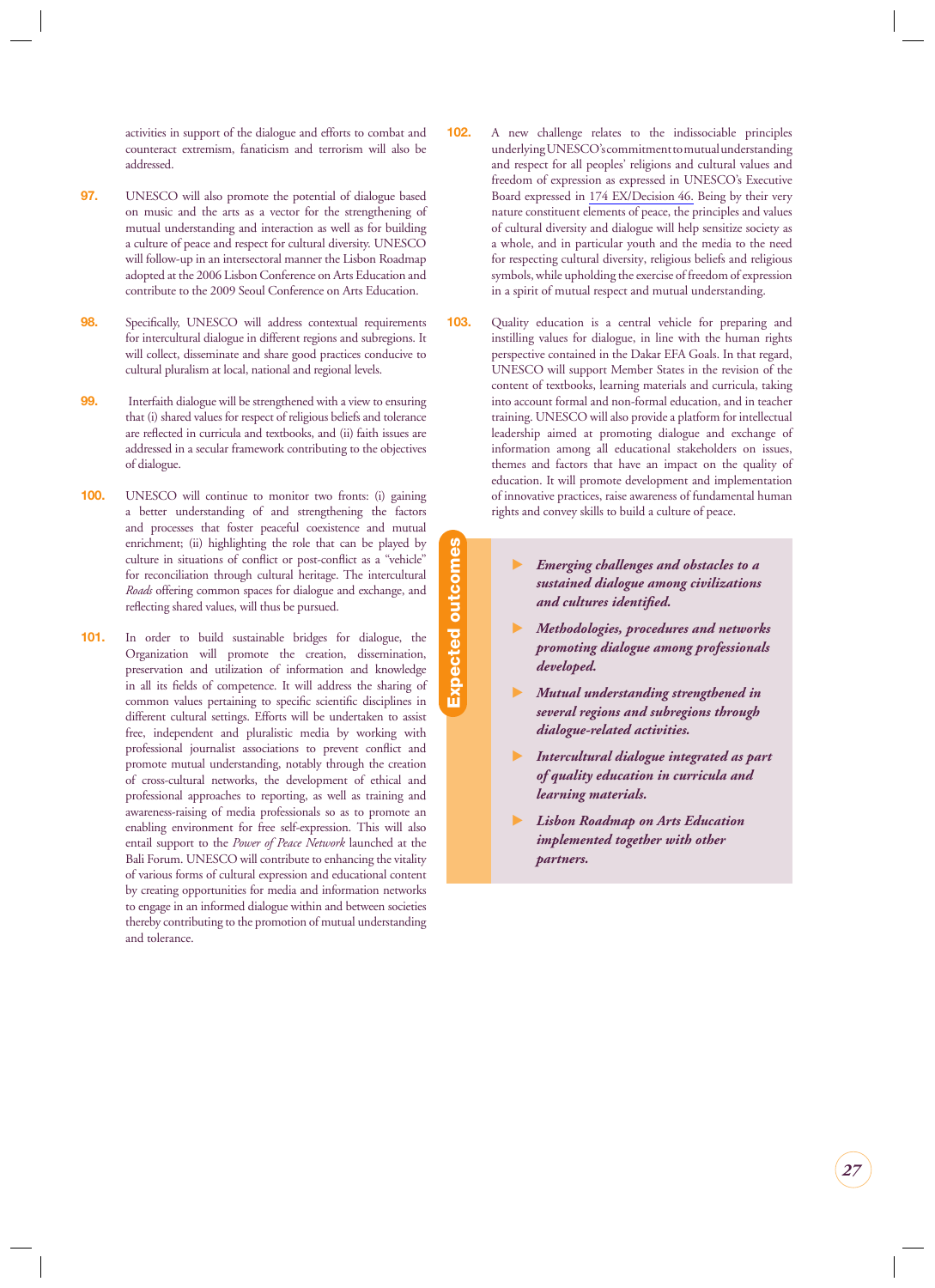activities in support of the dialogue and efforts to combat and counteract extremism, fanaticism and terrorism will also be addressed.

- **97.** UNESCO will also promote the potential of dialogue based on music and the arts as a vector for the strengthening of mutual understanding and interaction as well as for building a culture of peace and respect for cultural diversity. UNESCO will follow-up in an intersectoral manner the Lisbon Roadmap adopted at the 2006 Lisbon Conference on Arts Education and contribute to the 2009 Seoul Conference on Arts Education.
- **98.** Specifically, UNESCO will address contextual requirements for intercultural dialogue in different regions and subregions. It will collect, disseminate and share good practices conducive to cultural pluralism at local, national and regional levels.
- **99.** Interfaith dialogue will be strengthened with a view to ensuring that (i) shared values for respect of religious beliefs and tolerance are reflected in curricula and textbooks, and (ii) faith issues are addressed in a secular framework contributing to the objectives of dialogue.
- **100.** UNESCO will continue to monitor two fronts: (i) gaining a better understanding of and strengthening the factors and processes that foster peaceful coexistence and mutual enrichment; (ii) highlighting the role that can be played by culture in situations of conflict or post-conflict as a "vehicle" for reconciliation through cultural heritage. The intercultural *Roads* offering common spaces for dialogue and exchange, and reflecting shared values, will thus be pursued.
- **101.** In order to build sustainable bridges for dialogue, the Organization will promote the creation, dissemination, preservation and utilization of information and knowledge in all its fields of competence. It will address the sharing of common values pertaining to specific scientific disciplines in different cultural settings. Efforts will be undertaken to assist free, independent and pluralistic media by working with professional journalist associations to prevent conflict and promote mutual understanding, notably through the creation of cross-cultural networks, the development of ethical and professional approaches to reporting, as well as training and awareness-raising of media professionals so as to promote an enabling environment for free self-expression. This will also entail support to the *Power of Peace Network* launched at the Bali Forum. UNESCO will contribute to enhancing the vitality of various forms of cultural expression and educational content by creating opportunities for media and information networks to engage in an informed dialogue within and between societies thereby contributing to the promotion of mutual understanding and tolerance.
- **102.** A new challenge relates to the indissociable principles underlying UNESCO's commitment to mutual understanding and respect for all peoples' religions and cultural values and freedom of expression as expressed in UNESCO's Executive Board expressed in 174 EX/Decision 46. Being by their very nature constituent elements of peace, the principles and values of cultural diversity and dialogue will help sensitize society as a whole, and in particular youth and the media to the need for respecting cultural diversity, religious beliefs and religious symbols, while upholding the exercise of freedom of expression in a spirit of mutual respect and mutual understanding.
- **103.** Quality education is a central vehicle for preparing and instilling values for dialogue, in line with the human rights perspective contained in the Dakar EFA Goals. In that regard, UNESCO will support Member States in the revision of the content of textbooks, learning materials and curricula, taking into account formal and non-formal education, and in teacher training. UNESCO will also provide a platform for intellectual leadership aimed at promoting dialogue and exchange of information among all educational stakeholders on issues, themes and factors that have an impact on the quality of education. It will promote development and implementation of innovative practices, raise awareness of fundamental human rights and convey skills to build a culture of peace.
	- - *Emerging challenges and obstacles to a sustained dialogue among civilizations*   $and$  *cultures identified.*
	- - *Methodologies, procedures and networks promoting dialogue among professionals developed.*
	- - *Mutual understanding strengthened in several regions and subregions through dialogue-related activities.*
	- $\blacktriangleright$  *Intercultural dialogue integrated as part of quality education in curricula and learning materials.*
	- - *Lisbon Roadmap on Arts Education implemented together with other partners.*

**Expected outcomes Expected outcomes**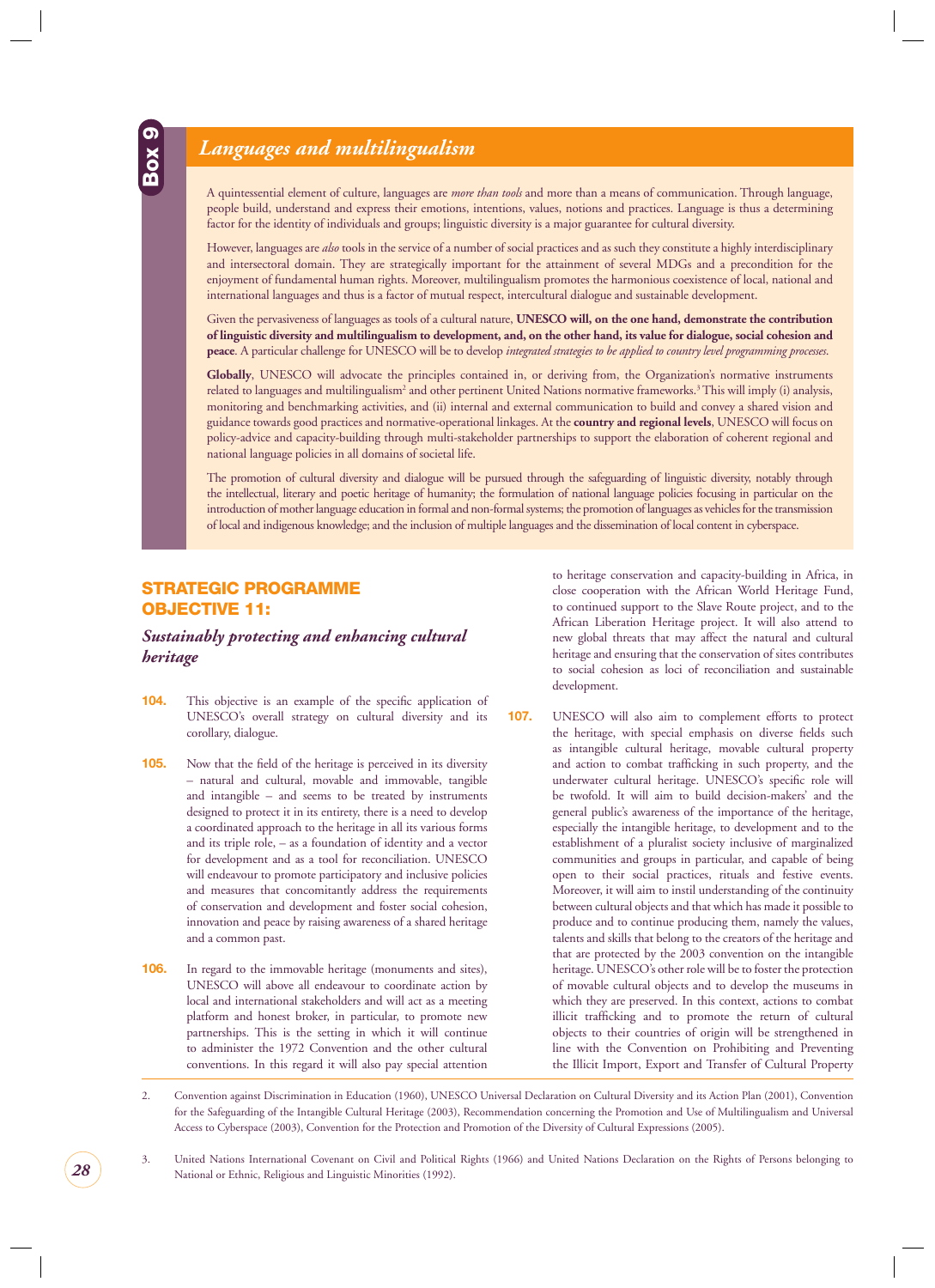### <span id="page-28-0"></span>*Languages and multilingualism*

A quintessential element of culture, languages are *more than tools* and more than a means of communication. Through language, people build, understand and express their emotions, intentions, values, notions and practices. Language is thus a determining factor for the identity of individuals and groups; linguistic diversity is a major guarantee for cultural diversity.

However, languages are *also* tools in the service of a number of social practices and as such they constitute a highly interdisciplinary and intersectoral domain. They are strategically important for the attainment of several MDGs and a precondition for the enjoyment of fundamental human rights. Moreover, multilingualism promotes the harmonious coexistence of local, national and international languages and thus is a factor of mutual respect, intercultural dialogue and sustainable development.

Given the pervasiveness of languages as tools of a cultural nature, **UNESCO will, on the one hand, demonstrate the contribution of linguistic diversity and multilingualism to development, and, on the other hand, its value for dialogue, social cohesion and peace**. A particular challenge for UNESCO will be to develop *integrated strategies to be applied to country level programming processes*.

**Globally**, UNESCO will advocate the principles contained in, or deriving from, the Organization's normative instruments related to languages and multilingualism<sup>2</sup> and other pertinent United Nations normative frameworks.<sup>3</sup> This will imply (i) analysis, monitoring and benchmarking activities, and (ii) internal and external communication to build and convey a shared vision and guidance towards good practices and normative-operational linkages. At the **country and regional levels**, UNESCO will focus on policy-advice and capacity-building through multi-stakeholder partnerships to support the elaboration of coherent regional and national language policies in all domains of societal life.

The promotion of cultural diversity and dialogue will be pursued through the safeguarding of linguistic diversity, notably through the intellectual, literary and poetic heritage of humanity; the formulation of national language policies focusing in particular on the introduction of mother language education in formal and non-formal systems; the promotion of languages as vehicles for the transmission of local and indigenous knowledge; and the inclusion of multiple languages and the dissemination of local content in cyberspace.

#### **STRATEGIC PROGRAMME OBJECTIVE 11:**

#### *Sustainably protecting and enhancing cultural heritage*

- **104.** This objective is an example of the specific application of UNESCO's overall strategy on cultural diversity and its corollary, dialogue.
- **105.** Now that the field of the heritage is perceived in its diversity – natural and cultural, movable and immovable, tangible and intangible – and seems to be treated by instruments designed to protect it in its entirety, there is a need to develop a coordinated approach to the heritage in all its various forms and its triple role, – as a foundation of identity and a vector for development and as a tool for reconciliation. UNESCO will endeavour to promote participatory and inclusive policies and measures that concomitantly address the requirements of conservation and development and foster social cohesion, innovation and peace by raising awareness of a shared heritage and a common past.
- **106.** In regard to the immovable heritage (monuments and sites), UNESCO will above all endeavour to coordinate action by local and international stakeholders and will act as a meeting platform and honest broker, in particular, to promote new partnerships. This is the setting in which it will continue to administer the 1972 Convention and the other cultural conventions. In this regard it will also pay special attention

to heritage conservation and capacity-building in Africa, in close cooperation with the African World Heritage Fund, to continued support to the Slave Route project, and to the African Liberation Heritage project. It will also attend to new global threats that may affect the natural and cultural heritage and ensuring that the conservation of sites contributes to social cohesion as loci of reconciliation and sustainable development.

**107.** UNESCO will also aim to complement efforts to protect the heritage, with special emphasis on diverse fields such as intangible cultural heritage, movable cultural property and action to combat trafficking in such property, and the underwater cultural heritage. UNESCO's specific role will be twofold. It will aim to build decision-makers' and the general public's awareness of the importance of the heritage, especially the intangible heritage, to development and to the establishment of a pluralist society inclusive of marginalized communities and groups in particular, and capable of being open to their social practices, rituals and festive events. Moreover, it will aim to instil understanding of the continuity between cultural objects and that which has made it possible to produce and to continue producing them, namely the values, talents and skills that belong to the creators of the heritage and that are protected by the 2003 convention on the intangible heritage. UNESCO's other role will be to foster the protection of movable cultural objects and to develop the museums in which they are preserved. In this context, actions to combat illicit trafficking and to promote the return of cultural objects to their countries of origin will be strengthened in line with the Convention on Prohibiting and Preventing the Illicit Import, Export and Transfer of Cultural Property

<sup>2.</sup> Convention against Discrimination in Education (1960), UNESCO Universal Declaration on Cultural Diversity and its Action Plan (2001), Convention for the Safeguarding of the Intangible Cultural Heritage (2003), Recommendation concerning the Promotion and Use of Multilingualism and Universal Access to Cyberspace (2003), Convention for the Protection and Promotion of the Diversity of Cultural Expressions (2005).

<sup>3.</sup> United Nations International Covenant on Civil and Political Rights (1966) and United Nations Declaration on the Rights of Persons belonging to National or Ethnic, Religious and Linguistic Minorities (1992).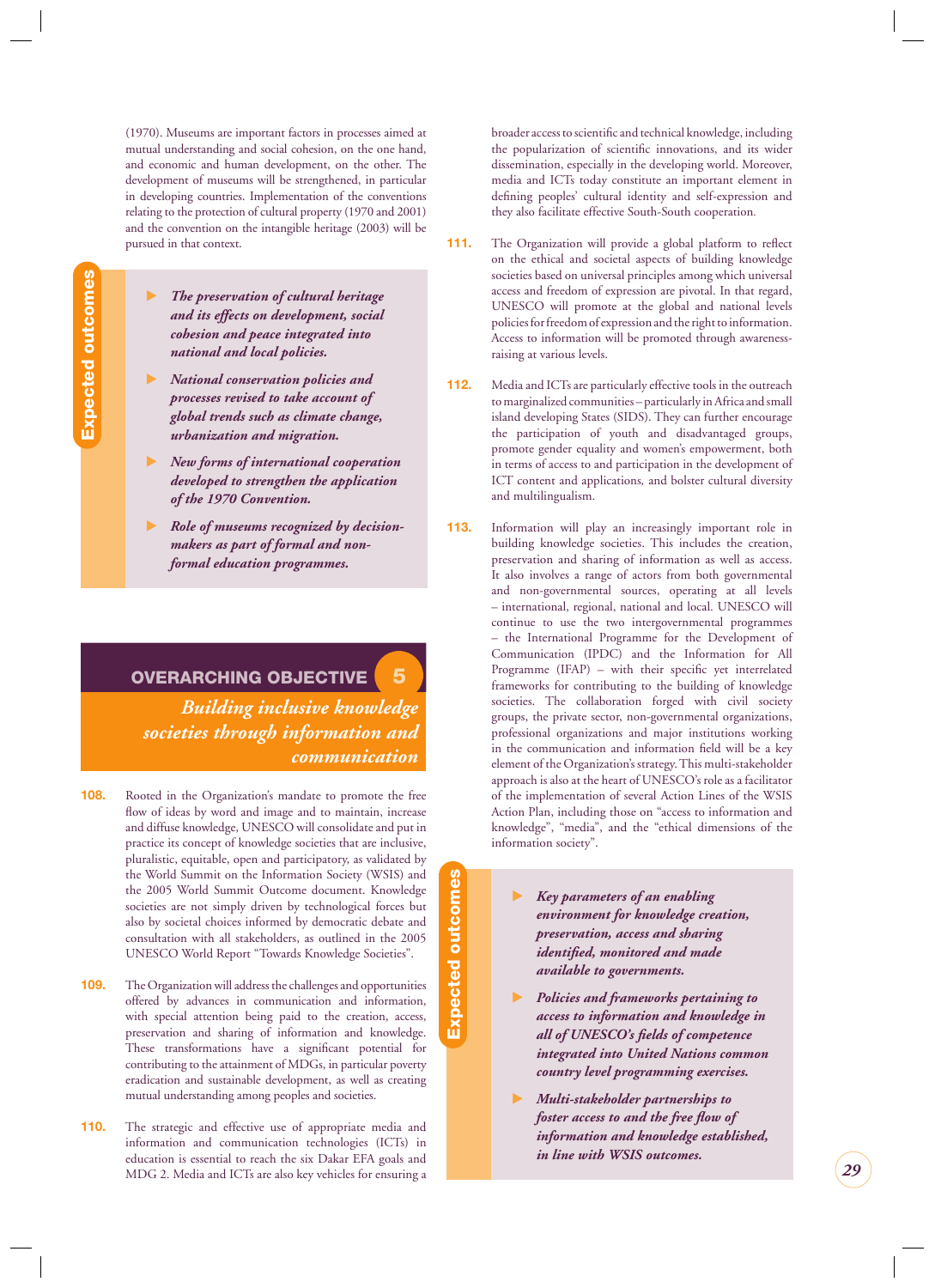<span id="page-29-0"></span>(1970). Museums are important factors in processes aimed at mutual understanding and social cohesion, on the one hand, and economic and human development, on the other. The development of museums will be strengthened, in particular in developing countries. Implementation of the conventions relating to the protection of cultural property (1970 and 2001) and the convention on the intangible heritage (2003) will be pursued in that context.

**Expected outcomes Expected outcomes**

-

- *The preservation of cultural heritage and its effects on development, social cohesion and peace integrated into national and local policies.*
- - *National conservation policies and processes revised to take account of global trends such as climate change, urbanization and migration.*
- - *New forms of international cooperation developed to strengthen the application of the 1970 Convention.*
- - *Role of museums recognized by decisionmakers as part of formal and nonformal education programmes.*

**OVERARCHING OBJECTIVE 5** *Building inclusive knowledge societies through information and communication*

- **108.** Rooted in the Organization's mandate to promote the free flow of ideas by word and image and to maintain, increase and diffuse knowledge, UNESCO will consolidate and put in practice its concept of knowledge societies that are inclusive, pluralistic, equitable, open and participatory, as validated by the World Summit on the Information Society (WSIS) and the 2005 World Summit Outcome document. Knowledge societies are not simply driven by technological forces but also by societal choices informed by democratic debate and consultation with all stakeholders, as outlined in the 2005 UNESCO World Report "Towards Knowledge Societies".
- **109.** The Organization will address the challenges and opportunities offered by advances in communication and information, with special attention being paid to the creation, access, preservation and sharing of information and knowledge. These transformations have a significant potential for contributing to the attainment of MDGs, in particular poverty eradication and sustainable development, as well as creating mutual understanding among peoples and societies.
- **110.** The strategic and effective use of appropriate media and information and communication technologies (ICTs) in education is essential to reach the six Dakar EFA goals and MDG 2. Media and ICTs are also key vehicles for ensuring a

broader access to scientific and technical knowledge, including the popularization of scientific innovations, and its wider dissemination, especially in the developing world. Moreover, media and ICTs today constitute an important element in defining peoples' cultural identity and self-expression and they also facilitate effective South-South cooperation*.*

- **111.** The Organization will provide a global platform to reflect on the ethical and societal aspects of building knowledge societies based on universal principles among which universal access and freedom of expression are pivotal. In that regard, UNESCO will promote at the global and national levels policies for freedom of expression and the right to information. Access to information will be promoted through awarenessraising at various levels.
- **112.** Media and ICTs are particularly effective tools in the outreach to marginalized communities – particularly in Africa and small island developing States (SIDS). They can further encourage the participation of youth and disadvantaged groups, promote gender equality and women's empowerment, both in terms of access to and participation in the development of ICT content and applications*,* and bolster cultural diversity and multilingualism.
- **113.** Information will play an increasingly important role in building knowledge societies. This includes the creation, preservation and sharing of information as well as access. It also involves a range of actors from both governmental and non-governmental sources, operating at all levels – international, regional, national and local. UNESCO will continue to use the two intergovernmental programmes – the International Programme for the Development of Communication (IPDC) and the Information for All Programme (IFAP) – with their specific yet interrelated frameworks for contributing to the building of knowledge societies. The collaboration forged with civil society groups, the private sector, non-governmental organizations, professional organizations and major institutions working in the communication and information field will be a key element of the Organization's strategy. This multi-stakeholder approach is also at the heart of UNESCO's role as a facilitator of the implementation of several Action Lines of the WSIS Action Plan, including those on "access to information and knowledge", "media", and the "ethical dimensions of the information society".
	- - *Key parameters of an enabling environment for knowledge creation, preservation, access and sharing identified, monitored and made available to governments.*
	- - *Policies and frameworks pertaining to access to information and knowledge in all of UNESCO's fi elds of competence integrated into United Nations common country level programming exercises.*
	- - *Multi-stakeholder partnerships to foster access to and the free flow of information and knowledge established, in line with WSIS outcomes.*
- Expected outcomes **Expected outcomes**
- 
- 
- 
- 
- 
- 
-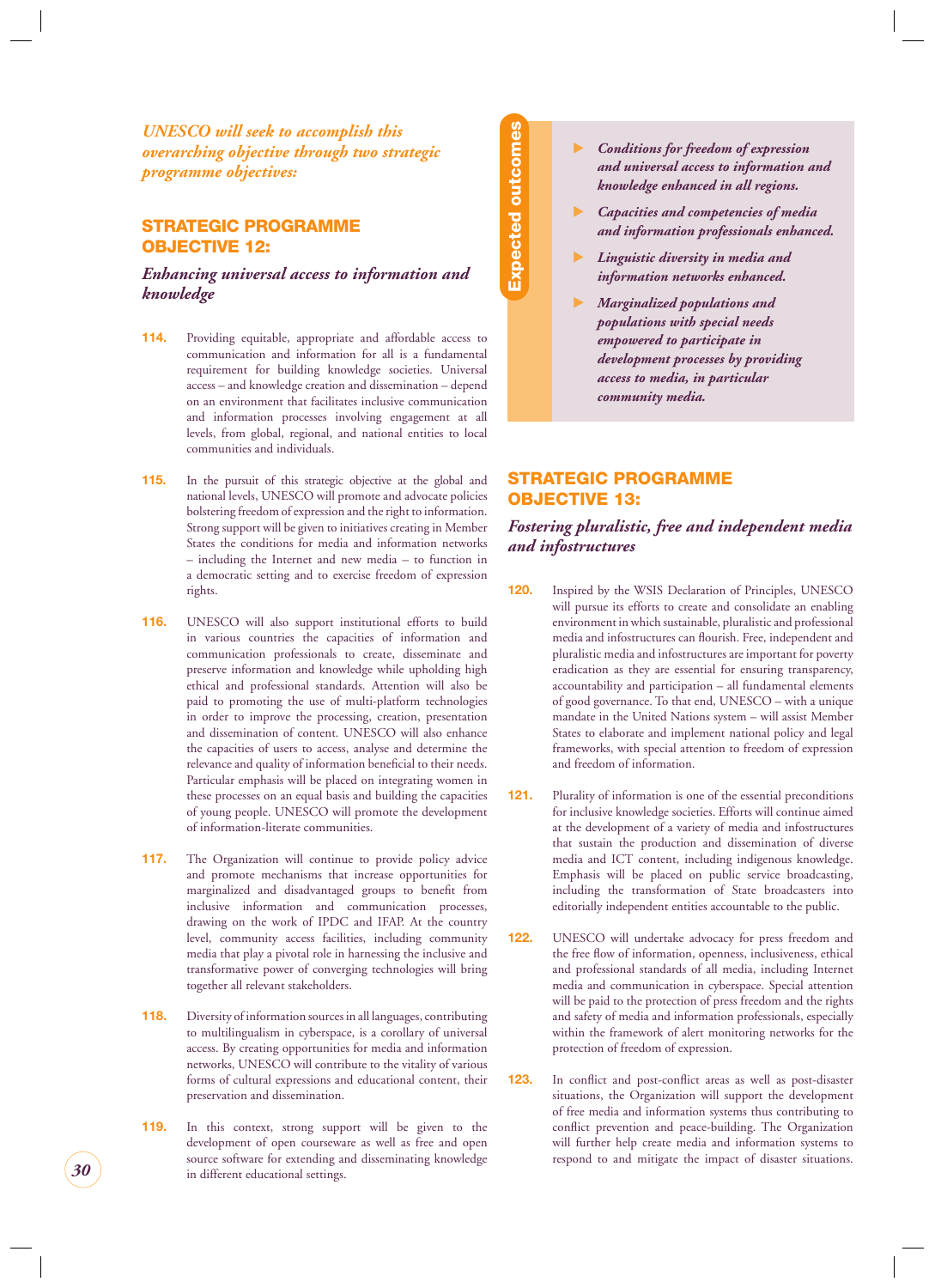<span id="page-30-0"></span>*UNESCO will seek to accomplish this overarching objective through two strategic programme objectives:*

#### **STRATEGIC PROGRAMME OBJECTIVE 12:**

*Enhancing universal access to information and knowledge*

- **114.** Providing equitable, appropriate and affordable access to communication and information for all is a fundamental requirement for building knowledge societies. Universal access – and knowledge creation and dissemination – depend on an environment that facilitates inclusive communication and information processes involving engagement at all levels, from global, regional, and national entities to local communities and individuals.
- **115.** In the pursuit of this strategic objective at the global and national levels, UNESCO will promote and advocate policies bolstering freedom of expression and the right to information. Strong support will be given to initiatives creating in Member States the conditions for media and information networks – including the Internet and new media – to function in a democratic setting and to exercise freedom of expression rights.
- **116.** UNESCO will also support institutional efforts to build in various countries the capacities of information and communication professionals to create, disseminate and preserve information and knowledge while upholding high ethical and professional standards. Attention will also be paid to promoting the use of multi-platform technologies in order to improve the processing, creation, presentation and dissemination of content. UNESCO will also enhance the capacities of users to access, analyse and determine the relevance and quality of information beneficial to their needs. Particular emphasis will be placed on integrating women in these processes on an equal basis and building the capacities of young people. UNESCO will promote the development of information-literate communities.
- **117.** The Organization will continue to provide policy advice and promote mechanisms that increase opportunities for marginalized and disadvantaged groups to benefit from inclusive information and communication processes, drawing on the work of IPDC and IFAP. At the country level, community access facilities, including community media that play a pivotal role in harnessing the inclusive and transformative power of converging technologies will bring together all relevant stakeholders.
- **118.** Diversity of information sources in all languages, contributing to multilingualism in cyberspace, is a corollary of universal access. By creating opportunities for media and information networks, UNESCO will contribute to the vitality of various forms of cultural expressions and educational content, their preservation and dissemination.
- **119.** In this context, strong support will be given to the development of open courseware as well as free and open source software for extending and disseminating knowledge in different educational settings.

**Expected outcomes Expected outcomes** 

- $\blacktriangleright$  *Conditions for freedom of expression and universal access to information and knowledge enhanced in all regions.*
- - *Capacities and competencies of media and information professionals enhanced.*
- - *Linguistic diversity in media and information networks enhanced.*
- - *Marginalized populations and populations with special needs empowered to participate in development processes by providing access to media, in particular community media.*

#### **STRATEGIC PROGRAMME OBJECTIVE 13:**

#### *Fostering pluralistic, free and independent media and infostructures*

- **120.** Inspired by the WSIS Declaration of Principles, UNESCO will pursue its efforts to create and consolidate an enabling environment in which sustainable, pluralistic and professional media and infostructures can flourish. Free, independent and pluralistic media and infostructures are important for poverty eradication as they are essential for ensuring transparency, accountability and participation – all fundamental elements of good governance. To that end, UNESCO – with a unique mandate in the United Nations system – will assist Member States to elaborate and implement national policy and legal frameworks, with special attention to freedom of expression and freedom of information.
- **121.** Plurality of information is one of the essential preconditions for inclusive knowledge societies. Efforts will continue aimed at the development of a variety of media and infostructures that sustain the production and dissemination of diverse media and ICT content, including indigenous knowledge. Emphasis will be placed on public service broadcasting, including the transformation of State broadcasters into editorially independent entities accountable to the public.
- **122.** UNESCO will undertake advocacy for press freedom and the free flow of information, openness, inclusiveness, ethical and professional standards of all media, including Internet media and communication in cyberspace. Special attention will be paid to the protection of press freedom and the rights and safety of media and information professionals, especially within the framework of alert monitoring networks for the protection of freedom of expression.
- **123.** In conflict and post-conflict areas as well as post-disaster situations, the Organization will support the development of free media and information systems thus contributing to conflict prevention and peace-building. The Organization will further help create media and information systems to respond to and mitigate the impact of disaster situations.

*30*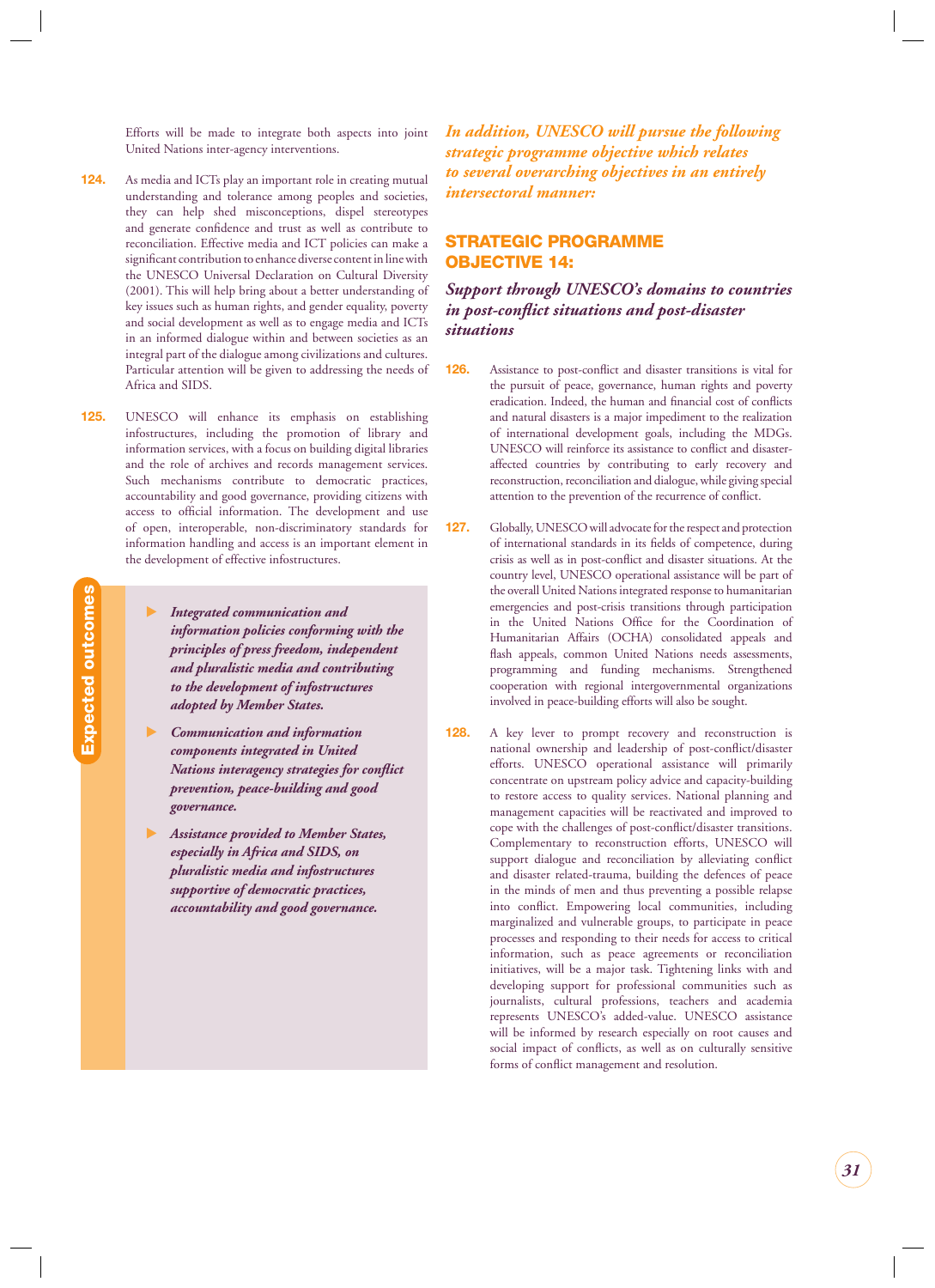<span id="page-31-0"></span>Efforts will be made to integrate both aspects into joint United Nations inter-agency interventions.

- **124.** As media and ICTs play an important role in creating mutual understanding and tolerance among peoples and societies, they can help shed misconceptions, dispel stereotypes and generate confidence and trust as well as contribute to reconciliation. Effective media and ICT policies can make a significant contribution to enhance diverse content in line with the UNESCO Universal Declaration on Cultural Diversity (2001). This will help bring about a better understanding of key issues such as human rights, and gender equality, poverty and social development as well as to engage media and ICTs in an informed dialogue within and between societies as an integral part of the dialogue among civilizations and cultures. Particular attention will be given to addressing the needs of Africa and SIDS.
- **125.** UNESCO will enhance its emphasis on establishing infostructures, including the promotion of library and information services, with a focus on building digital libraries and the role of archives and records management services. Such mechanisms contribute to democratic practices, accountability and good governance, providing citizens with access to official information. The development and use of open, interoperable, non-discriminatory standards for information handling and access is an important element in the development of effective infostructures.
	- - *Integrated communication and information policies conforming with the principles of press freedom, independent and pluralistic media and contributing to the development of infostructures adopted by Member States.*

**Expected outcomes**

Expected outcomes

- - *Communication and information components integrated in United Nations interagency strategies for conflict prevention, peace-building and good governance.*
- - *Assistance provided to Member States, especially in Africa and SIDS, on pluralistic media and infostructures supportive of democratic practices, accountability and good governance.*

*In addition, UNESCO will pursue the following strategic programme objective which relates to several overarching objectives in an entirely intersectoral manner:*

#### **STRATEGIC PROGRAMME OBJECTIVE 14:**

*Support through UNESCO's domains to countries*  in post-conflict situations and post-disaster *situations*

- **126.** Assistance to post-conflict and disaster transitions is vital for the pursuit of peace, governance, human rights and poverty eradication. Indeed, the human and financial cost of conflicts and natural disasters is a major impediment to the realization of international development goals, including the MDGs. UNESCO will reinforce its assistance to conflict and disasteraffected countries by contributing to early recovery and reconstruction, reconciliation and dialogue, while giving special attention to the prevention of the recurrence of conflict.
- **127.** Globally, UNESCO will advocate for the respect and protection of international standards in its fields of competence, during crisis as well as in post-conflict and disaster situations. At the country level, UNESCO operational assistance will be part of the overall United Nations integrated response to humanitarian emergencies and post-crisis transitions through participation in the United Nations Office for the Coordination of Humanitarian Affairs (OCHA) consolidated appeals and flash appeals, common United Nations needs assessments, programming and funding mechanisms. Strengthened cooperation with regional intergovernmental organizations involved in peace-building efforts will also be sought.
- **128.** A key lever to prompt recovery and reconstruction is national ownership and leadership of post-conflict/disaster efforts. UNESCO operational assistance will primarily concentrate on upstream policy advice and capacity-building to restore access to quality services. National planning and management capacities will be reactivated and improved to cope with the challenges of post-conflict/disaster transitions. Complementary to reconstruction efforts, UNESCO will support dialogue and reconciliation by alleviating conflict and disaster related-trauma, building the defences of peace in the minds of men and thus preventing a possible relapse into conflict. Empowering local communities, including marginalized and vulnerable groups, to participate in peace processes and responding to their needs for access to critical information, such as peace agreements or reconciliation initiatives, will be a major task. Tightening links with and developing support for professional communities such as journalists, cultural professions, teachers and academia represents UNESCO's added-value. UNESCO assistance will be informed by research especially on root causes and social impact of conflicts, as well as on culturally sensitive forms of conflict management and resolution.

*31*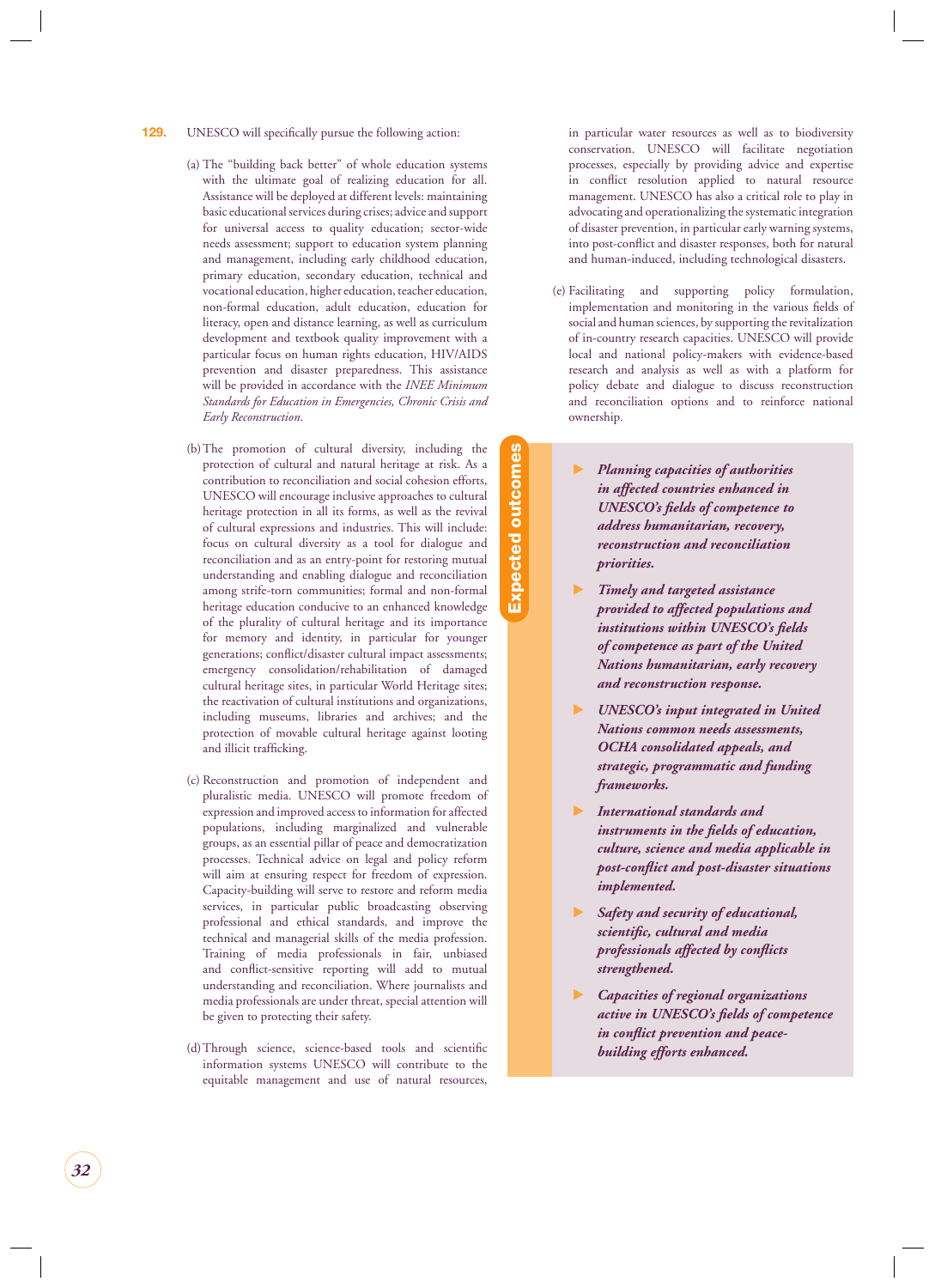- **129.** UNESCO will specifically pursue the following action:
	- (a) The "building back better" of whole education systems with the ultimate goal of realizing education for all. Assistance will be deployed at different levels: maintaining basic educational services during crises; advice and support for universal access to quality education; sector-wide needs assessment; support to education system planning and management, including early childhood education, primary education, secondary education, technical and vocational education, higher education, teacher education, non-formal education, adult education, education for literacy, open and distance learning, as well as curriculum development and textbook quality improvement with a particular focus on human rights education, HIV/AIDS prevention and disaster preparedness. This assistance will be provided in accordance with the *INEE Minimum Standards for Education in Emergencies, Chronic Crisis and Early Reconstruction*.
	- (b) The promotion of cultural diversity, including the protection of cultural and natural heritage at risk. As a contribution to reconciliation and social cohesion efforts, UNESCO will encourage inclusive approaches to cultural heritage protection in all its forms, as well as the revival of cultural expressions and industries. This will include: focus on cultural diversity as a tool for dialogue and reconciliation and as an entry-point for restoring mutual understanding and enabling dialogue and reconciliation among strife-torn communities; formal and non-formal heritage education conducive to an enhanced knowledge of the plurality of cultural heritage and its importance for memory and identity, in particular for younger generations; conflict/disaster cultural impact assessments; emergency consolidation/rehabilitation of damaged cultural heritage sites, in particular World Heritage sites; the reactivation of cultural institutions and organizations, including museums, libraries and archives; and the protection of movable cultural heritage against looting and illicit trafficking.
	- (c) Reconstruction and promotion of independent and pluralistic media. UNESCO will promote freedom of expression and improved access to information for affected populations, including marginalized and vulnerable groups, as an essential pillar of peace and democratization processes. Technical advice on legal and policy reform will aim at ensuring respect for freedom of expression. Capacity-building will serve to restore and reform media services, in particular public broadcasting observing professional and ethical standards, and improve the technical and managerial skills of the media profession. Training of media professionals in fair, unbiased and conflict-sensitive reporting will add to mutual understanding and reconciliation. Where journalists and media professionals are under threat, special attention will be given to protecting their safety.
	- (d) Through science, science-based tools and scientific information systems UNESCO will contribute to the equitable management and use of natural resources,

in particular water resources as well as to biodiversity conservation. UNESCO will facilitate negotiation processes, especially by providing advice and expertise in conflict resolution applied to natural resource management. UNESCO has also a critical role to play in advocating and operationalizing the systematic integration of disaster prevention, in particular early warning systems, into post-conflict and disaster responses, both for natural and human-induced, including technological disasters.

(e) Facilitating and supporting policy formulation, implementation and monitoring in the various fields of social and human sciences, by supporting the revitalization of in-country research capacities. UNESCO will provide local and national policy-makers with evidence-based research and analysis as well as with a platform for policy debate and dialogue to discuss reconstruction and reconciliation options and to reinforce national ownership.

- *Planning capacities of authorities in affected countries enhanced in UNESCO's fields of competence to address humanitarian, recovery, reconstruction and reconciliation priorities.*

**Expected outcomes**

pected outcomes

- - *Timely and targeted assistance provided to affected populations and institutions within UNESCO's fields of competence as part of the United Nations humanitarian, early recovery and reconstruction response.*
- $\blacktriangleright$  *UNESCO's input integrated in United Nations common needs assessments, OCHA consolidated appeals, and strategic, programmatic and funding frameworks.*
- - *International standards and instruments in the fields of education, culture, science and media applicable in post-confl ict and post-disaster situations implemented.*
- $\blacktriangleright$  *Safety and security of educational, scientifi c, cultural and media professionals affected by confl icts strengthened.*
- - *Capacities of regional organizations active in UNESCO's fi elds of competence*  in conflict prevention and peace*building efforts enhanced.*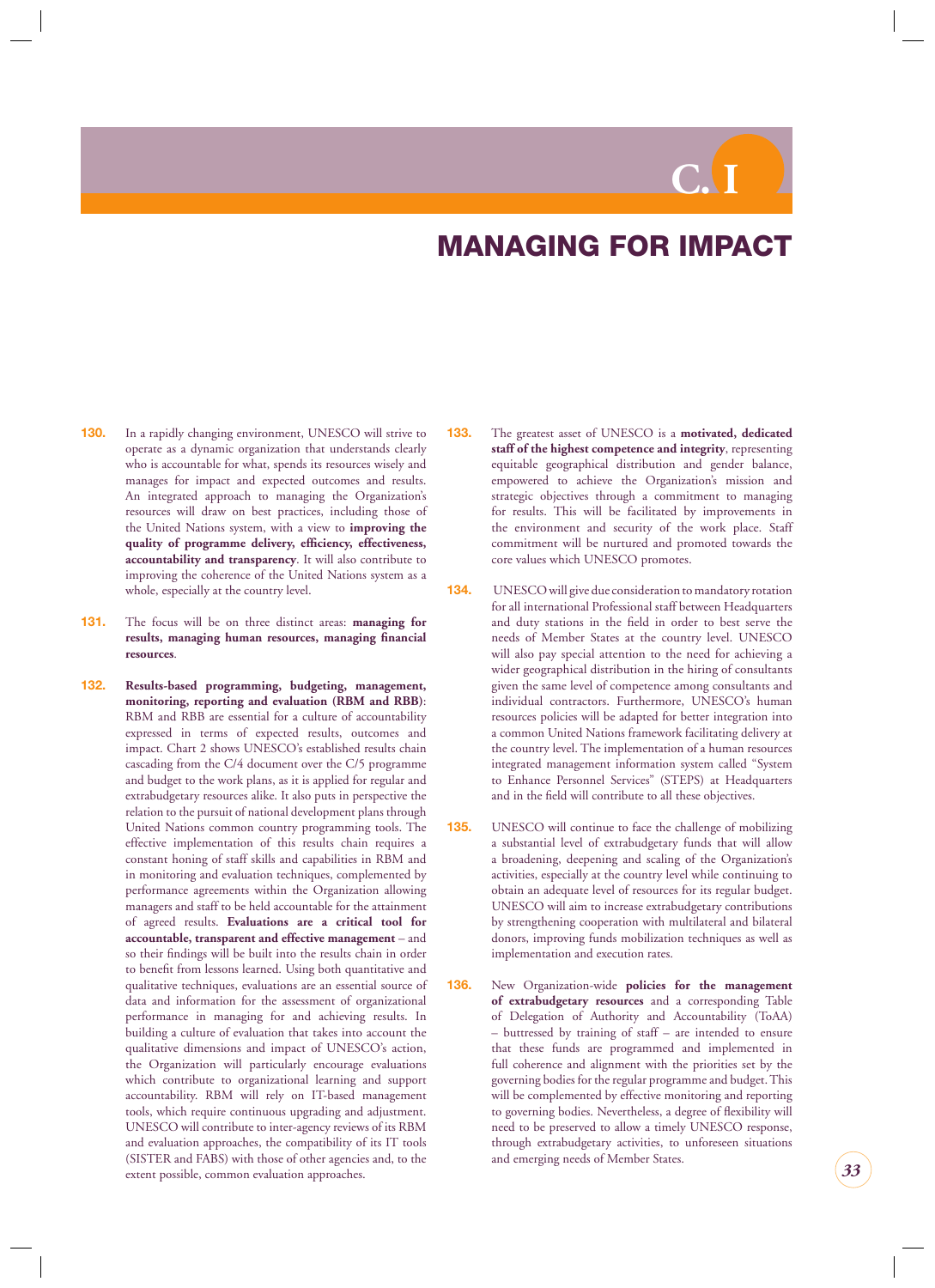# **C. I**

## **MANAGING FOR IMPACT**

- <span id="page-33-0"></span>**130.** In a rapidly changing environment, UNESCO will strive to operate as a dynamic organization that understands clearly who is accountable for what, spends its resources wisely and manages for impact and expected outcomes and results. An integrated approach to managing the Organization's resources will draw on best practices, including those of the United Nations system, with a view to **improving the**  quality of programme delivery, efficiency, effectiveness, **accountability and transparency**. It will also contribute to improving the coherence of the United Nations system as a whole, especially at the country level.
- **131.** The focus will be on three distinct areas: **managing for results, managing human resources, managing financial resources**.
- **132. Results-based programming, budgeting, management, monitoring, reporting and evaluation (RBM and RBB)**: RBM and RBB are essential for a culture of accountability expressed in terms of expected results, outcomes and impact. Chart 2 shows UNESCO's established results chain cascading from the C/4 document over the C/5 programme and budget to the work plans, as it is applied for regular and extrabudgetary resources alike. It also puts in perspective the relation to the pursuit of national development plans through United Nations common country programming tools. The effective implementation of this results chain requires a constant honing of staff skills and capabilities in RBM and in monitoring and evaluation techniques, complemented by performance agreements within the Organization allowing managers and staff to be held accountable for the attainment of agreed results. **Evaluations are a critical tool for accountable, transparent and effective management** – and so their findings will be built into the results chain in order to benefit from lessons learned. Using both quantitative and qualitative techniques, evaluations are an essential source of data and information for the assessment of organizational performance in managing for and achieving results. In building a culture of evaluation that takes into account the qualitative dimensions and impact of UNESCO's action, the Organization will particularly encourage evaluations which contribute to organizational learning and support accountability. RBM will rely on IT-based management tools, which require continuous upgrading and adjustment. UNESCO will contribute to inter-agency reviews of its RBM and evaluation approaches, the compatibility of its IT tools (SISTER and FABS) with those of other agencies and, to the extent possible, common evaluation approaches.
- **133.** The greatest asset of UNESCO is a **motivated, dedicated staff of the highest competence and integrity**, representing equitable geographical distribution and gender balance, empowered to achieve the Organization's mission and strategic objectives through a commitment to managing for results. This will be facilitated by improvements in the environment and security of the work place. Staff commitment will be nurtured and promoted towards the core values which UNESCO promotes.
- **134.** UNESCO will give due consideration to mandatory rotation for all international Professional staff between Headquarters and duty stations in the field in order to best serve the needs of Member States at the country level. UNESCO will also pay special attention to the need for achieving a wider geographical distribution in the hiring of consultants given the same level of competence among consultants and individual contractors. Furthermore, UNESCO's human resources policies will be adapted for better integration into a common United Nations framework facilitating delivery at the country level. The implementation of a human resources integrated management information system called "System to Enhance Personnel Services" (STEPS) at Headquarters and in the field will contribute to all these objectives.
- **135.** UNESCO will continue to face the challenge of mobilizing a substantial level of extrabudgetary funds that will allow a broadening, deepening and scaling of the Organization's activities, especially at the country level while continuing to obtain an adequate level of resources for its regular budget. UNESCO will aim to increase extrabudgetary contributions by strengthening cooperation with multilateral and bilateral donors, improving funds mobilization techniques as well as implementation and execution rates.
- **136.** New Organization-wide **policies for the management of extrabudgetary resources** and a corresponding Table of Delegation of Authority and Accountability (ToAA) – buttressed by training of staff – are intended to ensure that these funds are programmed and implemented in full coherence and alignment with the priorities set by the governing bodies for the regular programme and budget. This will be complemented by effective monitoring and reporting to governing bodies. Nevertheless, a degree of flexibility will need to be preserved to allow a timely UNESCO response, through extrabudgetary activities, to unforeseen situations and emerging needs of Member States.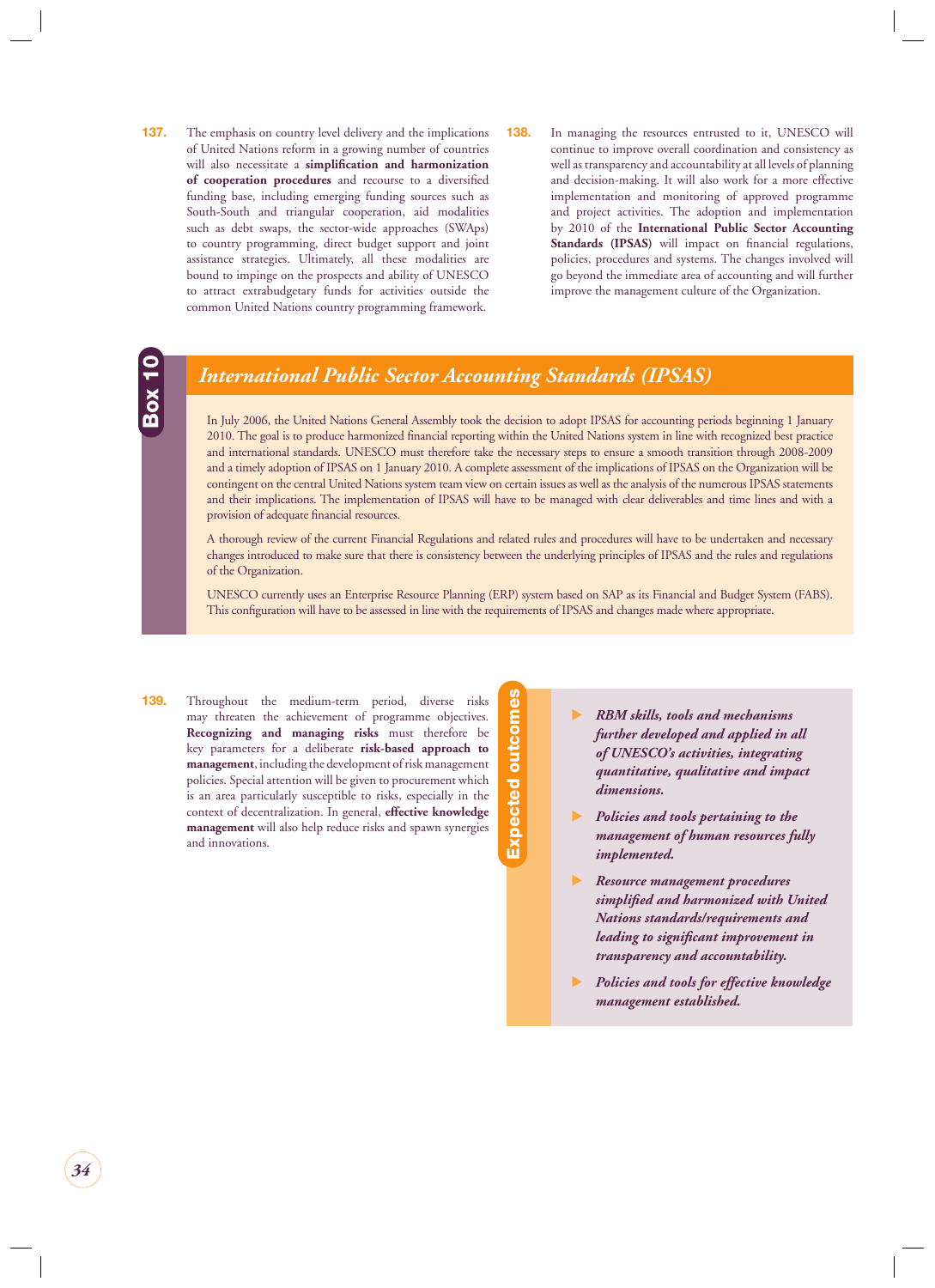- <span id="page-34-0"></span>**137.** The emphasis on country level delivery and the implications of United Nations reform in a growing number of countries will also necessitate a **simplification and harmonization of cooperation procedures** and recourse to a diversified funding base, including emerging funding sources such as South-South and triangular cooperation, aid modalities such as debt swaps, the sector-wide approaches (SWAps) to country programming, direct budget support and joint assistance strategies. Ultimately, all these modalities are bound to impinge on the prospects and ability of UNESCO to attract extrabudgetary funds for activities outside the common United Nations country programming framework.
- **138.** In managing the resources entrusted to it, UNESCO will continue to improve overall coordination and consistency as well as transparency and accountability at all levels of planning and decision-making. It will also work for a more effective implementation and monitoring of approved programme and project activities. The adoption and implementation by 2010 of the **International Public Sector Accounting**  Standards (IPSAS) will impact on financial regulations, policies, procedures and systems. The changes involved will go beyond the immediate area of accounting and will further improve the management culture of the Organization.



### *International Public Sector Accounting Standards (IPSAS)*

In July 2006, the United Nations General Assembly took the decision to adopt IPSAS for accounting periods beginning 1 January 2010. The goal is to produce harmonized financial reporting within the United Nations system in line with recognized best practice and international standards. UNESCO must therefore take the necessary steps to ensure a smooth transition through 2008-2009 and a timely adoption of IPSAS on 1 January 2010. A complete assessment of the implications of IPSAS on the Organization will be contingent on the central United Nations system team view on certain issues as well as the analysis of the numerous IPSAS statements and their implications. The implementation of IPSAS will have to be managed with clear deliverables and time lines and with a provision of adequate financial resources.

A thorough review of the current Financial Regulations and related rules and procedures will have to be undertaken and necessary changes introduced to make sure that there is consistency between the underlying principles of IPSAS and the rules and regulations of the Organization.

UNESCO currently uses an Enterprise Resource Planning (ERP) system based on SAP as its Financial and Budget System (FABS). This configuration will have to be assessed in line with the requirements of IPSAS and changes made where appropriate.

**139.** Throughout the medium-term period, diverse risks may threaten the achievement of programme objectives. **Recognizing and managing risks** must therefore be key parameters for a deliberate **risk-based approach to management**, including the development of risk management policies. Special attention will be given to procurement which is an area particularly susceptible to risks, especially in the context of decentralization. In general, **effective knowledge management** will also help reduce risks and spawn synergies and innovations.

**Expected outcomes** Expected outcomes

- - *RBM skills, tools and mechanisms further developed and applied in all of UNESCO's activities, integrating quantitative, qualitative and impact dimensions.*
- - *Policies and tools pertaining to the management of human resources fully implemented.*
- - *Resource management procedures simplifi ed and harmonized with United Nations standards/requirements and leading to significant improvement in transparency and accountability.*
- - *Policies and tools for effective knowledge management established.*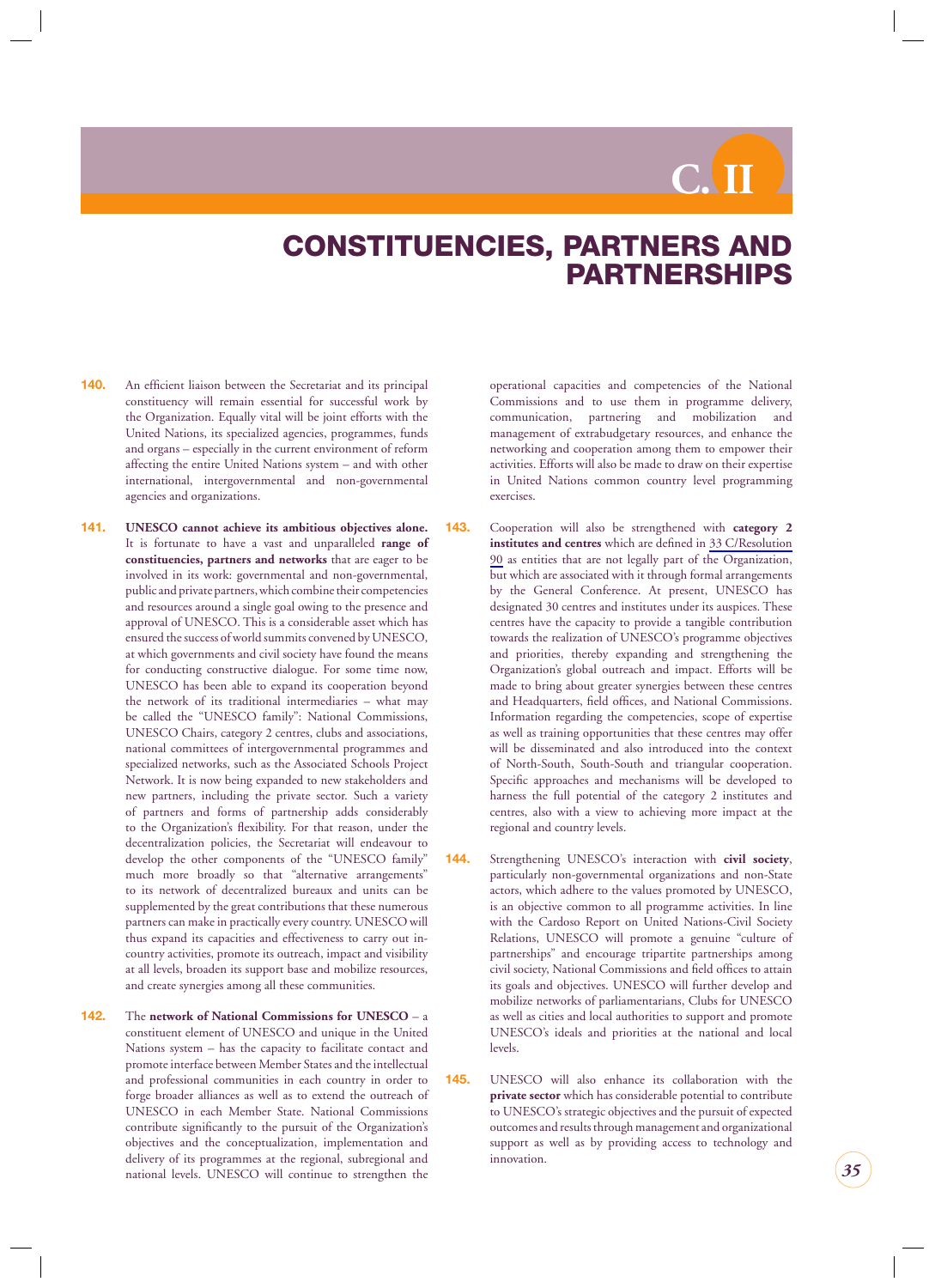# **C. II**

## <span id="page-35-0"></span>**CONSTITUENCIES, PARTNERS AND PARTNERSHIPS**

- **140.** An efficient liaison between the Secretariat and its principal constituency will remain essential for successful work by the Organization. Equally vital will be joint efforts with the United Nations, its specialized agencies, programmes, funds and organs – especially in the current environment of reform affecting the entire United Nations system – and with other international, intergovernmental and non-governmental agencies and organizations.
- **141. UNESCO cannot achieve its ambitious objectives alone.**  It is fortunate to have a vast and unparalleled **range of constituencies, partners and networks** that are eager to be involved in its work: governmental and non-governmental, public and private partners, which combine their competencies and resources around a single goal owing to the presence and approval of UNESCO. This is a considerable asset which has ensured the success of world summits convened by UNESCO, at which governments and civil society have found the means for conducting constructive dialogue. For some time now, UNESCO has been able to expand its cooperation beyond the network of its traditional intermediaries – what may be called the "UNESCO family": National Commissions, UNESCO Chairs, category 2 centres, clubs and associations, national committees of intergovernmental programmes and specialized networks, such as the Associated Schools Project Network. It is now being expanded to new stakeholders and new partners, including the private sector. Such a variety of partners and forms of partnership adds considerably to the Organization's flexibility. For that reason, under the decentralization policies, the Secretariat will endeavour to develop the other components of the "UNESCO family" much more broadly so that "alternative arrangements" to its network of decentralized bureaux and units can be supplemented by the great contributions that these numerous partners can make in practically every country. UNESCO will thus expand its capacities and effectiveness to carry out incountry activities, promote its outreach, impact and visibility at all levels, broaden its support base and mobilize resources, and create synergies among all these communities.
- **142.** The **network of National Commissions for UNESCO**  a constituent element of UNESCO and unique in the United Nations system – has the capacity to facilitate contact and promote interface between Member States and the intellectual and professional communities in each country in order to forge broader alliances as well as to extend the outreach of UNESCO in each Member State. National Commissions contribute significantly to the pursuit of the Organization's objectives and the conceptualization, implementation and delivery of its programmes at the regional, subregional and national levels. UNESCO will continue to strengthen the

operational capacities and competencies of the National Commissions and to use them in programme delivery, communication, partnering and mobilization and management of extrabudgetary resources, and enhance the networking and cooperation among them to empower their activities. Efforts will also be made to draw on their expertise in United Nations common country level programming exercises.

- **143.** Cooperation will also be strengthened with **category 2 institutes and centres** which are defined in 33 C/Resolution 90 as entities that are not legally part of the Organization, but which are associated with it through formal arrangements by the General Conference. At present, UNESCO has designated 30 centres and institutes under its auspices. These centres have the capacity to provide a tangible contribution towards the realization of UNESCO's programme objectives and priorities, thereby expanding and strengthening the Organization's global outreach and impact. Efforts will be made to bring about greater synergies between these centres and Headquarters, field offices, and National Commissions. Information regarding the competencies, scope of expertise as well as training opportunities that these centres may offer will be disseminated and also introduced into the context of North-South, South-South and triangular cooperation. Specific approaches and mechanisms will be developed to harness the full potential of the category 2 institutes and centres, also with a view to achieving more impact at the regional and country levels.
- **144.** Strengthening UNESCO's interaction with **civil society**, particularly non-governmental organizations and non-State actors, which adhere to the values promoted by UNESCO, is an objective common to all programme activities. In line with the Cardoso Report on United Nations-Civil Society Relations, UNESCO will promote a genuine "culture of partnerships" and encourage tripartite partnerships among civil society, National Commissions and field offices to attain its goals and objectives. UNESCO will further develop and mobilize networks of parliamentarians, Clubs for UNESCO as well as cities and local authorities to support and promote UNESCO's ideals and priorities at the national and local levels.
- **145.** UNESCO will also enhance its collaboration with the **private sector** which has considerable potential to contribute to UNESCO's strategic objectives and the pursuit of expected outcomes and results through management and organizational support as well as by providing access to technology and innovation.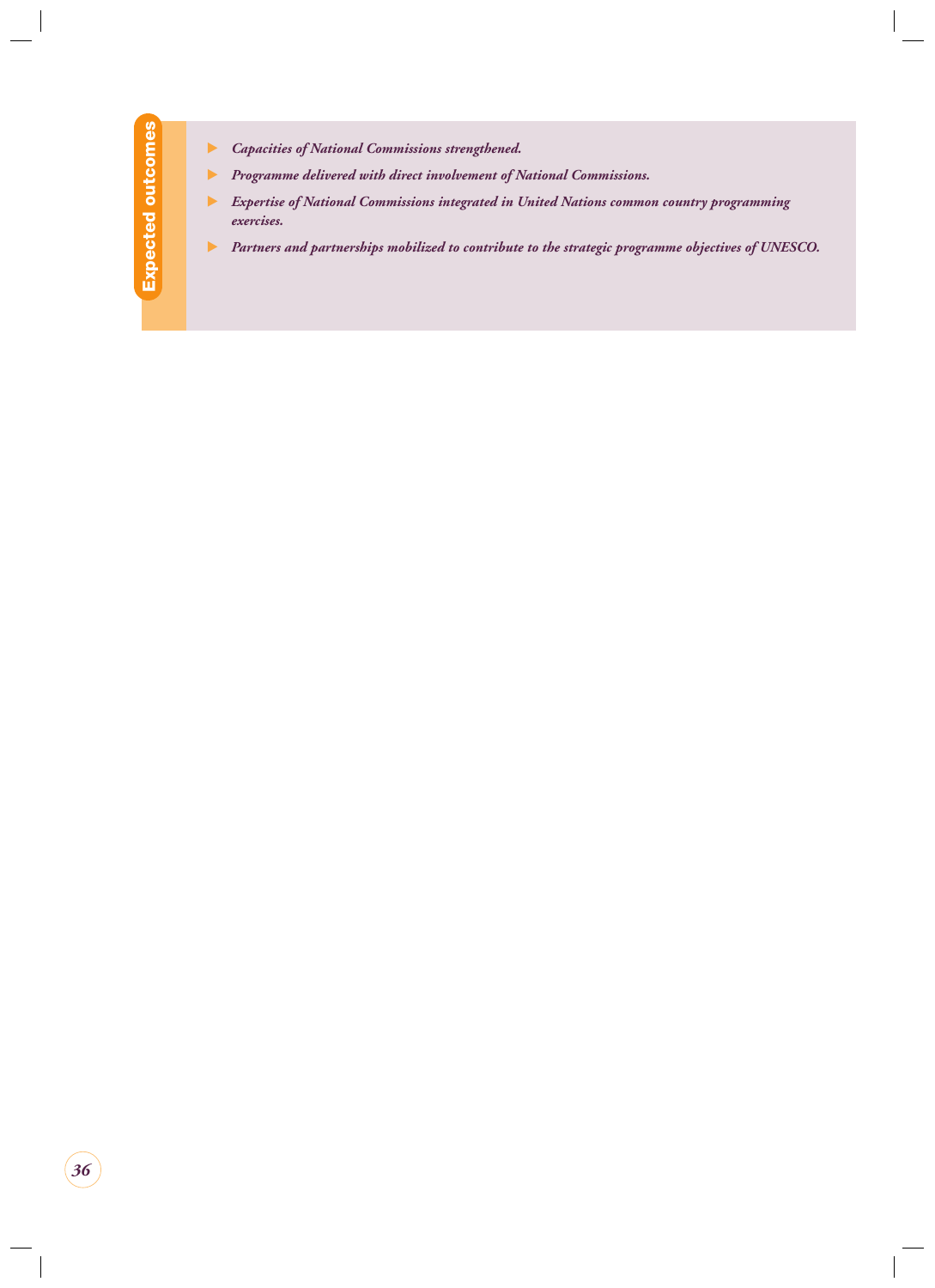- $\blacktriangleright$  *Capacities of National Commissions strengthened.*
- $\blacktriangleright$  *Programme delivered with direct involvement of National Commissions.*
- - *Expertise of National Commissions integrated in United Nations common country programming exercises.*
- $\blacktriangleright$  *Partners and partnerships mobilized to contribute to the strategic programme objectives of UNESCO.*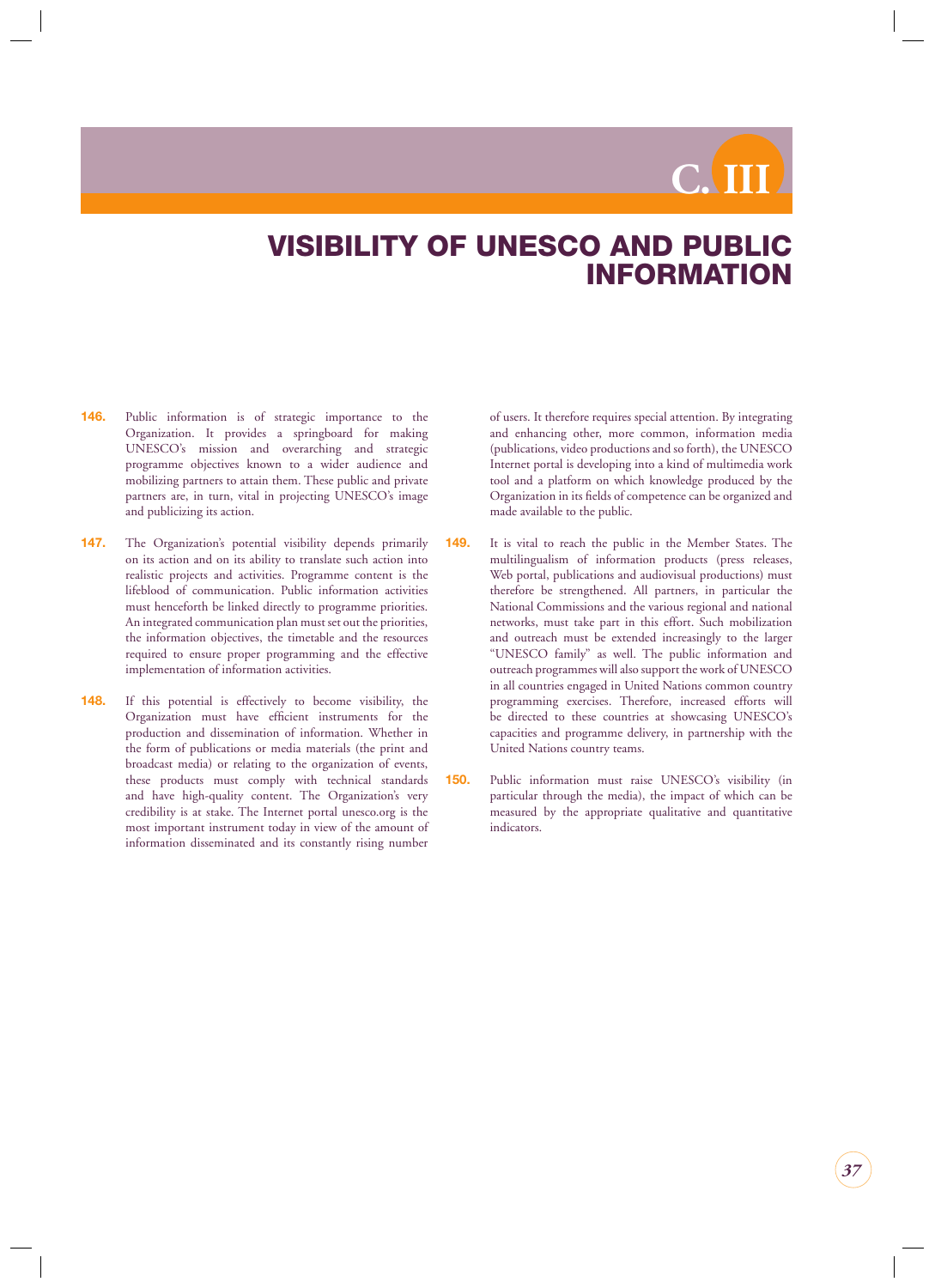# **C. III**

## <span id="page-37-0"></span>**VISIBILITY OF UNESCO AND PUBLIC INFORMATION**

- **146.** Public information is of strategic importance to the Organization. It provides a springboard for making UNESCO's mission and overarching and strategic programme objectives known to a wider audience and mobilizing partners to attain them. These public and private partners are, in turn, vital in projecting UNESCO's image and publicizing its action.
- **147.** The Organization's potential visibility depends primarily on its action and on its ability to translate such action into realistic projects and activities. Programme content is the lifeblood of communication. Public information activities must henceforth be linked directly to programme priorities. An integrated communication plan must set out the priorities, the information objectives, the timetable and the resources required to ensure proper programming and the effective implementation of information activities.
- **148.** If this potential is effectively to become visibility, the Organization must have efficient instruments for the production and dissemination of information. Whether in the form of publications or media materials (the print and broadcast media) or relating to the organization of events, these products must comply with technical standards and have high-quality content. The Organization's very credibility is at stake. The Internet portal unesco.org is the most important instrument today in view of the amount of information disseminated and its constantly rising number

of users. It therefore requires special attention. By integrating and enhancing other, more common, information media (publications, video productions and so forth), the UNESCO Internet portal is developing into a kind of multimedia work tool and a platform on which knowledge produced by the Organization in its fields of competence can be organized and made available to the public.

- **149.** It is vital to reach the public in the Member States. The multilingualism of information products (press releases, Web portal, publications and audiovisual productions) must therefore be strengthened. All partners, in particular the National Commissions and the various regional and national networks, must take part in this effort. Such mobilization and outreach must be extended increasingly to the larger "UNESCO family" as well. The public information and outreach programmes will also support the work of UNESCO in all countries engaged in United Nations common country programming exercises. Therefore, increased efforts will be directed to these countries at showcasing UNESCO's capacities and programme delivery, in partnership with the United Nations country teams.
- **150.** Public information must raise UNESCO's visibility (in particular through the media), the impact of which can be measured by the appropriate qualitative and quantitative indicators.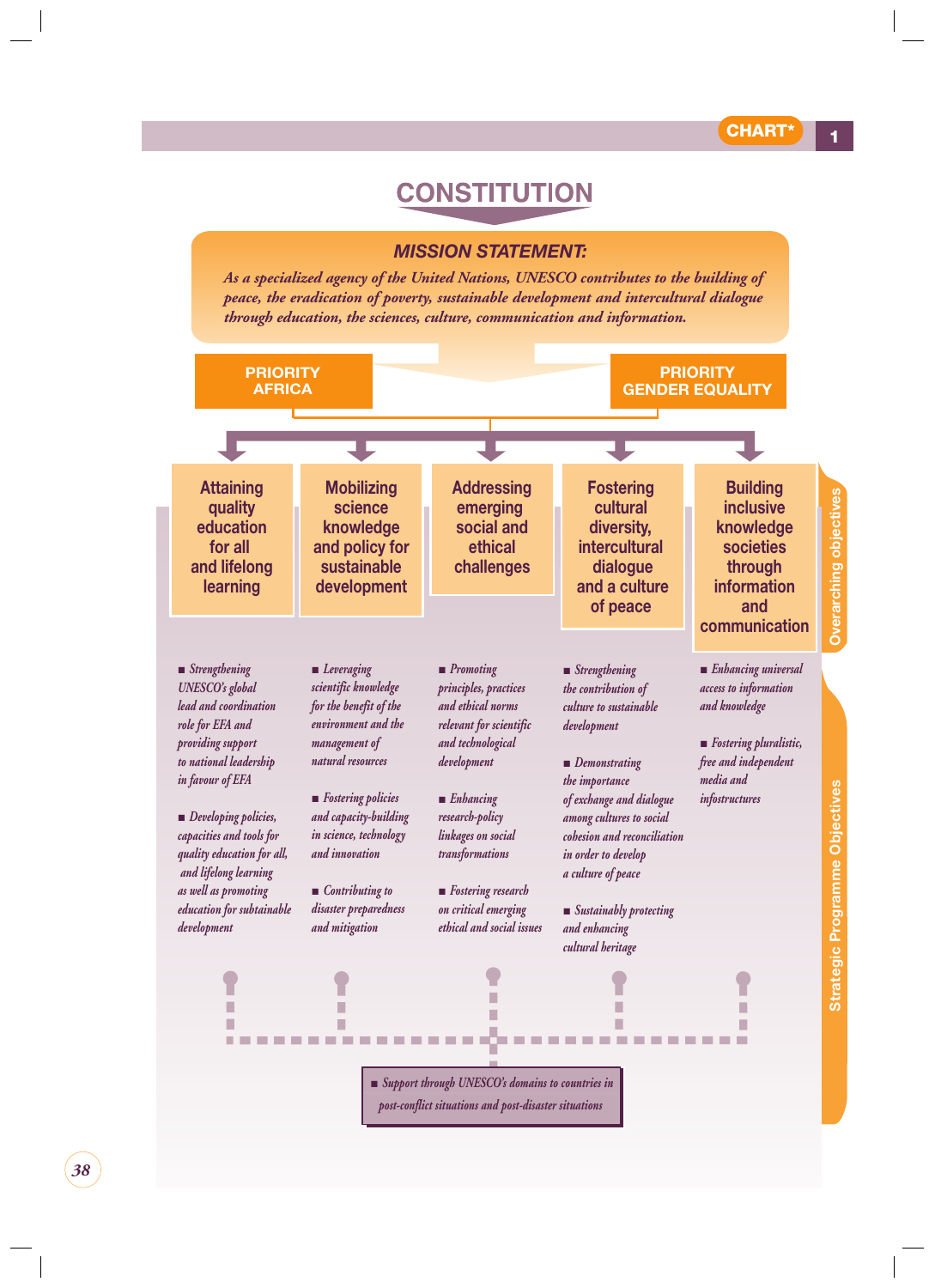## **CONSTITUTION**

#### *MISSION STATEMENT:*

*As a specialized agency of the United Nations, UNESCO contributes to the building of peace, the eradication of poverty, sustainable development and intercultural dialogue through education, the sciences, culture, communication and information.*